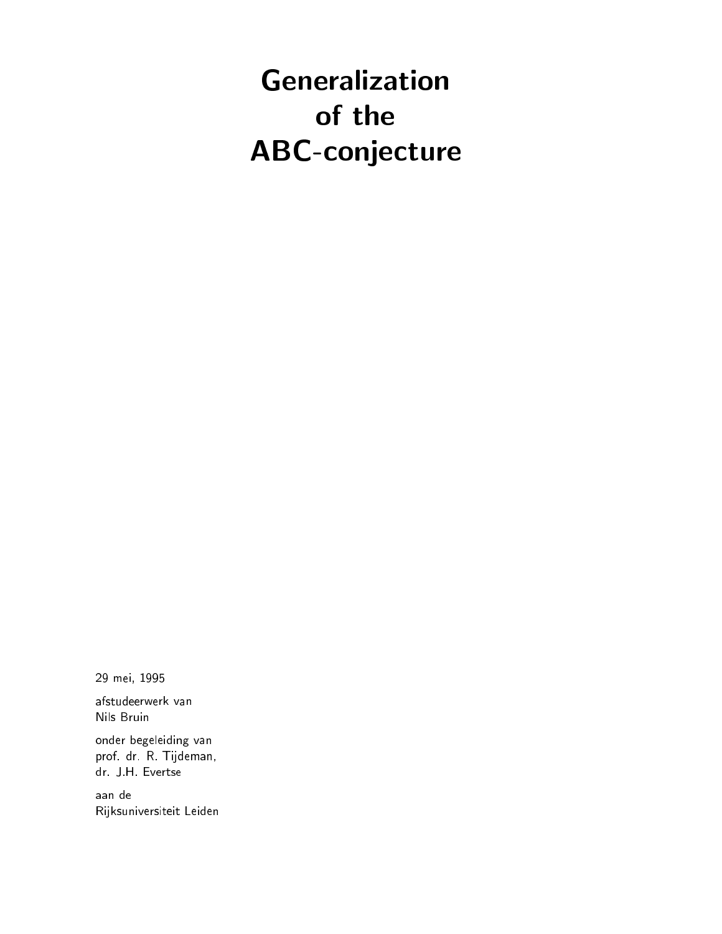# Generalization of the ABC-conjecture

<sup>29</sup> mei, <sup>1995</sup>

afstudeerwerk van Nils Bruin

onder begeleiding van prof. dr. R. Tijdeman, dr. J.H. Evertse

aan de Rijksuniversiteit Leiden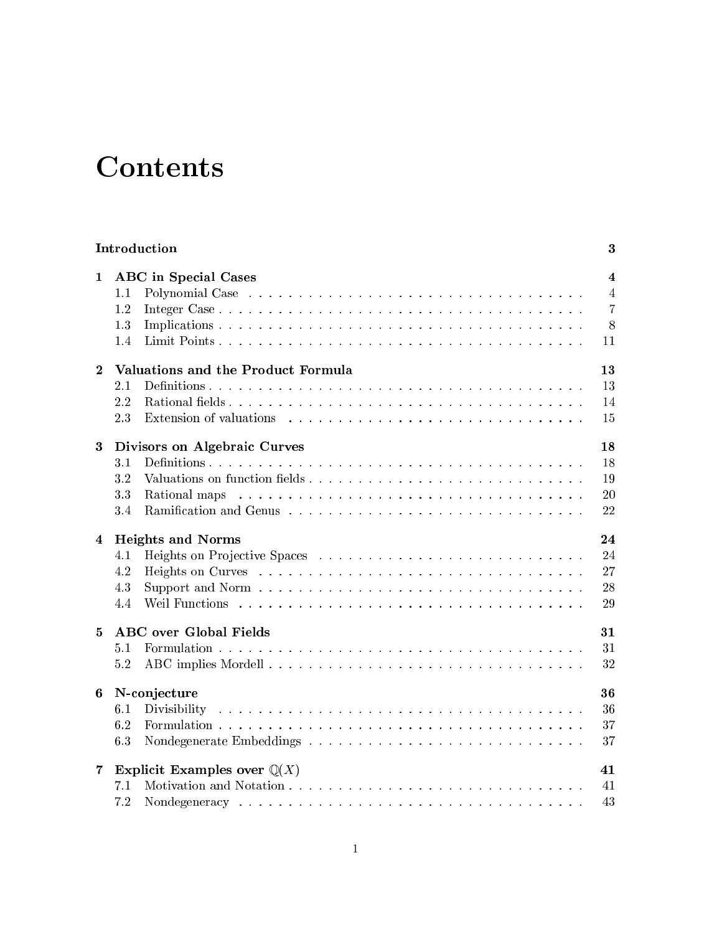# **Contents**

|                  |                                              | Introduction                | 3                                                                      |  |  |  |
|------------------|----------------------------------------------|-----------------------------|------------------------------------------------------------------------|--|--|--|
| $\mathbf{1}$     | $1.1\,$<br>1.2<br>1.3<br>1.4                 | <b>ABC</b> in Special Cases | $\overline{\mathbf{4}}$<br>$\overline{4}$<br>$\overline{7}$<br>8<br>11 |  |  |  |
| $\mathbf{2}$     | Valuations and the Product Formula<br>13     |                             |                                                                        |  |  |  |
|                  | 2.1                                          |                             | 13                                                                     |  |  |  |
|                  | 2.2                                          |                             | 14                                                                     |  |  |  |
|                  | 2.3                                          |                             | 15                                                                     |  |  |  |
| $\boldsymbol{3}$ | 18<br>Divisors on Algebraic Curves           |                             |                                                                        |  |  |  |
|                  | 3.1                                          |                             | 18                                                                     |  |  |  |
|                  | 3.2                                          |                             | 19                                                                     |  |  |  |
|                  | 3.3                                          |                             | 20                                                                     |  |  |  |
|                  | 3.4                                          |                             | 22                                                                     |  |  |  |
| 4                | 24<br><b>Heights and Norms</b>               |                             |                                                                        |  |  |  |
|                  | 4.1                                          |                             | 24                                                                     |  |  |  |
|                  | 4.2                                          |                             | 27                                                                     |  |  |  |
|                  | 4.3                                          |                             | 28                                                                     |  |  |  |
|                  | 4.4                                          |                             | 29                                                                     |  |  |  |
| 5                | <b>ABC</b> over Global Fields<br>31          |                             |                                                                        |  |  |  |
|                  | 5.1                                          |                             | 31                                                                     |  |  |  |
|                  | 5.2                                          |                             | 32                                                                     |  |  |  |
| 6                | N-conjecture<br>36                           |                             |                                                                        |  |  |  |
|                  | 6.1                                          |                             | 36                                                                     |  |  |  |
|                  | 6.2                                          |                             | 37                                                                     |  |  |  |
|                  | 6.3                                          |                             | 37                                                                     |  |  |  |
| $\overline{7}$   | Explicit Examples over $\mathbb{Q}(X)$<br>41 |                             |                                                                        |  |  |  |
|                  | 7.1                                          |                             | 41                                                                     |  |  |  |
|                  | 7.2                                          |                             | 43                                                                     |  |  |  |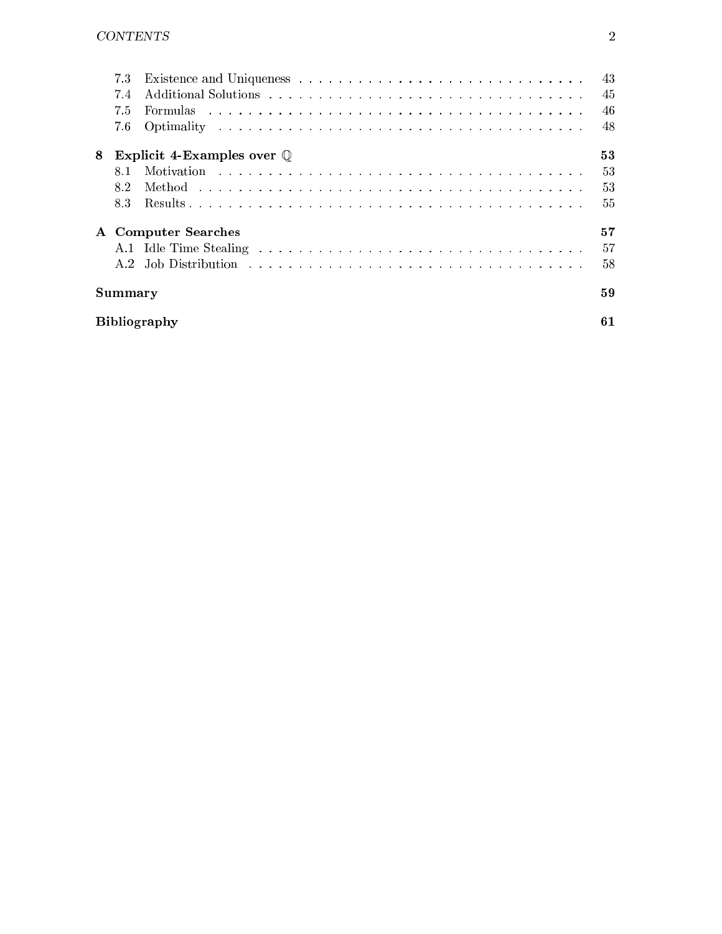|                     | 7.3<br>7.4<br>7.5<br>7.6 |                                      | 43<br>45<br>46<br>48 |  |  |  |
|---------------------|--------------------------|--------------------------------------|----------------------|--|--|--|
| 8                   |                          | Explicit 4-Examples over $\mathbb Q$ | 53                   |  |  |  |
|                     | 81                       |                                      | 53                   |  |  |  |
|                     | 8.2                      |                                      | 53                   |  |  |  |
|                     | 8.3                      |                                      | 55                   |  |  |  |
|                     |                          | A Computer Searches                  | 57                   |  |  |  |
|                     |                          |                                      | 57                   |  |  |  |
|                     |                          |                                      | 58                   |  |  |  |
| Summary             |                          |                                      |                      |  |  |  |
| <b>Bibliography</b> |                          |                                      |                      |  |  |  |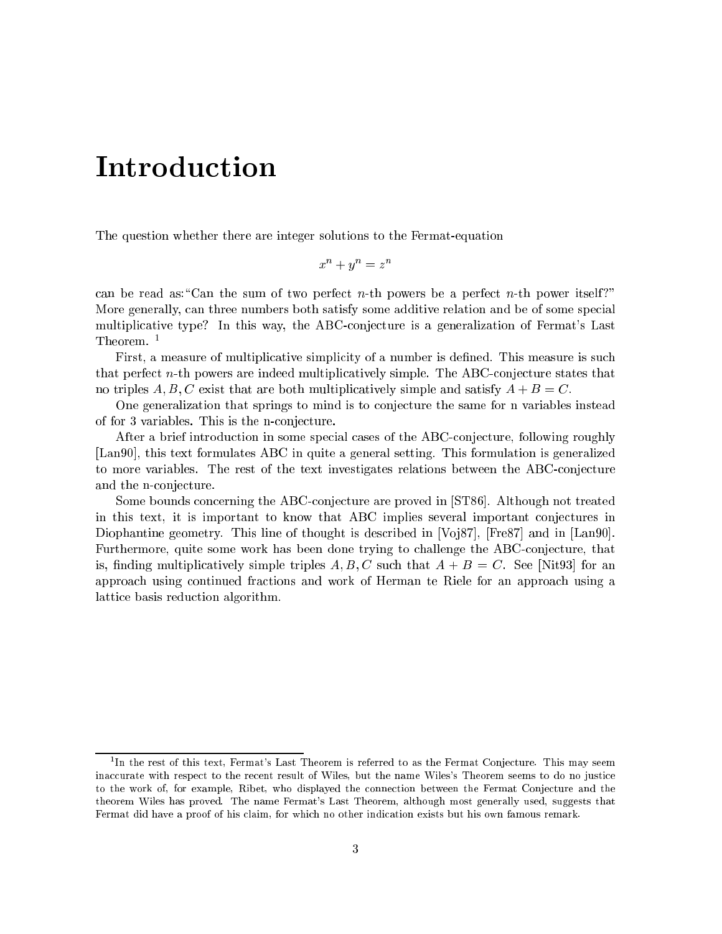# Introduction

The question whether there are integer solutions to the Fermat-equation

$$
x^n + y^n = z^n
$$

can be read as: "Can the sum of two perfect n-th powers be a perfect n-th power itself?" More generally, can three numbers both satisfy some additive relation and be of some special multiplicative type? In this way, the ABC-conjecture is a generalization of Fermat's Last Theorem.<sup>1</sup>

First, a measure of multiplicative simplicity of a number is defined. This measure is such that perfect n-th powers are indeed multiplicatively simple. The ABC-conjecture states that no triples A, B, C exist that are both multiplicatively simple and satisfy  $A + B = C$ .

One generalization that springs to mind is to conjecture the same for n variables instead of for 3 variables. This is the n-conjecture.

After a brief introduction in some special cases of the ABC-conjecture, following roughly [Lan90], this text formulates ABC in quite a general setting. This formulation is generalized to more variables. The rest of the text investigates relations between the ABC-conjecture and the n-conjecture.

Some bounds concerning the ABC-conjecture are proved in [ST86]. Although not treated in this text, it is important to know that ABC implies several important conjectures in Diophantine geometry. This line of thought is described in  $\lbrack \text{Vo}[87]$ ,  $\lbrack \text{Fre87} \rbrack$  and in  $\lbrack \text{Lan90} \rbrack$ . Furthermore, quite some work has been done trying to challenge the ABC-conjecture, that is, finding multiplicatively simple triples  $A, B, C$  such that  $A + B = C$ . See [Nit93] for an approach using continued fractions and work of Herman te Riele for an approach using a lattice basis reduction algorithm.

<sup>1</sup> In the rest of this text, Fermat's Last Theorem is referred to as the Fermat Conjecture. This may seem inaccurate with respect to the recent result of Wiles, but the name Wiles's Theorem seems to do no justice to the work of, for example, Ribet, who displayed the connection between the Fermat Conjecture and the theorem Wiles has proved. The name Fermat's Last Theorem, although most generally used, suggests that Fermat did have <sup>a</sup> proof of his claim, for which no other indication exists but his own famous remark.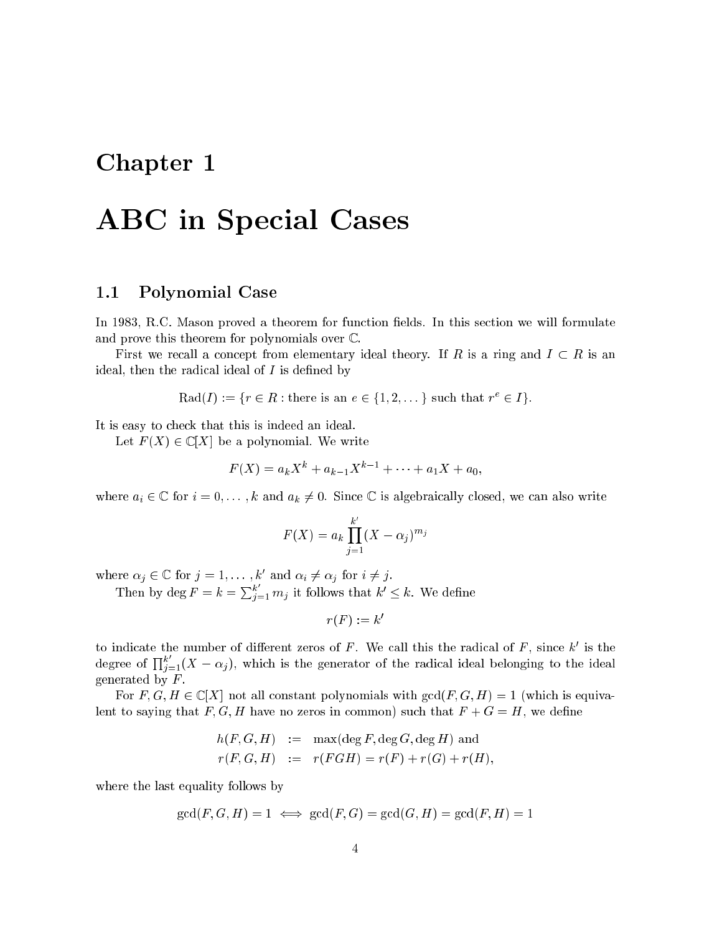# Chapter 1

# ABC in Special Cases

## 1.1 Polynomial Case

In 1983, R.C. Mason proved a theorem for function fields. In this section we will formulate and prove this theorem for polynomials over  $\mathbb{C}$ .

First we recall a concept from elementary ideal theory. If R is a ring and  $I \subset R$  is an ideal, then the radical ideal of  $I$  is defined by

 $\text{Rad}(I) := \{T \in R : \text{there is an } e \in \{1, 2, \dots\} \text{ such that } T \in I\}.$ 

It is easy to check that this is indeed an ideal.

Let  $F(X) \in \mathbb{C}[X]$  be a polynomial. We write

$$
F(X) = a_k X^k + a_{k-1} X^{k-1} + \cdots + a_1 X + a_0,
$$

where  $a_i \in \mathbb{C}$  for  $i = 0, \ldots, k$  and  $a_k \neq 0$ . Since  $\mathbb{C}$  is algebraically closed, we can also write

$$
F(X) = a_k \prod_{j=1}^{k'} (X - \alpha_j)^{m_j}
$$

where  $\alpha_j \in \mathbb{C}$  for  $j = 1, \ldots, \kappa$  and  $\alpha_i \neq \alpha_j$  for  $i \neq j$ .

Then by  $\deg F = k = \sum_{i=1}^k m_i$  it follows that  $k' \leq k$ . We define

$$
r(F) := k'
$$

to indicate the number of different zeros of  $F$ . We can this the radical of  $F$ , since  $\kappa$  is the degree of  $\prod_{i=1}^{k} (X - \alpha_i)$ , which is the generator of the radical ideal belonging to the ideal generated by  $F$ .

For  $F, G, H \in \mathbb{C}[X]$  not all constant polynomials with  $gcd(F, G, H) = 1$  (which is equivalent to saying that  $F, G, H$  have no zeros in common) such that  $F + G = H$ , we define

$$
h(F, G, H) := \max(\deg F, \deg G, \deg H) \text{ and}
$$
  

$$
r(F, G, H) := r(FGH) = r(F) + r(G) + r(H),
$$

where the last equality follows by

$$
\gcd(F, G, H) = 1 \iff \gcd(F, G) = \gcd(G, H) = \gcd(F, H) = 1
$$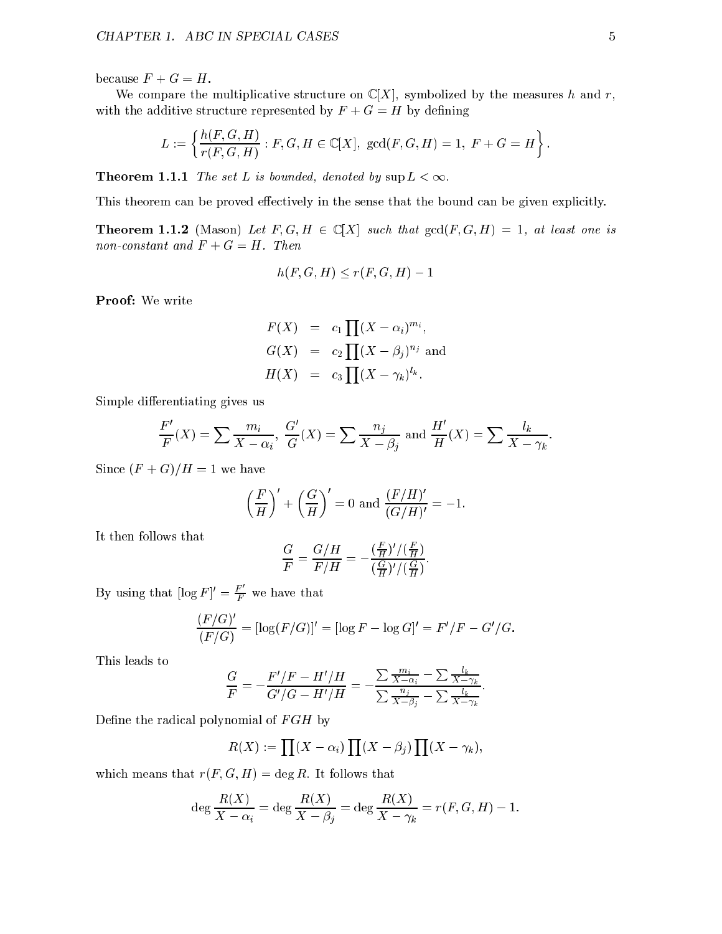because  $F + G = H$ .

We compare the multiplicative structure on  $\mathbb{C}[X]$ , symbolized by the measures h and r, with the additive structure represented by  $F + G = H$  by defining

$$
L := \left\{ \frac{h(F, G, H)}{r(F, G, H)} : F, G, H \in \mathbb{C}[X], \, \gcd(F, G, H) = 1, \, F + G = H \right\}.
$$

**Theorem 1.1.1** The set L is bounded, denoted by  $\sup L < \infty$ .

This theorem can be proved effectively in the sense that the bound can be given explicitly.

**Theorem 1.1.2** (Mason) Let  $F, G, H \in \mathbb{C}[X]$  such that  $gcd(F, G, H) = 1$ , at least one is non-constant and  $F + G = H$ . Then

$$
h(F, G, H) \le r(F, G, H) - 1
$$

Proof: We write

$$
F(X) = c_1 \prod (X - \alpha_i)^{m_i},
$$
  
\n
$$
G(X) = c_2 \prod (X - \beta_j)^{n_j}
$$
 and  
\n
$$
H(X) = c_3 \prod (X - \gamma_k)^{l_k}.
$$

Simple differentiating gives us

$$
\frac{F'}{F}(X) = \sum \frac{m_i}{X - \alpha_i}, \ \frac{G'}{G}(X) = \sum \frac{n_j}{X - \beta_j} \text{ and } \frac{H'}{H}(X) = \sum \frac{l_k}{X - \gamma_k}
$$

Since  $(F+G)/H = 1$  we have

$$
\left(\frac{F}{H}\right)' + \left(\frac{G}{H}\right)' = 0 \text{ and } \frac{(F/H)'}{(G/H)'} = -1.
$$

It then follows that

$$
\frac{G}{F}=\frac{G/H}{F/H}=-\frac{(\frac{F}{H})'/(\frac{F}{H})}{(\frac{G}{H})'/(\frac{G}{H})}
$$

By using that  $\lfloor \log F \rfloor' = \frac{F}{F}$  we have that

$$
\frac{(F/G)'}{(F/G)} = [\log(F/G)]' = [\log F - \log G]' = F'/F - G'/G.
$$

This leads to

$$
\frac{G}{F}=-\frac{F'/F-H'/H}{G'/G-H'/H}=-\frac{\sum\frac{m_i}{X-\alpha_i}-\sum\frac{l_k}{X-\gamma_k}}{\sum\frac{n_j}{X-\beta_j}-\sum\frac{l_k}{X-\gamma_k}}.
$$

Define the radical polynomial of  $FGH$  by

$$
R(X) := \prod (X - \alpha_i) \prod (X - \beta_j) \prod (X - \gamma_k),
$$

which means that  $r(F, G, H) = \deg R$ . It follows that

$$
\deg \frac{R(X)}{X - \alpha_i} = \deg \frac{R(X)}{X - \beta_j} = \deg \frac{R(X)}{X - \gamma_k} = r(F, G, H) - 1.
$$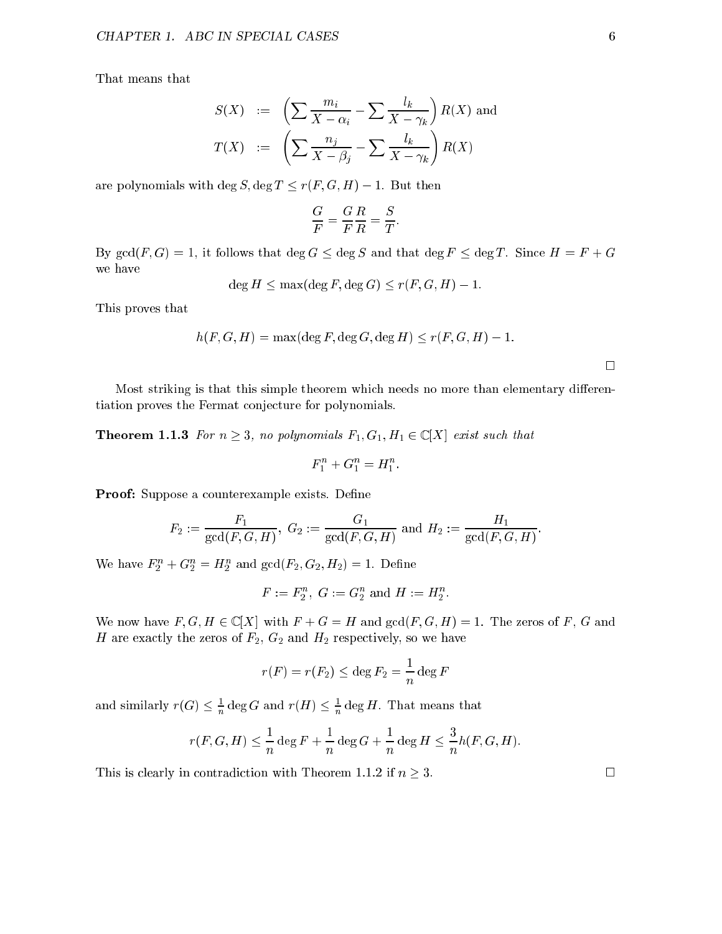That means that

$$
S(X) := \left(\sum \frac{m_i}{X - \alpha_i} - \sum \frac{l_k}{X - \gamma_k}\right) R(X) \text{ and}
$$

$$
T(X) := \left(\sum \frac{n_j}{X - \beta_j} - \sum \frac{l_k}{X - \gamma_k}\right) R(X)
$$

are polynomials with deg S, deg  $T \le r(F, G, H) - 1$ . But then

$$
\frac{G}{F}=\frac{G}{F}\frac{R}{R}=\frac{S}{T}
$$

By  $gcd(F, G) = 1$ , it follows that  $deg G \le deg S$  and that  $deg F \le deg T$ . Since  $H = F + G$ we have

$$
\deg H \le \max(\deg F, \deg G) \le r(F, G, H) - 1.
$$

This proves that

$$
h(F, G, H) = \max(\deg F, \deg G, \deg H) \le r(F, G, H) - 1.
$$

Most striking is that this simple theorem which needs no more than elementary differentiation proves the Fermat conjecture for polynomials.

**Theorem 1.1.3** For  $n \geq 3$ , no polynomials  $F_1, G_1, H_1 \in \mathbb{C}[X]$  exist such that

$$
F_1^n + G_1^n = H_1^n.
$$

Proof: Suppose a counterexample exists. Define

$$
F_2:=\frac{F_1}{\gcd(F,G,H)},\,\,G_2:=\frac{G_1}{\gcd(F,G,H)}\,\,{\rm and}\,\,H_2:=\frac{H_1}{\gcd(F,G,H)}.
$$

we have  $F_2^+ + G_2^- = H_2^+$  and  $gcd(F_2, G_2, H_2) = 1$ . Define

$$
F:=F_2^n,\,\,G:=G_2^n\,\,{\rm and}\,\,H:=H_2^n.
$$

We now have  $F, G, H \in \mathbb{C}[X]$  with  $F + G = H$  and  $gcd(F, G, H) = 1$ . The zeros of F, G and H are exactly the zeros of  $F_2$ ,  $G_2$  and  $H_2$  respectively, so we have

$$
r(F) = r(F_2) \le \deg F_2 = \frac{1}{n} \deg F
$$

and similarly  $r(G) \leq \frac{1}{n} \deg G$  and  $r(H) \leq \frac{1}{n} \deg H$ . That means that

$$
r(F, G, H) \le \frac{1}{n} \deg F + \frac{1}{n} \deg G + \frac{1}{n} \deg H \le \frac{3}{n} h(F, G, H).
$$

This is clearly in contradiction with Theorem 1.1.2 if  $n \geq 3$ .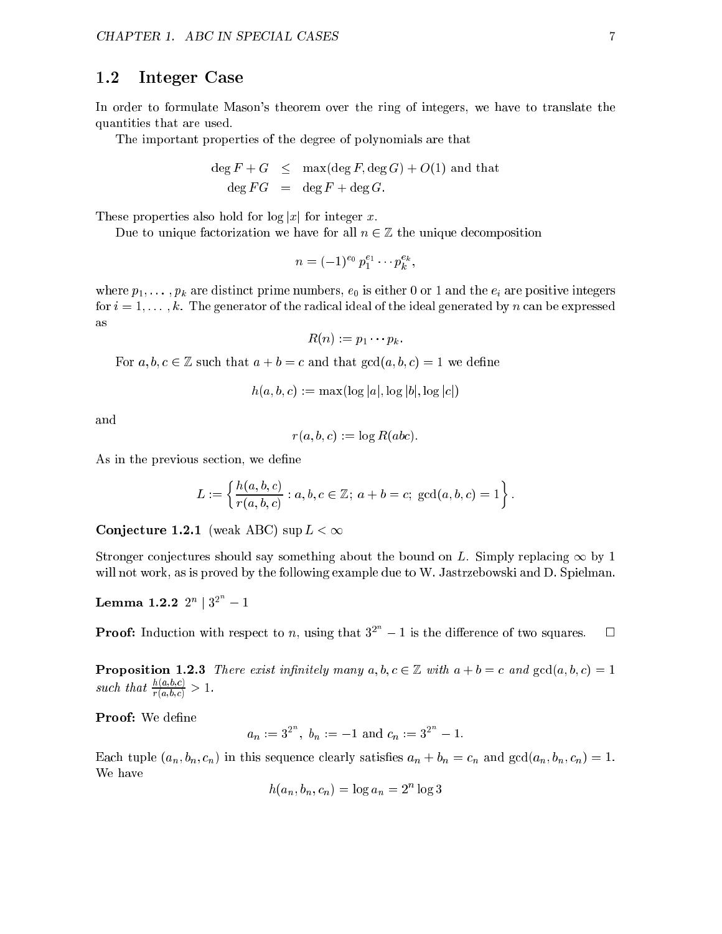### 1.2 Integer Case

In order to formulate Mason's theorem over the ring of integers, we have to translate the quantities that are used.

The important properties of the degree of polynomials are that

$$
\deg F + G \leq \max(\deg F, \deg G) + O(1) \text{ and that}
$$
  

$$
\deg FG = \deg F + \deg G.
$$

These properties also hold for  $log |x|$  for integer x.

Due to unique factorization we have for all  $n \in \mathbb{Z}$  the unique decomposition

$$
n = (-1)^{e_0} p_1^{e_1} \cdots p_k^{e_k},
$$

where  $p_1, \ldots, p_k$  are distinct prime numbers,  $e_0$  is either 0 or 1 and the  $e_i$  are positive integers for  $i = 1, \ldots, k$ . The generator of the radical ideal of the ideal generated by n can be expressed as

$$
R(n) := p_1 \cdots p_k.
$$

For  $a, b, c \in \mathbb{Z}$  such that  $a + b = c$  and that  $gcd(a, b, c) = 1$  we define

$$
h(a, b, c) := \max(\log|a|, \log|b|, \log|c|)
$$

and

$$
r(a, b, c) := \log R(abc).
$$

As in the previous section, we define

$$
L := \left\{ \frac{h(a, b, c)}{r(a, b, c)} : a, b, c \in \mathbb{Z}; \ a + b = c; \ \gcd(a, b, c) = 1 \right\}.
$$

Conjecture 1.2.1 (weak ABC) sup  $L < \infty$ 

Stronger conjectures should say something about the bound on L. Simply replacing  $\infty$  by 1 will not work, as is proved by the following example due to W. Jastrzebowski and D. Spielman.

 ${\bf Lemma \ 1.2.2} \ \ 2^n \ | \ 3^2 \ \ -1$ 

**Proof:** Induction with respect to n, using that  $3^2 - 1$  is the difference of two squares.  $\Box$ 

**Proposition 1.2.3** There exist infinitely many  $a, b, c \in \mathbb{Z}$  with  $a + b = c$  and  $gcd(a, b, c) = 1$ such that  $\frac{ }{r(a,b,c)} > 1$ .

Proof: We define

$$
a_n := 3^{2^n}
$$
,  $b_n := -1$  and  $c_n := 3^{2^n} - 1$ .

Each tuple  $(a_n, b_n, c_n)$  in this sequence clearly satisfies  $a_n + b_n = c_n$  and  $gcd(a_n, b_n, c_n) = 1$ . We have

$$
h(a_n, b_n, c_n) = \log a_n = 2^n \log 3
$$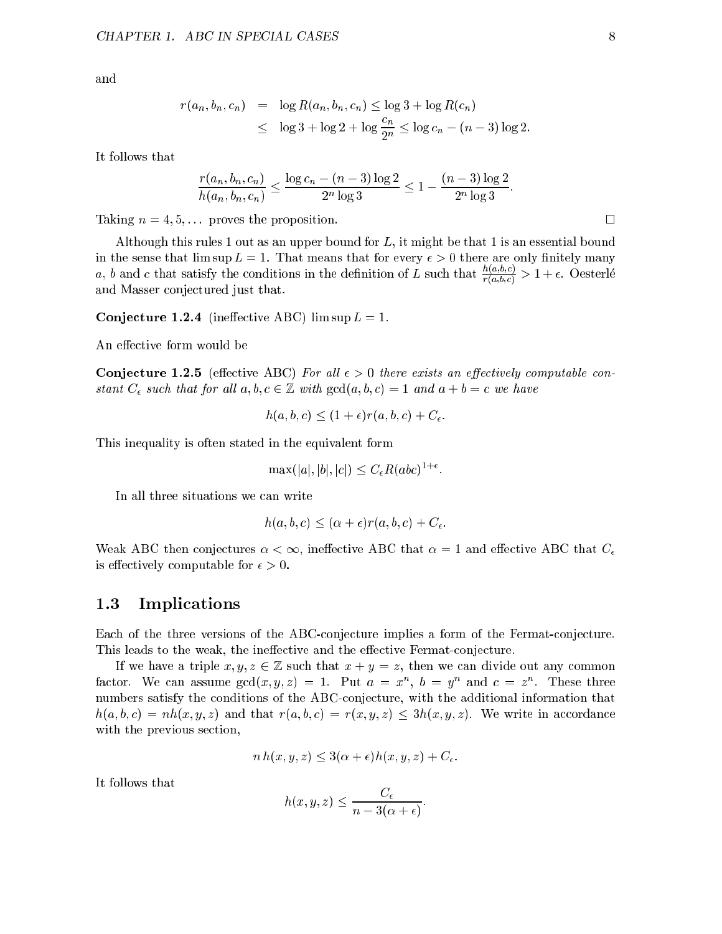and

$$
r(a_n, b_n, c_n) = \log R(a_n, b_n, c_n) \le \log 3 + \log R(c_n)
$$
  
 
$$
\le \log 3 + \log 2 + \log \frac{c_n}{2^n} \le \log c_n - (n-3) \log 2.
$$

It follows that

$$
\frac{r(a_n, b_n, c_n)}{h(a_n, b_n, c_n)} \le \frac{\log c_n - (n-3) \log 2}{2^n \log 3} \le 1 - \frac{(n-3) \log 2}{2^n \log 3}.
$$

Taking  $n = 4, 5, \ldots$  proves the proposition.

Although this rules 1 out as an upper bound for L, it might be that 1 is an essential bound in the sense that  $\limsup L = 1$ . That means that for every  $\epsilon > 0$  there are only finitely many a, b and c that satisfy the conditions in the definition of L such that  $\frac{\gamma_{(a,b,c)}}{r(a,b,c)} > 1 + \epsilon$ . Oesterle and Masser conjectured just that.

Conjecture 1.2.4 (ineffective ABC) lim sup  $L = 1$ .

An effective form would be

**Conjecture 1.2.5** (effective ABC) For all  $\epsilon > 0$  there exists an effectively computable constant  $C_{\epsilon}$  such that for all  $a, b, c \in \mathbb{Z}$  with  $gcd(a, b, c) = 1$  and  $a + b = c$  we have

$$
h(a, b, c) \le (1 + \epsilon)r(a, b, c) + C_{\epsilon}.
$$

This inequality is often stated in the equivalent form

$$
\max(|a|, |b|, |c|) \le C_{\epsilon} R(abc)^{1+\epsilon}.
$$

In all three situations we can write

$$
h(a, b, c) \leq (\alpha + \epsilon)r(a, b, c) + C_{\epsilon}.
$$

Weak ABC then conjectures  $\alpha < \infty$ , ineffective ABC that  $\alpha = 1$  and effective ABC that  $C_{\epsilon}$ is effectively computable for  $\epsilon > 0$ .

### 1.3 Implications

Each of the three versions of the ABC-conjecture implies a form of the Fermat-conjecture. This leads to the weak, the ineffective and the effective Fermat-conjecture.

If we have a triple  $x, y, z \in \mathbb{Z}$  such that  $x + y = z$ , then we can divide out any common factor. We can assume  $gcd(x, y, z) = 1$ . Put  $a = x$ ,  $b = y$  and  $c = z$ . These three numbers satisfy the conditions of the ABC-conjecture, with the additional information that  $h(a, b, c) = nh(x, y, z)$  and that  $r(a, b, c) = r(x, y, z) \leq 3h(x, y, z)$ . We write in accordance with the previous section,

$$
n h(x, y, z) \le 3(\alpha + \epsilon)h(x, y, z) + C_{\epsilon}.
$$

It follows that

$$
h(x, y, z) \leq \frac{C_{\epsilon}}{n - 3(\alpha + \epsilon)}.
$$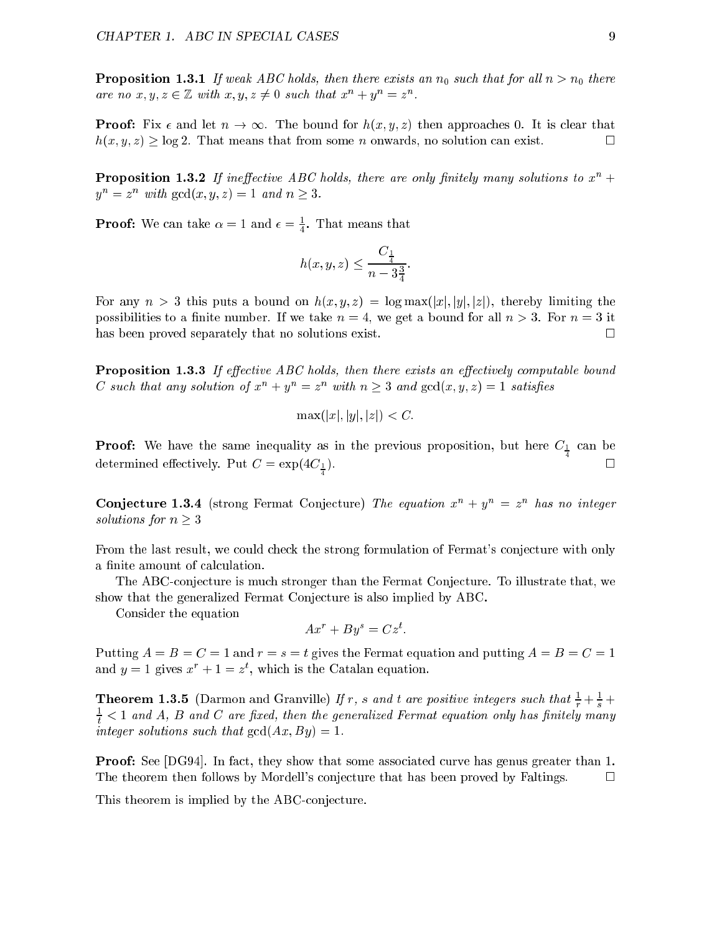**Proposition 1.3.1** If weak ABC holds, then there exists an  $n_0$  such that for all  $n > n_0$  there are no x, y,  $z \in \mathbb{Z}$  with  $x, y, z \neq 0$  such that  $x^2 + y^2 = z^2$ .

**Proof:** Fix  $\epsilon$  and let  $n \to \infty$ . The bound for  $h(x, y, z)$  then approaches 0. It is clear that  $h(x, y, z) \geq \log 2$ . That means that from some n onwards, no solution can exist.  $\Box$ 

**Proposition 1.3.2** If ineffective ABC holds, there are only finitely many solutions to  $x^n$  +  $y = z$  with gcd(x, y, z) = 1 and  $n > 3$ .

**Proof:** We can take  $\alpha = 1$  and  $\epsilon = \frac{1}{4}$ . That means that

$$
h(x,y,z)\leq \frac{C_{\frac{1}{4}}}{n-3\frac{3}{4}}.
$$

For any  $n > 3$  this puts a bound on  $h(x, y, z) = \log \max(|x|, |y|, |z|)$ , thereby limiting the possibilities to a finite number. If we take  $n = 4$ , we get a bound for all  $n > 3$ . For  $n = 3$  it has been proved separately that no solutions exist.  $\Box$ 

**Proposition 1.3.3** If effective ABC holds, then there exists an effectively computable bound  $C$  such that any solution of  $x + y = z$  with  $n \geq 3$  and  $gcd(x, y, z) = 1$  satisfies

$$
\max(|x|, |y|, |z|) < C.
$$

Proof: We have the same inequality as in the previous proposition, but here C1 can be determined effectively. Put  $C = \exp(4C_{\frac{1}{2}})$ .  $\blacksquare$ 

**Conjecture 1.3.4** (strong Fermat Conjecture) The equation  $x^2 + y^2 = z^2$  has no integer solutions for  $n \geq 3$ 

From the last result, we could check the strong formulation of Fermat's conjecture with only a finite amount of calculation.

The ABC-conjecture is much stronger than the Fermat Conjecture. To illustrate that, we show that the generalized Fermat Conjecture is also implied by ABC.

Consider the equation

$$
Ax^r + By^s = Cz^t.
$$

Putting  $A = B = C = 1$  and  $r = s = t$  gives the Fermat equation and putting  $A = B = C = 1$ and  $y = 1$  gives  $x + 1 = z$ , which is the Catalan equation.

**Theorem 1.3.5** (Darmon and Granville) If r, s and t are positive integers such that  $\frac{1}{r} + \frac{1}{s} + \frac{1}{s}$  $\frac{1}{t}$   $<$  1 and A, B and C are fixed, then the generalized Fermat equation only has finitely many integer solutions such that  $gcd(Ax, By) = 1$ .

Proof: See [DG94]. In fact, they show that some associated curve has genus greater than 1. The theorem then follows by Mordell's conjecture that has been proved by Faltings.  $\Box$ 

This theorem is implied by the ABC-conjecture.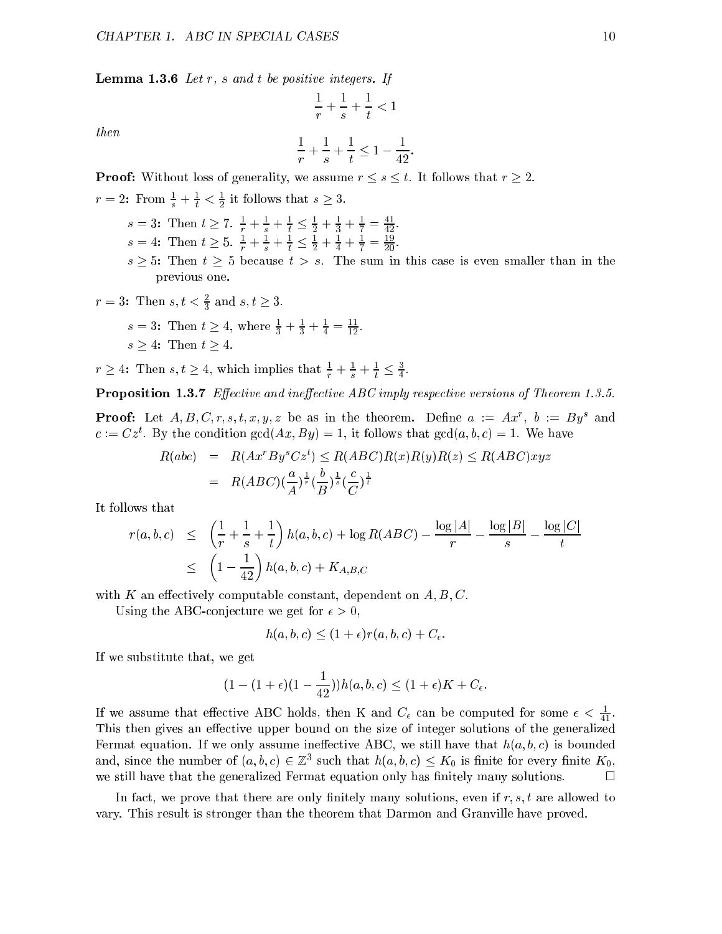**Lemma 1.3.6** Let  $r$ ,  $s$  and  $t$  be positive integers. If

then

$$
\frac{1}{r} + \frac{1}{s} + \frac{1}{t} \le 1 - \frac{1}{42}.
$$

 $- + - + - < 1$ 

**Proof:** Without loss of generality, we assume  $r \leq s \leq t$ . It follows that  $r \geq 2$ .

- $r = 2$ : From  $\frac{1}{s} + \frac{1}{t} < \frac{1}{2}$  it follows that  $s \geq 3$ .
	- $s = 3:$  Then  $t \geq 1$ ,  $\frac{1}{r} + \frac{1}{s} + \frac{1}{t} \geq \frac{1}{2} + \frac{1}{3} + \frac{1}{7} = \frac{1}{42}$ .  $s = 4$ : Then  $t \geq 0$ ,  $\frac{1}{r} + \frac{1}{s} + \frac{1}{t} \geq \frac{1}{2} + \frac{1}{4} + \frac{1}{7} = \frac{1}{20}$ .
	- $s \geq 5$ : Then  $t \geq 5$  because  $t > s$ . The sum in this case is even smaller than in the previous one.

$$
r = 3
$$
: Then  $s, t < \frac{2}{3}$  and  $s, t \ge 3$ .

- $s = 3:$  Then  $t \geq 4$ , where  $\frac{1}{3} + \frac{1}{3} + \frac{1}{4} = \frac{1}{12}$ .
- $s \geq 4$ : Then  $t \geq 4$ .

 $r \geq 4$ : Then  $s, t \geq 4$ , which implies that  $\frac{1}{r} + \frac{1}{s} + \frac{1}{t} \geq \frac{1}{4}$ .

**Proposition 1.3.7** Effective and ineffective ABC imply respective versions of Theorem 1.3.5.

**Proof:** Let  $A, D, \cup, T, s, t, x, y, z$  be as in the theorem. Denne  $a := Ax$ ,  $b := Dy$  and  $c := \bigcup z$ . By the condition gcd(Ax, By) = 1, it follows that gcd(a, b, c) = 1. We have

$$
R(abc) = R(Ax^rBy^sCz^t) \leq R(ABC)R(x)R(y)R(z) \leq R(ABC)xyz
$$
  
= 
$$
R(ABC)(\frac{a}{A})^{\frac{1}{r}}(\frac{b}{B})^{\frac{1}{s}}(\frac{c}{C})^{\frac{1}{t}}
$$

It follows that

$$
r(a, b, c) \le \left(\frac{1}{r} + \frac{1}{s} + \frac{1}{t}\right)h(a, b, c) + \log R(ABC) - \frac{\log |A|}{r} - \frac{\log |B|}{s} - \frac{\log |C|}{t}
$$
  

$$
\le \left(1 - \frac{1}{42}\right)h(a, b, c) + K_{A, B, C}
$$

with K an effectively computable constant, dependent on  $A, B, C$ .

Using the ABC-conjecture we get for  $\epsilon > 0$ ,

$$
h(a, b, c) \le (1 + \epsilon)r(a, b, c) + C_{\epsilon}.
$$

If we substitute that, we get

$$
(1-(1+\epsilon)(1-\frac{1}{42}))h(a,b,c) \leq (1+\epsilon)K + C_{\epsilon}.
$$

If we assume that effective ABC holds, then K and  $C_{\epsilon}$  can be computed for some  $\epsilon < \frac{1}{41}$ . This then gives an effective upper bound on the size of integer solutions of the generalized Fermat equation. If we only assume ineffective ABC, we still have that  $h(a, b, c)$  is bounded and, since the number of  $(a, v, c) \in \mathbb{Z}$  such that  $h(a, v, c) \leq \mathbf{\Lambda}_0$  is nifte for every nifted  $\mathbf{\Lambda}_0$ , we still have that the generalized Fermat equation only has finitely many solutions.  $\Box$ 

In fact, we prove that there are only finitely many solutions, even if  $r, s, t$  are allowed to vary. This result is stronger than the theorem that Darmon and Granville have proved.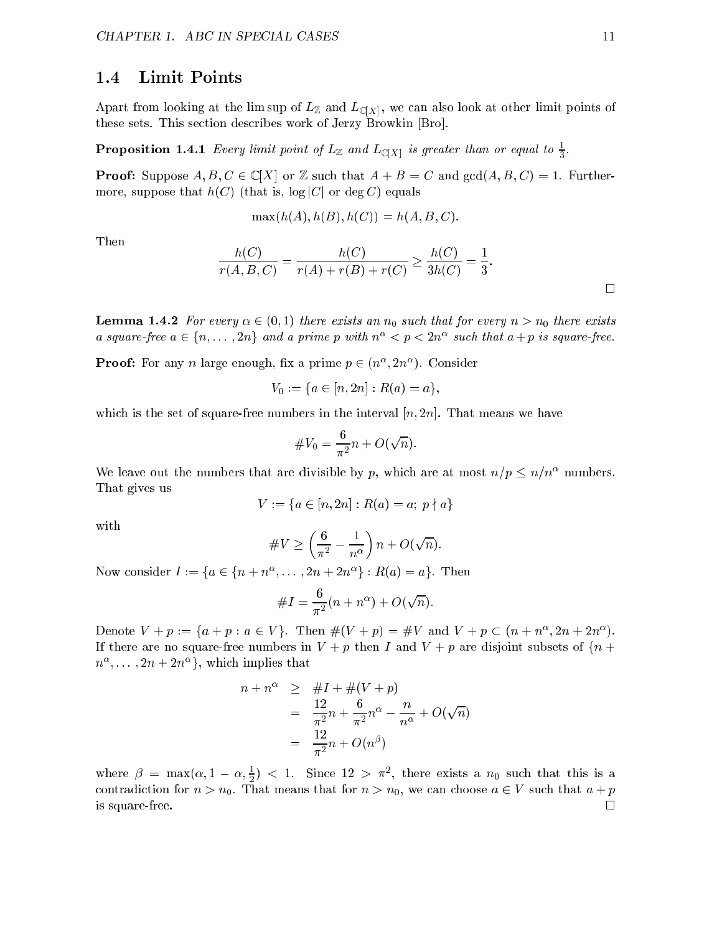### 1.4 Limit Points

 $\mathbf{r}$  , we can also looking at the limit points of LZ and LC and LC and LC and LC and LC and LC and LC and LC and LC and LC and LC and LC and LC and LC and LC and LC and LC and LC and LC and LC and LC and LC and LC and these sets. This section describes work of Jerzy Browkin [Bro].

**Proposition 1.4.1** Every umit point of  $L\mathbb{Z}$  and  $L\mathbb{C}[X]$  is greater than or equal to  $\frac{1}{3}$ .

**Proof:** Suppose  $A, B, C \in \mathbb{C}[X]$  or Z such that  $A + B = C$  and  $gcd(A, B, C) = 1$ . Furthermore, suppose that  $h(C)$  (that is,  $\log|C|$  or  $\deg C$ ) equals

$$
\max(h(A), h(B), h(C)) = h(A, B, C).
$$

Then

$$
\frac{h(C)}{r(A, B, C)} = \frac{h(C)}{r(A) + r(B) + r(C)} \ge \frac{h(C)}{3h(C)} = \frac{1}{3}.
$$

**Lemma 1.4.2** For every  $\alpha \in (0, 1)$  there exists an  $n_0$  such that for every  $n > n_0$  there exists a square-free  $a \in \{n, \ldots, 2n\}$  and a prime p with  $n^- \leq p \leq 2n^-$  such that  $a + p$  is square-free.

**Proof:** For any *n* large enough, iix a prime  $p \in (n^{\infty}, 2n^{\infty})$ . Consider

$$
V_0 := \{ a \in [n, 2n] : R(a) = a \},
$$

which is the set of square-free numbers in the interval  $[n, 2n]$ . That means we have

$$
\#V_0=\frac{6}{\pi^2}n+O(\sqrt{n}).
$$

We leave out the numbers that are divisible by p, which are at most  $n/p \leq n/n^{\alpha}$  numbers. That gives us

$$
V := \{ a \in [n, 2n] : R(a) = a; \ p \nmid a \}
$$

with

#V <sup>2</sup> n n + O( <sup>p</sup> n):

Now consider  $I := \{a \in \{n + n^+, \ldots, 2n + 2n^+\} : R(a) = a\}$ . Then

#I = <sup>2</sup> (n + n ) + O( <sup>p</sup> n):

Denote  $V_1 + p := \{a + p : a \in V_1\}$ . Then  $\#(V_1 + p) = \#V_2$  and  $V_1 + p \subset (n + n^2, 2n + 2n^2)$ . If there are no square-free numbers in  $V + p$  then I and  $V + p$  are disjoint subsets of  $\{n + p\}$  $\mu$ , ...,  $2n + 2n$  ; which implies that

$$
n + n^{\alpha} \geq #I + #(V + p)
$$
  
=  $\frac{12}{\pi^2}n + \frac{6}{\pi^2}n^{\alpha} - \frac{n}{n^{\alpha}} + O(\sqrt{n})$   
=  $\frac{12}{\pi^2}n + O(n^{\beta})$ 

where  $\rho = \max(\alpha, 1 - \alpha, \frac{\pi}{2})$  < 1. Since 12 >  $\pi$ <sup>-</sup>, there exists a  $n_0$  such that this is a contradiction for n  $\rho$  and the means that for n  $\epsilon$  and  $\eta$  we can choose a 2  $\epsilon$  such that  $\eta$  + p is square-free.  $\Box$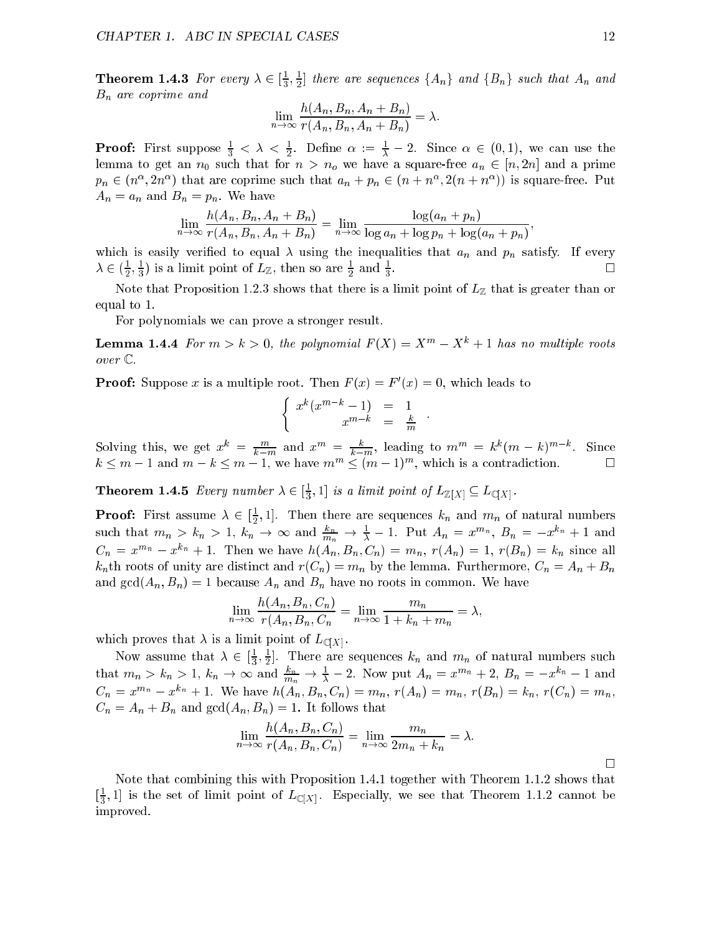**Theorem 1.4.3** For every  $\lambda \in [\frac{1}{2}, \frac{1}{2}]$  there are sequences  $\{A_n\}$  and  $\{B_n\}$  such that  $A_n$  and  $B_n$  are coprime and

$$
\lim_{n \to \infty} \frac{h(A_n, B_n, A_n + B_n)}{r(A_n, B_n, A_n + B_n)} = \lambda.
$$

**Proof:** First suppose  $\frac{2}{3} < \lambda < \frac{1}{2}$ . Define  $\alpha := \frac{1}{\lambda} - 2$ . Since  $\alpha \in (0, 1)$ , we can use the lemma to get an  $n_0$  such that for  $n > n_0$  we have a square-free  $a_n \in [n, 2n]$  and a prime  $p_n \in (n_-, 2n_-)$  that are coprime such that  $a_n + p_n \in (n + n_-, 2(n + n_-))$  is square-free. Put  $A_n = a_n$  and  $B_n = p_n$ . We have

$$
\lim_{n\to\infty}\frac{h(A_n, B_n, A_n + B_n)}{r(A_n, B_n, A_n + B_n)} = \lim_{n\to\infty}\frac{\log(a_n + p_n)}{\log a_n + \log p_n + \log(a_n + p_n)},
$$

which is easily verified to equal  $\lambda$  using the inequalities that  $a_n$  and  $p_n$  satisfy. If every П  $\lambda \in (\frac{1}{2}, \frac{1}{3})$  is a limit point of  $L \mathbb{Z}$ , then so are  $\frac{1}{2}$  and  $\frac{1}{3}$ 

Note that Proposition 1.2.3 shows that there is a limit point of  $L_{\mathbb{Z}}$  that is greater than or equal to 1.

For polynomials we can prove a stronger result.

**Lemma 1.4.4** For  $m > k > 0$ , the polynomial  $F(X) = X^m - X^k + 1$  has no multiple roots over  $\mathbb{C}$ .

**Proof:** Suppose x is a multiple root. Then  $F(x) = F(x) = 0$ , which leads to

$$
\left\{\begin{array}{rcl} x^k(x^{m-k}-1) & = & 1\\ x^{m-k} & = & \frac{k}{m} \end{array}\right..
$$

Solving this, we get  $x^{\mu} = \frac{k-m}{k-m}$  and  $x^{\mu\nu} = \frac{k-m}{k-m}$ , leading to  $m^{\mu\nu} = \kappa^{\mu}(m - \kappa)^{m-\mu}$ . Since  $\kappa \leq m - 1$  and  $m - \kappa \leq m - 1$ , we have  $m \leq (m - 1)$ , which is a contradiction.

**Theorem 1.4.5** Every number  $\lambda \in [\frac{1}{3}, 1]$  is a limit point of  $L_{\mathbb{Z}}[X] \subseteq L_{\mathbb{C}}[X]$ .

**Proof:** First assume  $\lambda \in [\frac{1}{2}, 1]$ . Then there are sequences  $\kappa_n$  and  $m_n$  of natural numbers such that  $m_n > k_n > 1$ ,  $k_n \to \infty$  and  $\frac{k_n}{m_n} \to \frac{1}{\lambda} - 1$ . Put  $A_n = x^{m_n}$ ,  $B_n = -x^{k_n} + 1$  and  $C_n = x^{m_n} - x^{k_n} + 1$ . Then we have  $h(A_n, B_n, C_n) = m_n$ ,  $r(A_n) = 1$ ,  $r(B_n) = k_n$  since all  $k_n$ th roots of unity are distinct and  $r(C_n) = m_n$  by the lemma. Furthermore,  $C_n = A_n + B_n$ and  $gcd(A_n, B_n) = 1$  because  $A_n$  and  $B_n$  have no roots in common. We have

$$
\lim_{n \to \infty} \frac{h(A_n, B_n, C_n)}{r(A_n, B_n, C_n)} = \lim_{n \to \infty} \frac{m_n}{1 + k_n + m_n} = \lambda,
$$

which proves that  $\lambda$  is a limit point of  $L_{\mathbb{C}[X]}$ .

Now assume that  $\lambda \in [\frac{1}{2}, \frac{1}{2}]$ . There are sequences  $\kappa_n$  and  $m_n$  of natural numbers such that  $m_n > k_n > 1$ ,  $k_n \to \infty$  and  $\frac{k_n}{m_n} \to \frac{1}{\lambda} - 2$ . Now put  $A_n = x^{m_n} + 2$ ,  $B_n = -x^{k_n} - 1$  and  $C_n = x^{m_n} - x^{k_n} + 1$ . We have  $h(A_n, B_n, C_n) = m_n$ ,  $r(A_n) = m_n$ ,  $r(B_n) = k_n$ ,  $r(C_n) = m_n$ ,  $C_n = A_n + B_n$  and  $gcd(A_n, B_n) = 1$ . It follows that

$$
\lim_{n \to \infty} \frac{h(A_n, B_n, C_n)}{r(A_n, B_n, C_n)} = \lim_{n \to \infty} \frac{m_n}{2m_n + k_n} = \lambda.
$$

Note that combining this with Proposition 1.4.1 together with Theorem 1.1.2 shows that  $[\frac{1}{2}, 1]$  is the set of limit point of  $L_{\mathbb{C}[X]}$ . Especially, we see that Theorem 1.1.2 cannot be improved.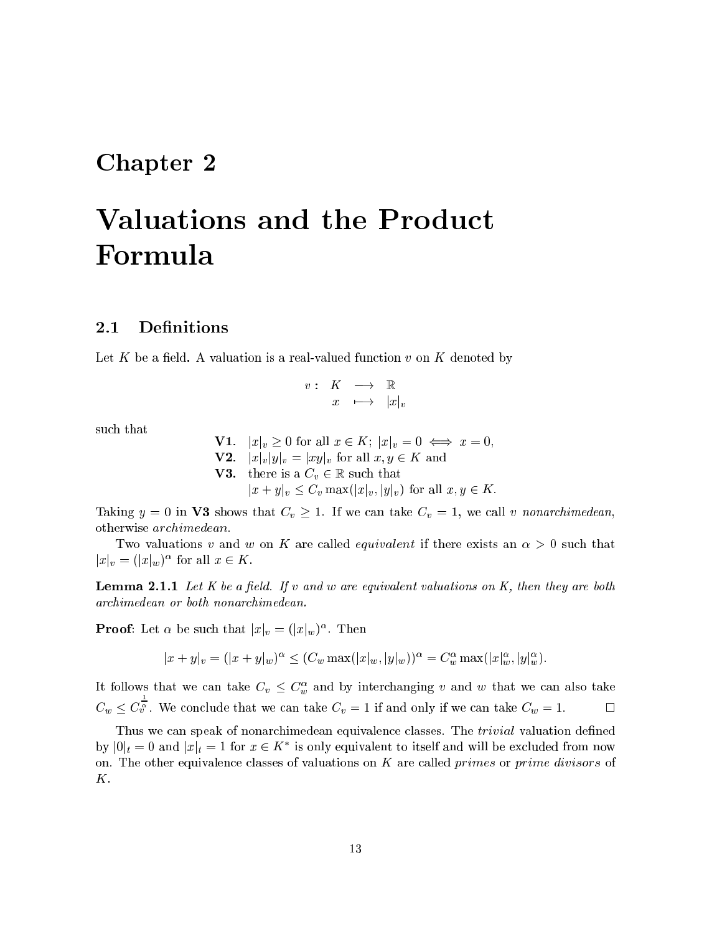# Chapter 2

# Valuations and the Product Formula

# 2.1 Definitions

Let K be a field. A valuation is a real-valued function v on K denoted by

$$
\begin{array}{cccc}v: & K & \longrightarrow & \mathbb{R} \\ & x & \longmapsto & |x|_v \end{array}
$$

such that

**V1**.  $|x|_v \geq 0$  for all  $x \in K$ ;  $|x|_v = 0 \iff x = 0$ , **V2.**  $|x|_v|y|_v = |xy|_v$  for all  $x, y \in K$  and **V3**. there is a  $C_v \in \mathbb{R}$  such that  $|x + y|_v \leq C_v \max(|x|_v, |y|_v)$  for all  $x, y \in K$ .

Taking  $y = 0$  in **V3** shows that  $C_v \ge 1$ . If we can take  $C_v = 1$ , we call v nonarchimedean, otherwise archimedean.

Two valuations v and w on K are called *equivalent* if there exists an  $\alpha > 0$  such that  $|x|_v = (|x|_w)$  for all  $x \in \mathbf{A}$ .

**Lemma 2.1.1** Let K be a field. If v and w are equivalent valuations on K, then they are both archimedean or both nonarchimedean.

**Proof:** Let  $\alpha$  be such that  $|x|_v = (|x|_w)^{-1}$ . Then

 $||x + y||_v = (||x + y||_w)^{-1} \leq (C_w \max(|x|_w, |y|_w))^{-1} = C_w^{-1} \max(|x|_w, |y|_w^{\prime}).$ 

It follows that we can take  $C_v \leq C_w$  and by interchanging v and w that we can also take  $\overline{v}_v^{\bar{\alpha}}$ . We conclude that we can take  $C_v = 1$  if and only if we can take  $C_w = 1$ .

Thus we can speak of nonarchimedean equivalence classes. The *trivial* valuation defined by  $|0|_t = 0$  and  $|x|_t = 1$  for  $x \in \mathbb{R}$  is only equivalent to itself and will be excluded from now on. The other equivalence classes of valuations on K are called primes or prime divisors of K.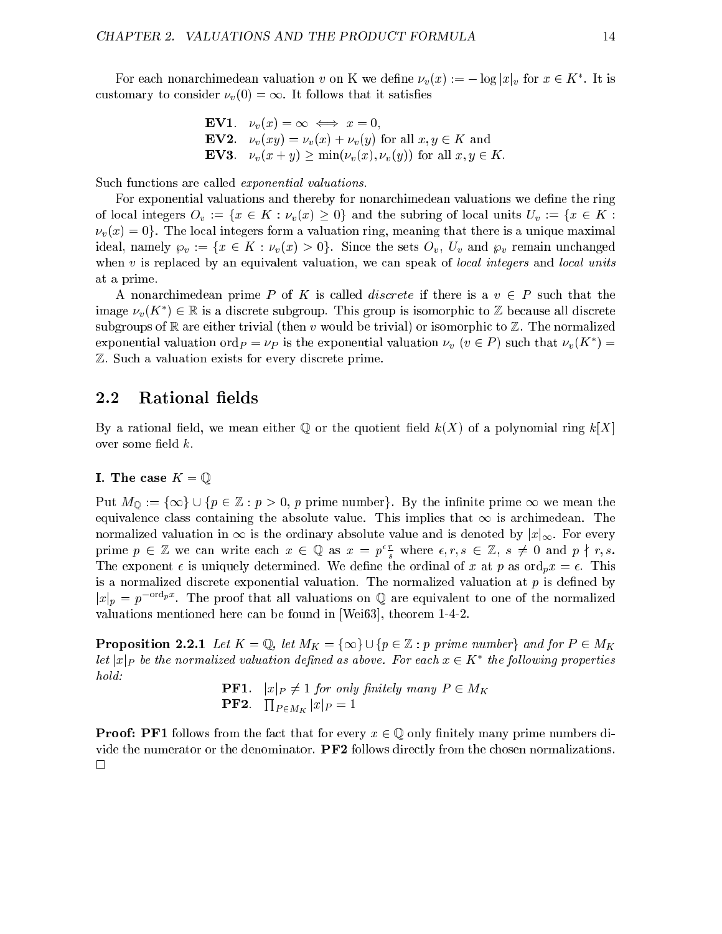For each nonarchimedean valuation v on K we define  $\nu_v(x) := -\log |x|_v$  for  $x \in K$ . It is customary to consider  $\nu_v(0) = \infty$ . It follows that it satisfies

**EV1.** 
$$
\nu_v(x) = \infty \iff x = 0,
$$
  
\n**EV2.**  $\nu_v(xy) = \nu_v(x) + \nu_v(y)$  for all  $x, y \in K$  and  
\n**EV3.**  $\nu_v(x + y) \ge \min(\nu_v(x), \nu_v(y))$  for all  $x, y \in K$ .

Such functions are called exponential valuations.

For exponential valuations and thereby for nonarchimedean valuations we define the ring of local integers  $O_v := \{x \in K : \nu_v(x) \geq 0\}$  and the subring of local units  $U_v := \{x \in K : \nu_v(x) \geq 0\}$  $\nu_v(x) = 0$ . The local integers form a valuation ring, meaning that there is a unique maximal ideal, namely  $\wp_v := \{x \in K : \nu_v(x) > 0\}$ . Since the sets  $O_v$ ,  $U_v$  and  $\wp_v$  remain unchanged when  $v$  is replaced by an equivalent valuation, we can speak of *local integers* and *local units* at a prime.

A nonarchimedean prime P of K is called *discrete* if there is a  $v \in P$  such that the image  $\nu_v(\mathbf{A}^-) \in \mathbb{R}$  is a discrete subgroup. This group is isomorphic to  $\mathbb{Z}$  because all discrete subgroups of R are either trivial (then v would be trivial) or isomorphic to  $\mathbb Z$ . The normalized exponential valuation ord $p = \nu_P$  is the exponential valuation  $\nu_v$  ( $v \in P$  ) such that  $\nu_v(\mathbf{A}^-) =$ Z. Such a valuation exists for every discrete prime.

### 2.2 Rational fields

By a rational field, we mean either Q or the quotient field  $k(X)$  of a polynomial ring  $k[X]$ over some field  $k$ .

### I. The case  $K = \mathbb{Q}$

Put  $M_{\mathbb{Q}} := {\infty} \cup {\{p \in \mathbb{Z} : p > 0, p \text{ prime number}}\}.$  By the infinite prime  $\infty$  we mean the equivalence class containing the absolute value. This implies that  $\infty$  is archimedean. The normalized valuation in  $\infty$  is the ordinary absolute value and is denoted by  $|x|_{\infty}$ . For every prime  $p \in \mathbb{Z}$  we can write each  $x \in \mathbb{Q}$  as  $x = p \frac{1}{s}$  where  $\epsilon, r, s \in \mathbb{Z}, s \neq 0$  and  $p \nmid r, s$ . The exponent  $\epsilon$  is uniquely determined. We define the ordinal of x at p as ord<sub>p</sub> $x = \epsilon$ . This is a normalized discrete exponential valuation. The normalized valuation at  $p$  is defined by  $|x|_p = p$  are proof that all valuations on Q are equivalent to one of the normalized valuations mentioned here can be found in [Wei63], theorem 1-4-2.

**Proposition 2.2.1** Let  $K = \mathbb{Q}$ , let  $M_K = \{\infty\} \cup \{p \in \mathbb{Z} : p \text{ prime number}\}\$  and for  $P \in M_K$ let  $|x|$  p be the normalized valuation defined as above. For each  $x \in \mathbf{A}$  -the following properties hold:

> $\Box$  if  $\Box$  if  $\Box$  if  $\Box$  if  $\Box$  if  $\Box$  if  $\Box$  if  $\Box$  $\mathbf{P}\mathbf{F2}. \quad \prod_{P \in M_K} |x|_P = 1$

**Proof: PF1** follows from the fact that for every  $x \in \mathbb{Q}$  only finitely many prime numbers divide the numerator or the denominator. PF2 follows directly from the chosen normalizations.  $\Box$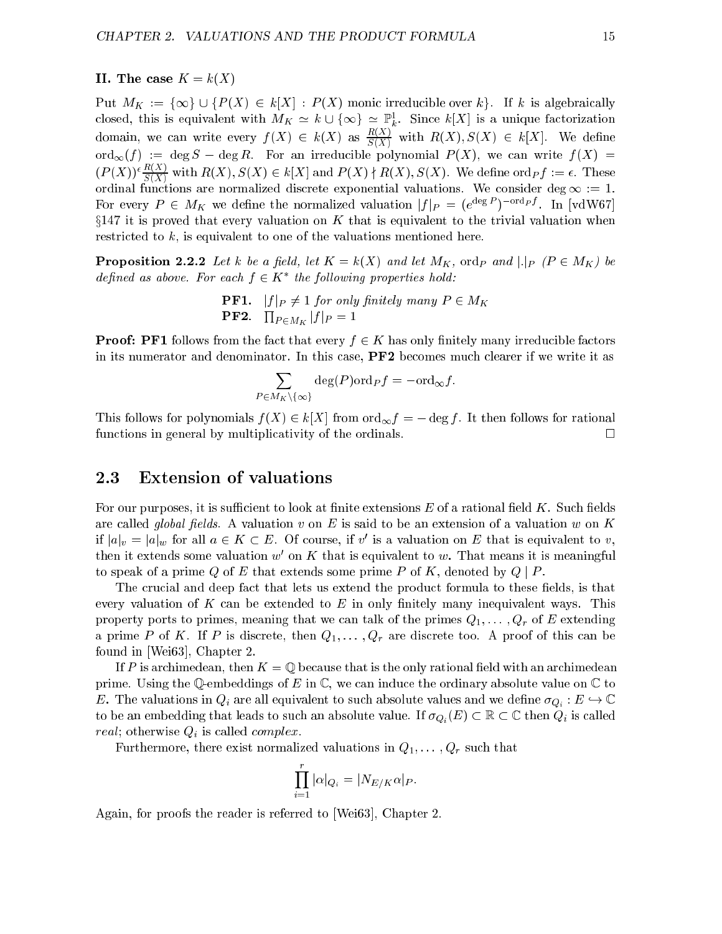### II. The case  $K = k(X)$

 $P$ ut Makharatally is provided over the monocologically irreducible over the monocological monocologically is algebraically if  $\mathcal{N}$ closed, this is equivalent with  $M_K \simeq \kappa \cup \{\infty\} \simeq \mathbb{P}^*_k$ . Since  $\kappa [X]$  is a unique factorization domain, we can write every  $f(X) \in k(X)$  as  $\frac{1}{S(X)}$  with  $R(X), S(X) \in k[X]$ . We define ord1(f ) := deg S deg R. For an irreducible polynomial P (X), we can write f (X) =  $(P(X)) \cdot \frac{1}{S(X)}$  with  $R(X), S(X) \in k[X]$  and  $P(X) \nmid R(X), S(X)$ . We define ord  $p f := \epsilon$ . These ordinal functions are normalized discrete exponential valuations. We consider deg <sup>1</sup> := 1. For every  $P \in M_K$  we define the normalized valuation  $|f|_P = (e^{i\omega_0} \cdot e^{-i\omega_0 t})$ . In [vdw67]  $\S 147$  it is proved that every valuation on K that is equivalent to the trivial valuation when restricted to  $k$ , is equivalent to one of the valuations mentioned here.

**Proposition 2.2.2** Let k be a field, let  $K = k(X)$  and let  $M_K$ , ordp and  $|.|_P$  ( $P \in M_K$ ) be defined as above. For each  $f \in K$  and following properties hold:

> **PF1**.  $|f|_P \neq 1$  for only finitely many  $P \in M_K$  $\mathbf{P}\mathbf{F2}. \quad \prod_{P \in M_K} |f|_P = 1$

**Proof: PF1** follows from the fact that every  $f \in K$  has only finitely many irreducible factors in its numerator and denominator. In this case, PF2 becomes much clearer if we write it as

$$
\sum_{P \in M_K \setminus \{\infty\}} \deg(P) \text{ord}_P f = -\text{ord}_{\infty} f.
$$

This follows for polynomials  $f(X) \in k[X]$  from  $\text{ord}_{\infty} f = -\deg f$ . It then follows for rational functions in general by multiplicativity of the ordinals.  $\Box$ 

### 2.3 Extension of valuations

For our purposes, it is sufficient to look at finite extensions  $E$  of a rational field  $K$ . Such fields are called *global fields*. A valuation v on E is said to be an extension of a valuation w on K  $\|u\|_v = |a|_w$  for all  $a \in K \subset E$ . Of course, if v is a valuation on E that is equivalent to v, then it extends some valuation  $w$  on  $K$  that is equivalent to  $w$ . That means it is meaningful to speak of a prime Q of E that extends some prime P of K, denoted by  $Q \mid P$ .

The crucial and deep fact that lets us extend the product formula to these fields, is that every valuation of K can be extended to  $E$  in only finitely many inequivalent ways. This property ports to primes, meaning that we can talk of the primes  $Q_1, \ldots, Q_r$  of E extending a prime P of K. If P is discrete, then  $Q_1, \ldots, Q_r$  are discrete too. A proof of this can be found in [Wei63], Chapter 2.

If P is archimedean, then  $K = \mathbb{Q}$  because that is the only rational field with an archimedean prime. Using the Q-embeddings of E in  $\mathbb C$ , we can induce the ordinary absolute value on  $\mathbb C$  to  $\mathcal{L}_{\ell}$  are all equivalent to such a real equivalent to such a such as  $\mathcal{L}_{\ell}$  , we denote a such as  $\mathcal{L}_{\ell}$ to be an embedding that leads to such an absolute value. If  $\sigma_{Q_i}(E) \subset \mathbb{R} \subset \mathbb{C}$  then  $Q_i$  is called *real*; otherwise  $Q_i$  is called *complex*.

Furthermore, there exist normalized valuations in  $Q_1, \ldots, Q_r$  such that

$$
\prod_{i=1}^r |\alpha|_{Q_i} = |N_{E/K}\alpha|_P.
$$

Again, for proofs the reader is referred to [Wei63], Chapter 2.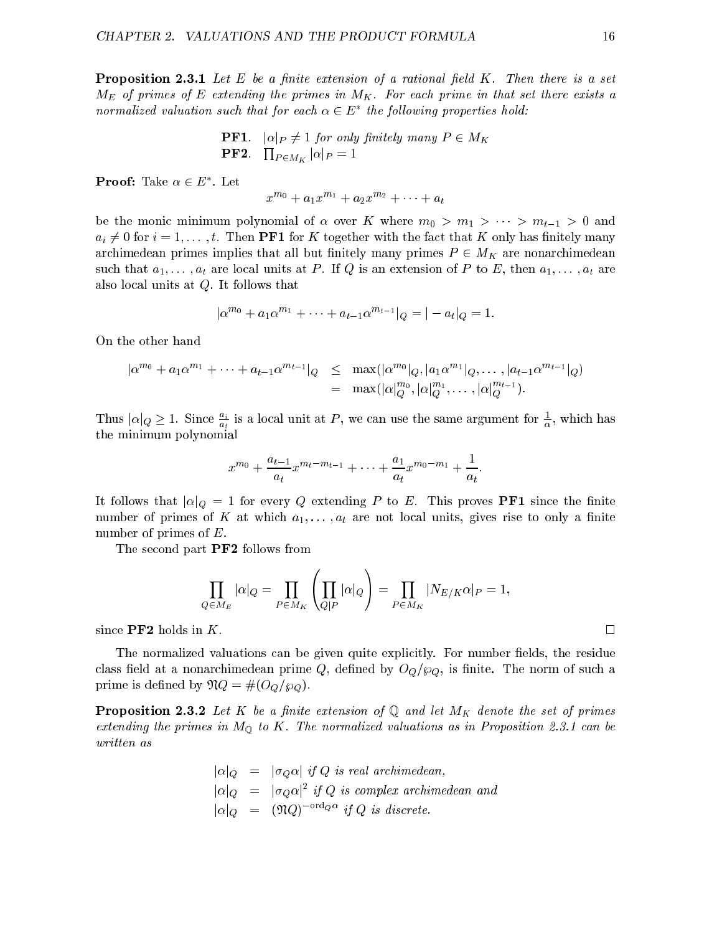**Proposition 2.3.1** Let  $E$  be a finite extension of a rational field  $K$ . Then there is a set  $M_E$  of primes of E extending the primes in  $M_K$ . For each prime in that set there exists a normalized valuation such that for each  $\alpha \in E$  -the following properties hold:

**PF1.** 
$$
|\alpha|_P \neq 1
$$
 for only finitely many  $P \in M_K$   
**PF2.**  $\prod_{P \in M_K} |\alpha|_P = 1$ 

**Proof:** Take  $\alpha \in E$  . Let

$$
x^{m_0} + a_1 x^{m_1} + a_2 x^{m_2} + \dots + a_t
$$

be the monic minimum polynomial of  $\alpha$  over K where  $m_0 > m_1 > \cdots > m_{t-1} > 0$  and  $a_i \neq 0$  for  $i = 1, \ldots, t$ . Then **PF1** for K together with the fact that K only has finitely many archimedean primes implies that all but finitely many primes  $P \in M_K$  are nonarchimedean such that  $a_1, \ldots, a_t$  are local units at P. If Q is an extension of P to E, then  $a_1, \ldots, a_t$  are also local units at Q. It follows that

$$
|\alpha^{m_0} + a_1 \alpha^{m_1} + \dots + a_{t-1} \alpha^{m_{t-1}}|_{Q} = |-a_t|_{Q} = 1.
$$

On the other hand

$$
|\alpha^{m_0} + a_1 \alpha^{m_1} + \dots + a_{t-1} \alpha^{m_{t-1}}|_Q \leq \max(|\alpha^{m_0}|_Q, |a_1 \alpha^{m_1}|_Q, \dots, |a_{t-1} \alpha^{m_{t-1}}|_Q) = \max(|\alpha|_Q^{m_0}, |\alpha|_Q^{m_1}, \dots, |\alpha|_Q^{m_{t-1}}).
$$

Thus  $|\alpha|_Q \geq 1$ . Since  $\frac{1}{a_t}$  is a local unit at P, we can use the same argument for  $\frac{1}{\alpha}$ , which has the minimum polynomial

$$
x^{m_0} + \frac{a_{t-1}}{a_t} x^{m_t - m_{t-1}} + \dots + \frac{a_1}{a_t} x^{m_0 - m_1} + \frac{1}{a_t}
$$

It follows that  $|\alpha|_Q = 1$  for every Q extending P to E. This proves **PF1** since the finite number of primes of K at which  $a_1, \ldots, a_t$  are not local units, gives rise to only a finite number of primes of E.

The second part **PF2** follows from

$$
\prod_{Q \in M_E} |\alpha|_Q = \prod_{P \in M_K} \left( \prod_{Q|P} |\alpha|_Q \right) = \prod_{P \in M_K} |N_{E/K} \alpha|_P = 1,
$$

since  $\bf{P}F2$  holds in K.

The normalized valuations can be given quite explicitly. For number fields, the residue class field at a nonarchimedean prime Q, defined by  $O_{Q}/\wp_{Q}$ , is finite. The norm of such a prime is defined by  $\mathfrak{N}Q = \#(O_{Q}/\wp_{Q}).$ 

**Proposition 2.3.2** Let K be a finite extension of  $\mathbb{Q}$  and let  $M_K$  denote the set of primes extending the primes in  $M_{\mathbb{Q}}$  to K. The normalized valuations as in Proposition 2.3.1 can be written as

> jjQ <sup>=</sup> jQj if <sup>Q</sup> is real archimedean,  $\alpha|_{Q}$  =  $\alpha|_{Q}$  are  $Q$  is complex archimedean and  $|\alpha|_Q = |\mathcal{U}_Q|$  and  $\eta|_Q$  is discrete.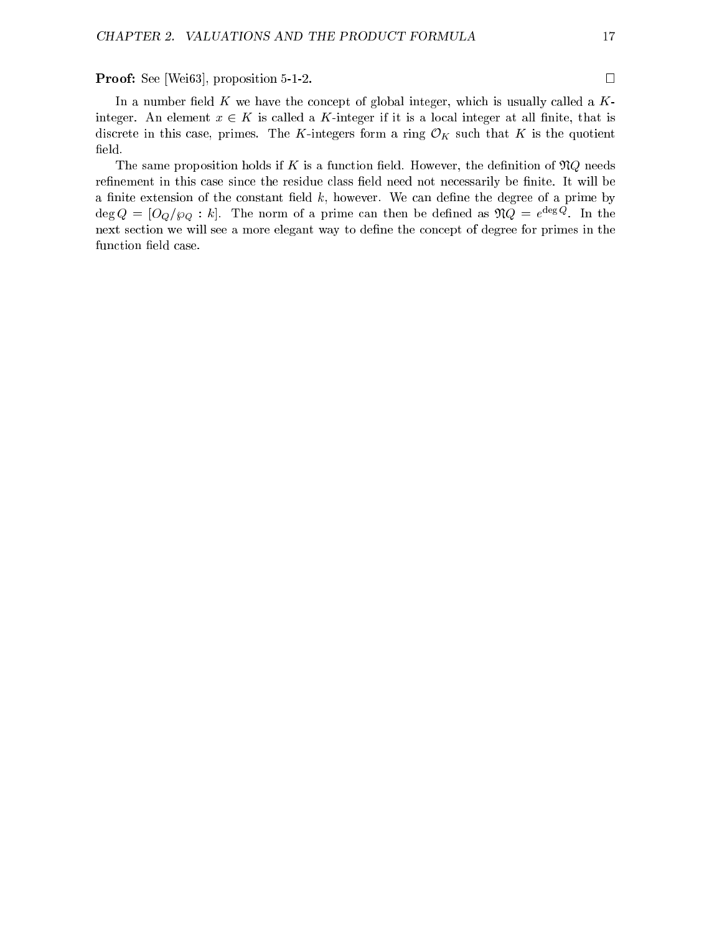**Proof:** See [Wei63], proposition 5-1-2. □

In a number field K we have the concept of global integer, which is usually called a  $K$ integer. An element  $x \in K$  is called a K-integer if it is a local integer at all finite, that is discrete in this case, primes. The K-integers form a ring  $\mathcal{O}_K$  such that K is the quotient field.

The same proposition holds if K is a function field. However, the definition of  $\mathfrak{N}Q$  needs refinement in this case since the residue class field need not necessarily be finite. It will be a finite extension of the constant field  $k$ , however. We can define the degree of a prime by  $\deg Q = |OQ/\wp Q|$ : k|. The norm of a prime can then be defined as  $\mathcal{I}Q = e^{-\phi/\phi}$ . In the next section we will see a more elegant way to define the concept of degree for primes in the function field case.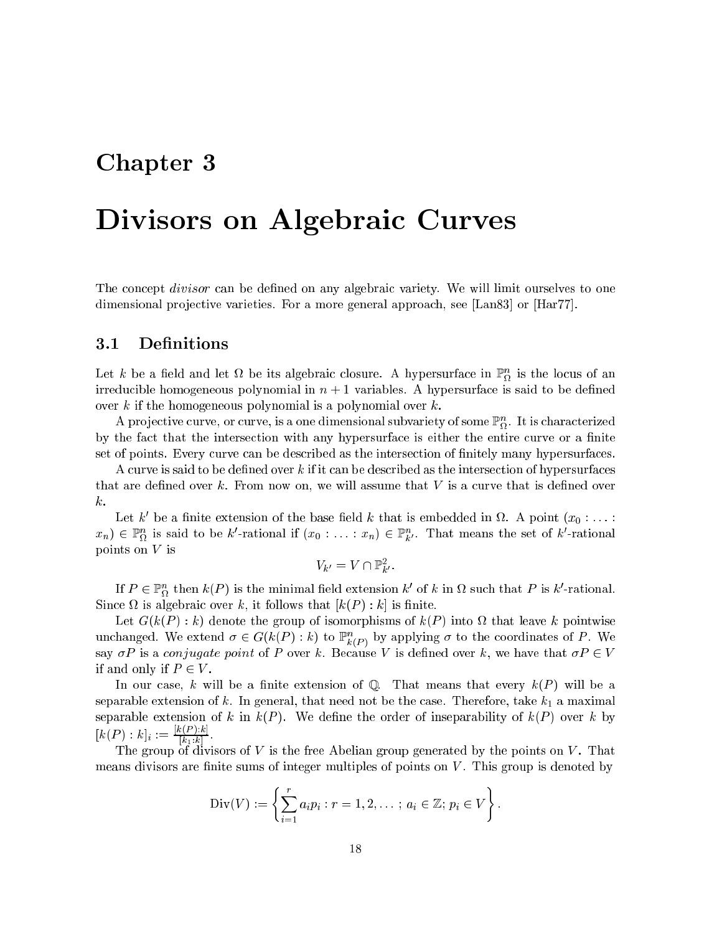# Chapter 3

# Divisors on Algebraic Curves

The concept *divisor* can be defined on any algebraic variety. We will limit ourselves to one dimensional projective varieties. For a more general approach, see [Lan83] or [Har77].

# 3.1 Definitions

Let  $\kappa$  be a neig and let  $\Omega$  be its algebraic closure. A hypersurface in  $\mathbb{F}_\Omega$  is the locus of an irreducible homogeneous polynomial in  $n + 1$  variables. A hypersurface is said to be defined over  $k$  if the homogeneous polynomial is a polynomial over  $k$ .

A projective curve, or curve, is a one dimensional subvariety of some  $\mathbb{F}_{\Omega}$ . It is characterized by the fact that the intersection with any hypersurface is either the entire curve or a finite set of points. Every curve can be described as the intersection of nitely many hypersurfaces.

A curve is said to be defined over  $k$  if it can be described as the intersection of hypersurfaces that are defined over  $k$ . From now on, we will assume that  $V$  is a curve that is defined over k.

Let  $\kappa$  be a ninte extension of the base held  $\kappa$  that is embedded in  $\alpha$ . A point  $(x_0 : \ldots :$  $x_n$ )  $\in$   $\mathbb{F}_{\Omega}^{\times}$  is said to be k-rational if  $(x_0 : \ldots : x_n) \in \mathbb{F}_{k}^{\times}$ . That means the set of k-rational points on V is

$$
V_{k'}=V\cap \mathbb{P}^2_{k'}.
$$

If  $P \in \mathbb{F}_\Omega^\times$  then  $\kappa(P)$  is the minimal field extension  $\kappa$  of  $\kappa$  in  $\Omega$  such that P is  $\kappa$  -rational. since it also algebraic over the contraction that  $\mu$  (P ) : key model is

Let G(k(P ) : k) denote the group of isomorphisms of k(P ) into that leave k pointwise unchanged. We extend  $\sigma \in G(\kappa(F): \kappa)$  to  $\mathbb{F}_{k(P)}$  by applying  $\sigma$  to the coordinates of P. We say  $\sigma P$  is a conjugate point of P over k. Because V is defined over k, we have that  $\sigma P \in V$ if and only if  $P \in V$ .

In our case, k will be a finite extension of  $\mathbb Q$ . That means that every  $k(P)$  will be a separable extension of k. In general, that need not be the case. Therefore, take  $k_1$  a maximal separable extension of k in  $k(P)$ . We define the order of inseparability of  $k(P)$  over k by  $[k(P):k]_i := \frac{1}{|k_1:k|}.$ 

The group of divisors of V is the free Abelian group generated by the points on V . That means divisors are finite sums of integer multiples of points on  $V$ . This group is denoted by

Div(V) := 
$$
\left\{ \sum_{i=1}^{r} a_i p_i : r = 1, 2, \ldots : a_i \in \mathbb{Z}; p_i \in V \right\}.
$$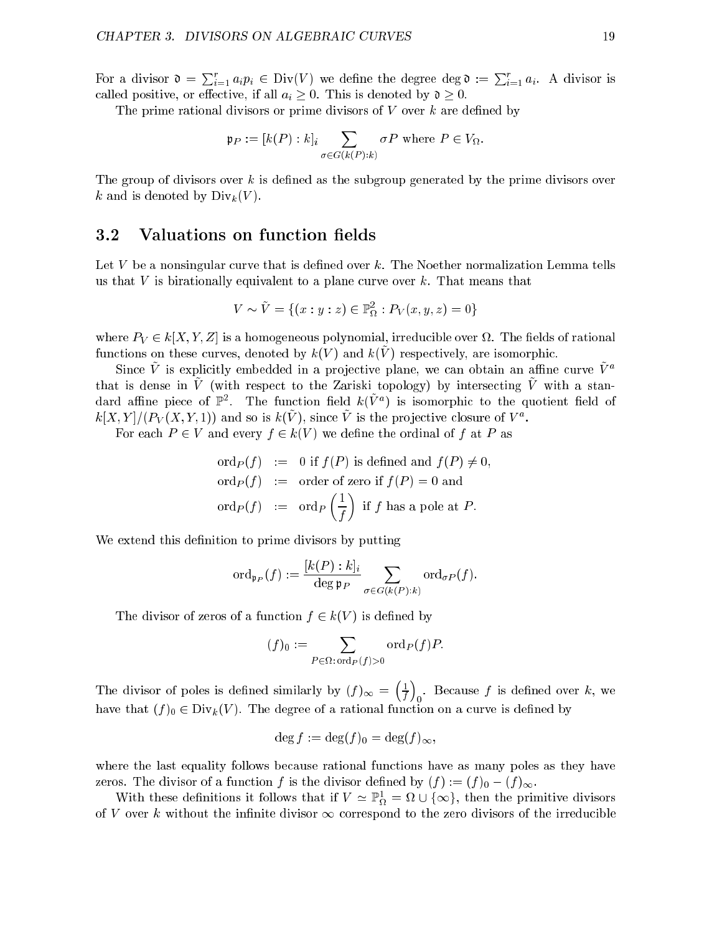For a divisor  $\mathfrak{d} = \sum_{i=1}^r a_i p_i \in \text{Div}(V)$  we define the degree deg  $\mathfrak{d} := \sum_{i=1}^r a_i$ . A divisor is called positive, or effective, if all  $a_i \geq 0$ . This is denoted by  $\mathfrak{d} \geq 0$ .

The prime rational divisors or prime divisors of  $V$  over  $k$  are defined by

$$
\mathfrak{p}_P := [k(P) : k]_i \sum_{\sigma \in G(k(P):k)} \sigma P \text{ where } P \in V_{\Omega}.
$$

The group of divisors over  $k$  is defined as the subgroup generated by the prime divisors over k and is denoted by  $\text{Div}_k(V)$ .

### 3.2 Valuations on function fields

Let  $V$  be a nonsingular curve that is defined over  $k$ . The Noether normalization Lemma tells us that  $V$  is birationally equivalent to a plane curve over  $k$ . That means that

$$
V \sim \tilde{V} = \{(x : y : z) \in \mathbb{P}_{\Omega}^{2} : P_{V}(x, y, z) = 0\}
$$

where  $\mathcal{P}=\mathcal{P}$  is a function of the state of rational decomposition of rational decomposition of rational decomposition  $f$ unctions on these curves, denoted by  $\kappa(V)$  and  $\kappa(V)$  respectively, are isomorphic.

 $S$ ince  $V$  is explicitly embedded in a profective plane, we can obtain an anime curve  $V^{\pm}$ that is dense in V~ (with respect to the Zariski topology) by intersecting V~ with a standard amne piece of  $\mathbb{F}^{\ast}$ . The function neid  $\kappa(V^{\ast})$  is isomorphic to the quotient neid of  $\kappa[\lambda, I]/(F_V(\lambda, I, I))$  and so is  $\kappa(V)$ , since V is the projective closure of V and

For each  $P \in V$  and every  $f \in k(V)$  we define the ordinal of f at P as

$$
\begin{aligned}\n\text{ord}_P(f) &:= 0 \text{ if } f(P) \text{ is defined and } f(P) \neq 0, \\
\text{ord}_P(f) &:= \text{ order of zero if } f(P) = 0 \text{ and} \\
\text{ord}_P(f) &:= \text{ord}_P\left(\frac{1}{f}\right) \text{ if } f \text{ has a pole at } P.\n\end{aligned}
$$

We extend this definition to prime divisors by putting

$$
\mathrm{ord}_{\mathfrak{p}_P}(f) := \frac{[k(P):k]_i}{\deg \mathfrak{p}_P} \sum_{\sigma \in G(k(P):k)} \mathrm{ord}_{\sigma P}(f).
$$

The divisor of zeros of a function  $f \in k(V)$  is defined by

$$
(f)_0 := \sum_{P \in \Omega : \operatorname{ord}_P(f) > 0} \operatorname{ord}_P(f) P.
$$

The divisor of poles is defined similarly by  $(f)_{\infty} = \frac{1}{f}$  $f/a$  is defined over the internet over  $f/a$  is defined on  $f/a$  is defined on  $f/a$  is defined on  $f/a$  is defined on  $f/a$  is defined on  $f/a$  is defined on  $f/a$  is defined on  $f/a$  is defined on  $f/a$  is defined on  $f/a$  is def have the degree of  $\mathcal{O}(1)$  and a rational function of a rational function on a ration on a ratio on a ratio

 $\overline{\phantom{a}}$ 

 $\sim$ 

$$
\deg f := \deg(f)_0 = \deg(f)_{\infty},
$$

where the last equality follows because rational functions have as many poles as they have zeros. The divisor of a function f is the divisor defined by  $(f) := (f)_0 - (f)_{\infty}$ .

With these definitions it follows that if  $V \simeq \mathbb{P}_{\Omega}^* = \Omega \cup \{ \infty \}$ , then the primitive divisors of V over k without the infinite divisor  $\infty$  correspond to the zero divisors of the irreducible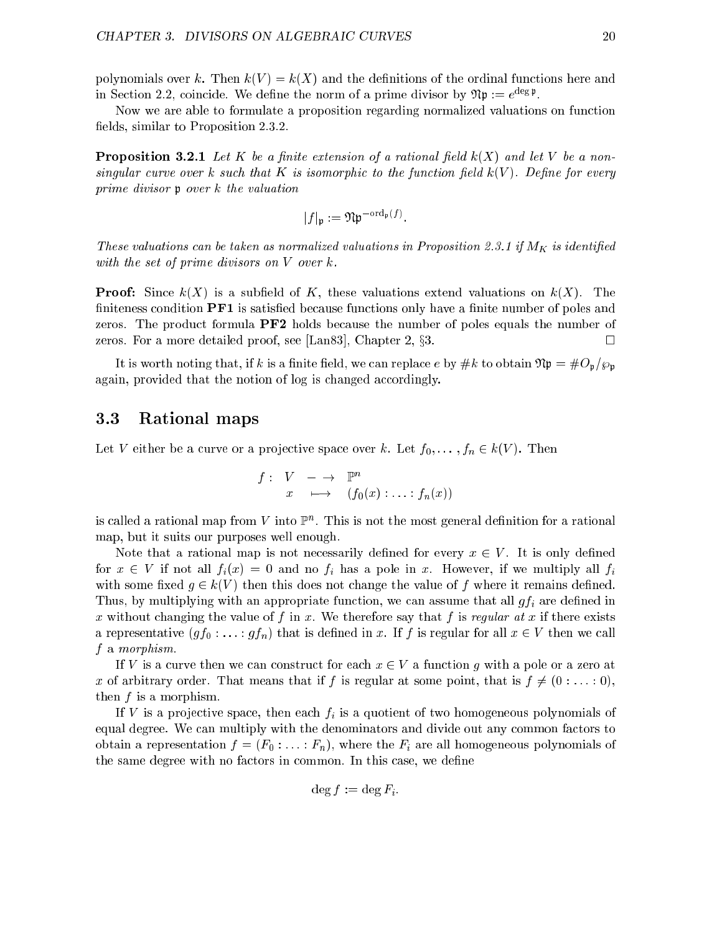polynomials over k. Then  $k(V) = k(X)$  and the definitions of the ordinal functions here and in Section 2.2, coincide. We define the norm of a prime divisor by  $\mathcal{D}\psi := e^{-\varepsilon_0 \phi}$ .

Now we are able to formulate a proposition regarding normalized valuations on function fields, similar to Proposition 2.3.2.

**Proposition 3.2.1** Let K be a finite extension of a rational field  $k(X)$  and let V be a nonsingular curve over k such that K is isomorphic to the function field  $k(V)$ . Define for every prime divisor <sup>p</sup> over k the valuation

$$
|f|_{\mathfrak{p}} := \mathfrak{N} \mathfrak{p}^{-\mathrm{ord}_{\mathfrak{p}}(f)}.
$$

These valuations can be taken as normalized valuations in Proposition 2.3.1 if  $M_K$  is identified with the set of prime divisors on V over k.

**Proof:** Since  $k(X)$  is a subfield of K, these valuations extend valuations on  $k(X)$ . The finiteness condition  $PFI$  is satisfied because functions only have a finite number of poles and zeros. The product formula PF2 holds because the number of poles equals the number of zeros. For a more detailed proof, see [Lan83], Chapter 2,  $\S 3$ . П

It is worth noting that, if k is a finite field, we can replace e by #k to obtain  $\mathfrak{N} \mathfrak{p} = \#O_{\mathfrak{p}}/p_{\mathfrak{p}}$ again, provided that the notion of log is changed accordingly.

## 3.3 Rational maps

Let V either be a curve or a projective space over k. Let  $f_0, \ldots, f_n \in k(V)$ . Then

$$
f: V \longrightarrow \mathbb{P}^n
$$
  

$$
x \longmapsto (f_0(x): \dots : f_n(x))
$$

is caned a rational map from  $V$  thro  $\mathbb F$  . This is not the most general definition for a rational map, but it suits our purposes well enough.

Note that a rational map is not necessarily defined for every  $x \in V$ . It is only defined for  $x \in V$  if not all  $f_i(x) = 0$  and no  $f_i$  has a pole in x. However, if we multiply all  $f_i$ with some fixed  $g \in k(V)$  then this does not change the value of f where it remains defined. Thus, by multiplying with an appropriate function, we can assume that all  $gf_i$  are defined in x without changing the value of f in x. We therefore say that f is regular at x if there exists a representative  $(gf_0: \ldots : gf_n)$  that is defined in x. If f is regular for all  $x \in V$  then we call f a morphism.

If V is a curve then we can construct for each  $x \in V$  a function g with a pole or a zero at x of arbitrary order. That means that if f is regular at some point, that is  $f \neq (0 : \ldots : 0)$ , then f is a morphism.

If V is a projective space, then each  $f_i$  is a quotient of two homogeneous polynomials of equal degree. We can multiply with the denominators and divide out any common factors to obtain a representation  $f = (F_0 : \ldots : F_n)$ , where the  $F_i$  are all homogeneous polynomials of the same degree with no factors in common. In this case, we define

$$
\deg f := \deg F_i.
$$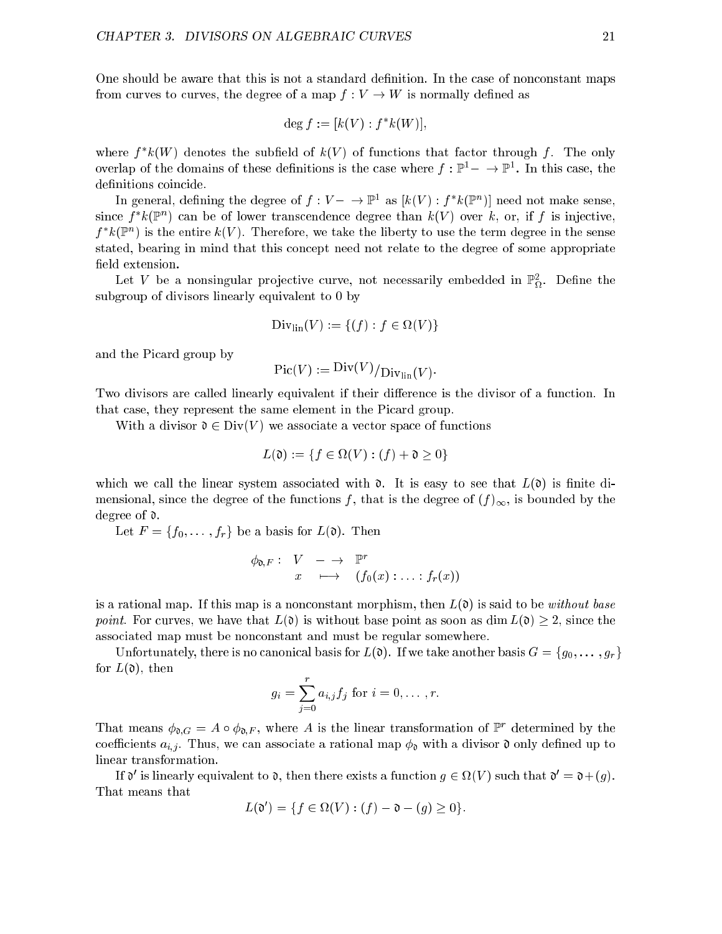One should be aware that this is not a standard definition. In the case of nonconstant maps from curves to curves, the degree of a map  $f: V \to W$  is normally defined as

$$
\deg f := [k(V) : f^*k(W)],
$$

where  $f$   $\kappa(W)$  denotes the subfield of  $\kappa(V)$  of functions that factor through f. The only overlap of the domains of these definitions is the case where  $f : \mathbb{P}^1 \to \mathbb{P}^1$ . In this case, the definitions coincide.

In general, demining the degree of  $f: V = \rightarrow \mathbb{F}$  as  $\kappa(V)$  : f  $\kappa(\mathbb{F}^+)$  need not make sense, since f  $\kappa(\mathbb{F}_+)$  can be of lower transcendence degree than  $\kappa(\mathit{V})$  over  $\kappa$ , or, if f is injective,  $\mu$   $\kappa$ (r) is the entire  $\kappa$ (V). Therefore, we take the liberty to use the term degree in the sense stated, bearing in mind that this concept need not relate to the degree of some appropriate field extension.

Let  $V$  be a nonsingular projective curve, not necessarily embedded in  $\mathbb{F}_D^{\times}$ . Define the subgroup of divisors linearly equivalent to 0 by

$$
\text{Div}_{\text{lin}}(V) := \{(f) : f \in \Omega(V)\}
$$

and the Picard group by

 $Pic(V) := Div(V)/Div_{lin}(V)$ .

Two divisors are called linearly equivalent if their difference is the divisor of a function. In that case, they represent the same element in the Picard group.

With a divisor  $\mathfrak{d} \in \text{Div}(V)$  we associate a vector space of functions

$$
L(\mathfrak{d}) := \{ f \in \Omega(V) : (f) + \mathfrak{d} \ge 0 \}
$$

which we call the linear system associated with  $\mathfrak{d}$ . It is easy to see that  $L(\mathfrak{d})$  is finite dimensional, since the degree of the functions f, that is the degree of  $(f)_{\infty}$ , is bounded by the degree of d.

Let  $F = \{f_0, \ldots, f_r\}$  be a basis for  $L(\mathfrak{d})$ . Then

$$
\begin{array}{rcl}\n\phi_{\mathfrak{d},F}:& V & \longrightarrow & \mathbb{P}^r \\
x & \longmapsto & (f_{\mathfrak{d}}(x) : \ldots : f_r(x))\n\end{array}
$$

is a rational map. If this map is a nonconstant morphism, then  $L(\mathfrak{d})$  is said to be without base point. For curves, we have that  $L(\mathfrak{d})$  is without base point as soon as dim  $L(\mathfrak{d}) \geq 2$ , since the associated map must be nonconstant and must be regular somewhere.

Unfortunately, there is no canonical basis for  $L(\mathfrak{d})$ . If we take another basis  $G = \{g_0, \ldots, g_r\}$ for  $L(\mathfrak{d})$ , then

$$
g_i = \sum_{j=0}^r a_{i,j} f_j
$$
 for  $i = 0, ..., r$ .

That means  $\varphi_{\mathfrak{d},G} = A \circ \varphi_{\mathfrak{d},F}$ , where A is the linear transformation of Producturined by the coefficients  $a_{i,j}$ . Thus, we can associate a rational map  $\phi_{\mathfrak{d}}$  with a divisor  $\mathfrak{d}$  only defined up to linear transformation.

If  $\sigma$  is imearly equivalent to  $\sigma$ , then there exists a function  $q \in \Omega$  (V ) such that  $\sigma = \sigma + (q)$ . That means that

$$
L(\mathfrak{d}') = \{ f \in \Omega(V) : (f) - \mathfrak{d} - (g) \ge 0 \}.
$$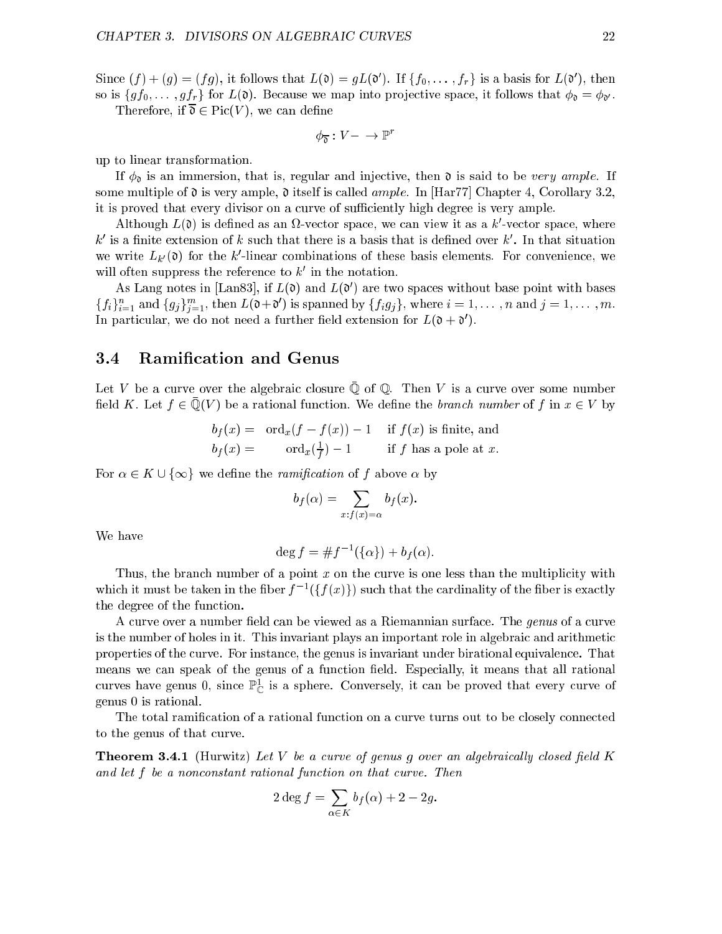Since  $(f) + (g) \equiv (fg)$ , it follows that  $L(\theta) \equiv gL(\theta)$ . If  $\{fg, \ldots, f\}_r$  is a basis for  $L(\theta)$ , then so is  $\{gf_0, \ldots, gf_r\}$  for  $L(\mathfrak{d})$ . Because we map into projective space, it follows that  $\phi_{\mathfrak{d}} = \phi_{\mathfrak{d}'}$ .

Therefore, if  $\overline{\mathfrak{d}} \in \mathrm{Pic}(V)$ , we can define

$$
\phi_{\overline{\mathfrak{d}}} : V - \to \mathbb{P}^r
$$

up to linear transformation.

If  $\phi_0$  is an immersion, that is, regular and injective, then  $\mathfrak d$  is said to be very ample. If some multiple of  $\mathfrak d$  is very ample,  $\mathfrak d$  itself is called *ample*. In [Har77] Chapter 4, Corollary 3.2, it is proved that every divisor on a curve of sufficiently high degree is very ample.

Although  $L(\theta)$  is defined as an  $\nu$ -vector space, we can view it as a  $\kappa$  -vector space, where  $\kappa$  is a nifite extension of  $\kappa$  such that there is a basis that is defined over  $\kappa$  . In that situation we write  $L_k(\mathfrak{v})$  for the k-linear combinations of these basis elements. For convenience, we will often suppress the reference to  $\kappa$  in the notation.

As Lang notes in  $\text{Lan}(0)$ , if  $L(0)$  and  $L(0)$  are two spaces without base point with bases  $\{f_i\}_{i=1}^n$  and  $\{g_j\}_{j=1}^n$ , then  $L(\mathfrak{v}+\mathfrak{v})$  is spanned by  $\{f_i g_j\}$ , where  $i=1,\ldots,n$  and  $j=1,\ldots,m$ . In particular, we do not need a further held extension for  $L(\mathfrak{v} + \mathfrak{v})$ .

#### 3.4 Ramication and Genus  $3.4\,$

Let  $V$  be a curve over the algebraic closure  $\mathcal Q$  or  $\mathcal Q$ . Then  $V$  is a curve over some number  $\lim_{\alpha \to \infty}$  is the summer of  $\alpha$  is a rational function. We define the *branch number* of f in  $x \in V$  by

$$
b_f(x) = \text{ord}_x(f - f(x)) - 1 \quad \text{if } f(x) \text{ is finite, and} \\ b_f(x) = \text{ord}_x(\frac{1}{f}) - 1 \quad \text{if } f \text{ has a pole at } x.
$$

 $\mathbf{r}$ 

For  $\alpha \in K \cup \{\infty\}$  we define the *ramification* of f above  $\alpha$  by

$$
b_f(\alpha) = \sum_{x:f(x)=\alpha} b_f(x).
$$

We have

$$
\deg f = \# f^{-1}(\{\alpha\}) + b_f(\alpha).
$$

Thus, the branch number of a point  $x$  on the curve is one less than the multiplicity with which it must be taken in the liber  $f = (\{f(x)\})$  such that the cardinality of the fiber is exactly the degree of the function.

A curve over a number field can be viewed as a Riemannian surface. The genus of a curve is the number of holes in it. This invariant plays an important role in algebraic and arithmetic properties of the curve. For instance, the genus is invariant under birational equivalence. That means we can speak of the genus of a function field. Especially, it means that all rational curves have genus  $0$ , since  $\mathbb{F}_{\mathbb{C}}$  is a sphere. Conversely, it can be proved that every curve of genus 0 is rational.

The total ramification of a rational function on a curve turns out to be closely connected to the genus of that curve.

**Theorem 3.4.1** (Hurwitz) Let V be a curve of genus g over an algebraically closed field K and let f be a nonconstant rational function on that curve. Then

$$
2\deg f = \sum_{\alpha \in K} b_f(\alpha) + 2 - 2g.
$$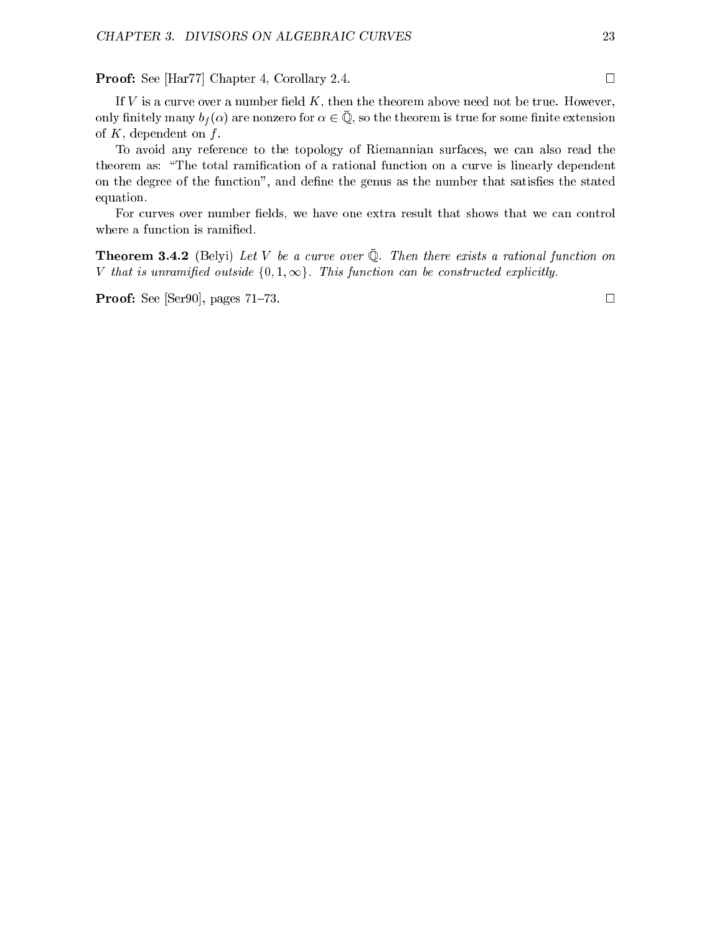Proof: See [Har77] Chapter 4, Corollary 2.4. □

To avoid any reference to the topology of Riemannian surfaces, we can also read the theorem as: "The total ramification of a rational function on a curve is linearly dependent on the degree of the function", and define the genus as the number that satisfies the stated equation.

For curves over number fields, we have one extra result that shows that we can control where a function is ramified.

**THEOLEM 9.4.4** (DERT) Let V be a curve over  $\psi$ . Then there exists a rational function on V that is unramified outside  $\{0, 1, \infty\}$ . This function can be constructed explicitly.

**Proof:** See [Ser90], pages 71–73.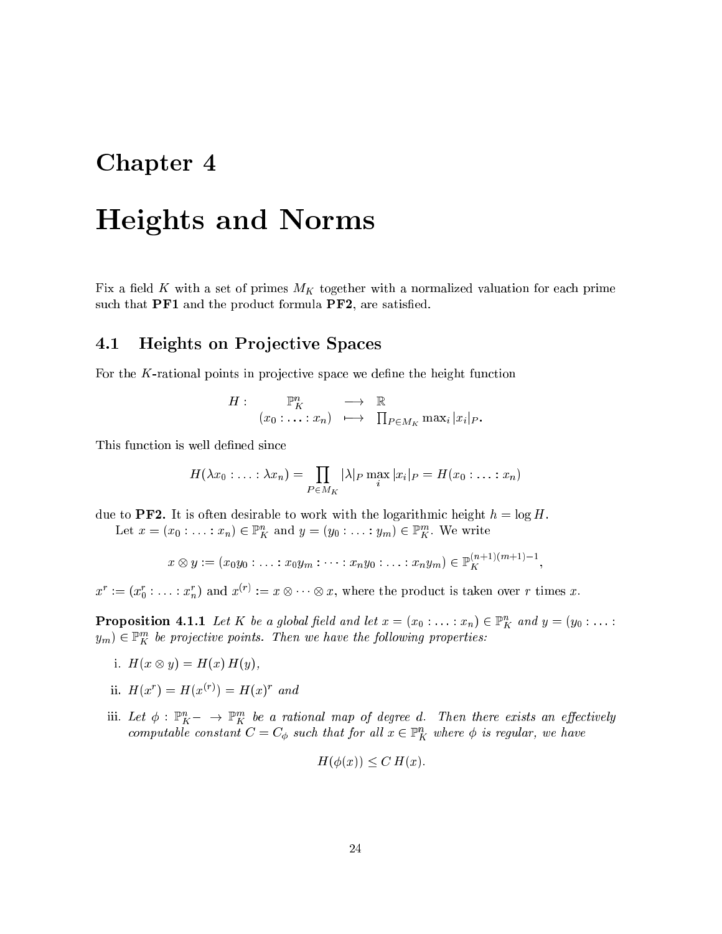# Chapter 4

# Heights and Norms

Fix a field K with a set of primes  $M_K$  together with a normalized valuation for each prime such that PF1 and the product formula PF2, are satisfied.

# 4.1 Heights on Projective Spaces

For the  $K$ -rational points in projective space we define the height function

$$
H: \qquad \mathbb{P}^n_K \qquad \longrightarrow \quad \mathbb{R} \\ (x_0: \ldots : x_n) \quad \longmapsto \quad \prod_{P \in M_K} \max_i |x_i|_P.
$$

This function is well defined since

$$
H(\lambda x_0:\ldots:\lambda x_n)=\prod_{P\in M_K}|\lambda|_P\max_i|x_i|_P=H(x_0:\ldots:x_n)
$$

due to **PF2**. It is often desirable to work with the logarithmic height  $h = \log H$ .

Let  $x = (x_0 : \ldots : x_n) \in \mathbb{F}_K^{\times}$  and  $y = (y_0 : \ldots : y_m) \in \mathbb{F}_K^{\times}$ . We write

$$
x \otimes y := (x_0 y_0 : \ldots : x_0 y_m : \cdots : x_n y_0 : \ldots : x_n y_m) \in \mathbb{P}_{K}^{(n+1)(m+1)-1},
$$

 $x^* := (x_0 : \ldots : x_n)$  and  $x^* := x \otimes \cdots \otimes x$ , where the product is taken over r times x.

**Proposition 4.1.1** Let  $K$  be a global field and let  $x = (x_0 : \ldots : x_n) \in \mathbb{F}_K^{\times}$  and  $y = (y_0 : \ldots : x_n)$  $y_m$ )  $\in$  F<sub>K</sub> be projective points. Then we have the following properties:

- i. H(x) is a set of the H(x) H(x) H(x),  $\mathbf{r}$
- ii.  $\pi(x) = \pi(x) = \pi(x)$  and
- iii. Let  $\varphi: \mathbb{F}_K^{\times -} \to \mathbb{F}_K^{\times}$  be a rational map of degree a. Then there exists an effectively computable constant  $C = C_{\phi}$  such that for all  $x \in \mathbb{F}_K^{\times}$  where  $\phi$  is regular, we have

$$
H(\phi(x)) \le C H(x).
$$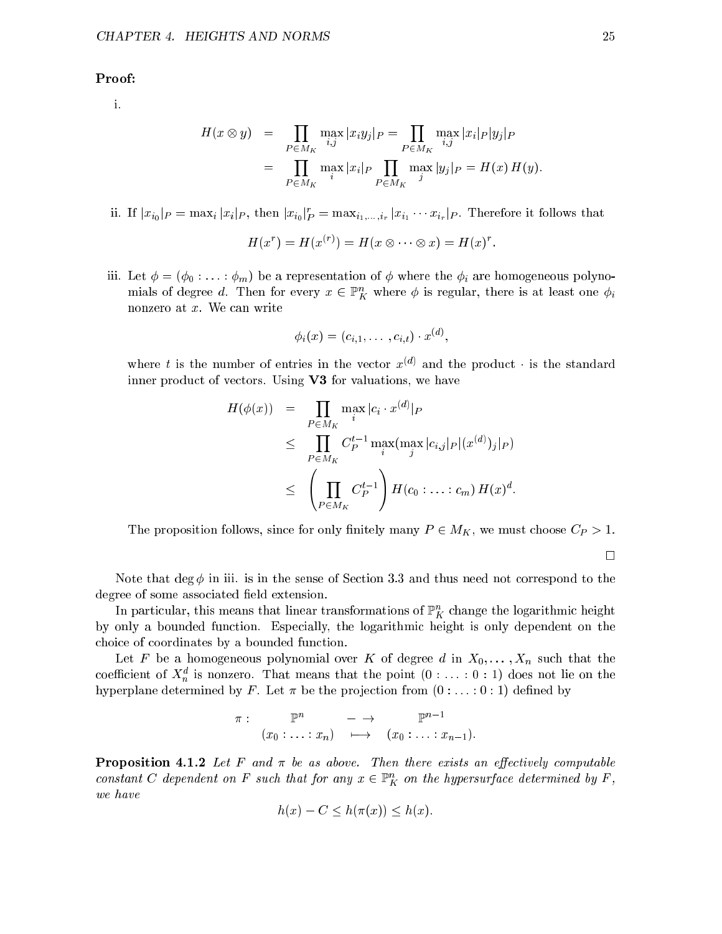### Proof:

i.

$$
H(x \otimes y) = \prod_{P \in M_K} \max_{i,j} |x_i y_j|_P = \prod_{P \in M_K} \max_{i,j} |x_i|_P |y_j|_P
$$
  
= 
$$
\prod_{P \in M_K} \max_{i} |x_i|_P \prod_{P \in M_K} \max_{j} |y_j|_P = H(x) H(y).
$$

ii. If  $|x_{i0}|_P = \max_i |x_i|_P$ , then  $|x_{i0}|_P = \max_{i_1,\ldots,i_r} |x_{i_1}\cdots x_{i_r}|_P$ . Therefore it follows that

$$
H(x^r) = H(x^{(r)}) = H(x \otimes \cdots \otimes x) = H(x)^r
$$

iii. Let  $\phi = (\phi_0 : \ldots : \phi_m)$  be a representation of  $\phi$  where the  $\phi_i$  are homogeneous polynomials of degree a. Then for every  $x \in \mathbb{P}_K^{\times}$  where  $\varphi$  is regular, there is at least one  $\varphi_i$ nonzero at x. We can write

$$
\phi_i(x)=(c_{i,1},\ldots,c_{i,t})\cdot x^{(d)}
$$

where  $\iota$  is the number of entries in the vector  $x \sim$  and the product  $\cdot$  is the standard inner product of vectors. Using V3 for valuations, we have

$$
H(\phi(x)) = \prod_{P \in M_K} \max_i |c_i \cdot x^{(d)}|_P
$$
  
\n
$$
\leq \prod_{P \in M_K} C_P^{t-1} \max_i (\max_j |c_{i,j}|_P |(x^{(d)})_j|_P)
$$
  
\n
$$
\leq \left(\prod_{P \in M_K} C_P^{t-1}\right) H(c_0 : \dots : c_m) H(x)^d.
$$

The proposition follows, since for only finitely many  $P \in M_K$ , we must choose  $C_P > 1$ .

 $\Box$ 

Note that  $\deg \phi$  in iii. is in the sense of Section 3.3 and thus need not correspond to the degree of some associated field extension.

In particular, this means that linear transformations of  $\mathbb{P}^{\times}_K$  change the logarithmic height by only a bounded function. Especially, the logarithmic height is only dependent on the choice of coordinates by a bounded function.

Let F be a homogeneous polynomial over K of degree d in  $X_0, \ldots, X_n$  such that the coefficient of  $\Lambda_n$  is nonzero. That means that the point  $(0 : \ldots : 0 : 1)$  does not lie on the hyperplane determined by F. Let  $\pi$  be the projection from  $(0 : \ldots : 0 : 1)$  defined by

$$
\pi: \mathbb{P}^n \longrightarrow \mathbb{P}^{n-1}
$$
  

$$
(x_0: \ldots : x_n) \longmapsto (x_0: \ldots : x_{n-1}).
$$

**Proposition 4.1.2** Let F and  $\pi$  be as above. Then there exists an effectively computable constant  $C$  aependent on F such that for any  $x \in \mathbb{F}_K$  on the hypersurface determined by F, we have

$$
h(x) - C \le h(\pi(x)) \le h(x).
$$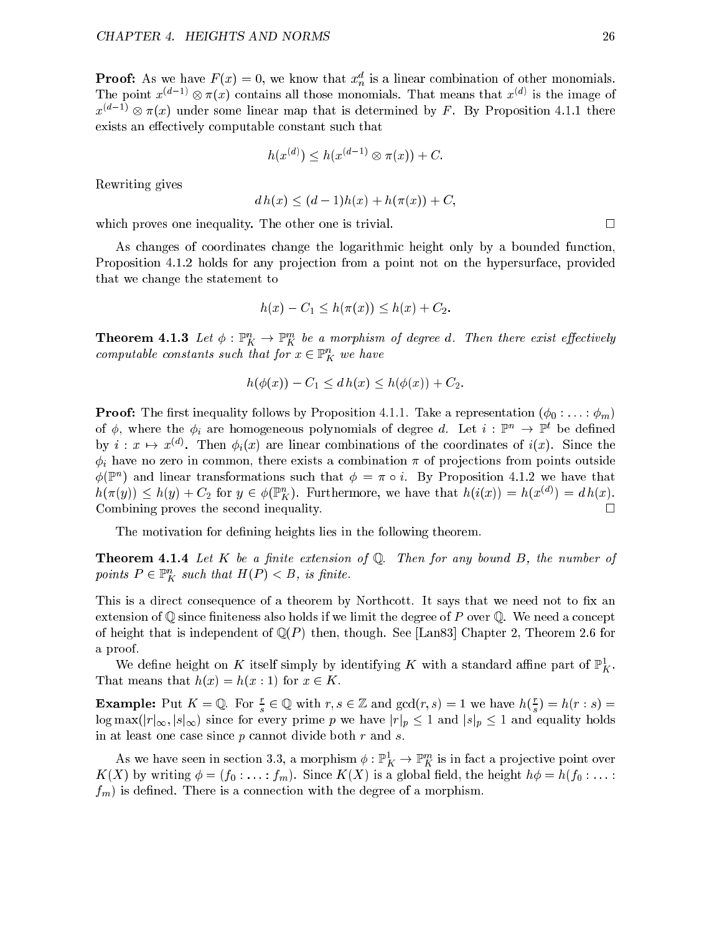**Proof:** As we have  $F(x) = 0$ , we know that  $x_n$  is a linear combination of other monomials. The point  $x \to \infty$   $\pi(x)$  contains all those monomials. That means that  $x \to \infty$  is the image of  $x^{\gamma}$  –  $\gamma \otimes \pi(x)$  under some linear map that is determined by  $F$ . By Proposition 4.1.1 there exists an effectively computable constant such that

$$
h(x^{(d)}) \le h(x^{(d-1)} \otimes \pi(x)) + C.
$$

Rewriting gives

$$
d h(x) \le (d-1)h(x) + h(\pi(x)) + C,
$$

which proves one inequality. The other one is trivial.

As changes of coordinates change the logarithmic height only by a bounded function, Proposition 4.1.2 holds for any projection from a point not on the hypersurface, provided that we change the statement to

$$
h(x) - C_1 \le h(\pi(x)) \le h(x) + C_2.
$$

**Theorem 4.1.3** Let  $\varphi: \mathbb{F}_K \to \mathbb{F}_K$  be a morphism of degree a. Then there exist effectively computable constants such that for  $x \in \mathbb{r}_K$  we have

$$
h(\phi(x)) - C_1 \le dh(x) \le h(\phi(x)) + C_2.
$$

**Proof:** The first inequality follows by Proposition 4.1.1. Take a representation  $(\phi_0 : \ldots : \phi_m)$ of  $\varphi$ , where the  $\varphi_i$  are homogeneous polynomials of degree a. Let  $i : \mathbb{F}^n \to \mathbb{F}^n$  be defined by  $i : x \mapsto x^{\varphi}$ . Then  $\varphi_i(x)$  are linear combinations of the coordinates of  $i(x)$ . Since the  $\phi_i$  have no zero in common, there exists a combination  $\pi$  of projections from points outside  $\varphi$ (r) and linear transformations such that  $\varphi = \pi \circ i$ . By Proposition 4.1.2 we have that  $h(\pi(y)) \le h(y) + C_2$  for  $y \in \varphi(\mathbb{F}_K)$ . Furthermore, we have that  $h(\imath(x)) = h(x \vee y) = a h(x)$ . Combining proves the second inequality.  $\Box$ 

The motivation for defining heights lies in the following theorem.

**Theorem 4.1.4** Let K be a finite extension of Q. Then for any bound B, the number of points  $P \in \mathbb{F}_K^*$  such that  $\pi(F) \leq D$ , is jinite.

This is a direct consequence of a theorem by Northcott. It says that we need not to fix an extension of  $\mathbb Q$  since finiteness also holds if we limit the degree of P over  $\mathbb Q$ . We need a concept of height that is independent of  $\mathbb{Q}(P)$  then, though. See [Lan83] Chapter 2, Theorem 2.6 for a proof.

We define height on  $K$  itself simply by identifying  $K$  with a standard antife part of  $\mathbb{F}_{K}$ . That means that  $h(x) = h(x:1)$  for  $x \in K$ .

**Example:** Put  $K = \mathbb{Q}$ . For  $\frac{1}{s} \in \mathbb{Q}$  with  $r, s \in \mathbb{Z}$  and  $\gcd(r, s) = 1$  we have  $h(\frac{1}{s}) = h(r : s) =$ log max(jrin) since  $\alpha$  is the prime prime prime prime prime prime prime prime prime prime prime prime prime p in at least one case since  $p$  cannot divide both  $r$  and  $s$ .

As we have seen in section 3.3, a morphism  $\varphi: \mathbb{F}_K^r \to \mathbb{F}_K^r$  is in fact a projective point over  $K(X)$  by writing  $\phi = (f_0 : \ldots : f_m)$ . Since  $K(X)$  is a global field, the height  $h\phi = h(f_0 : \ldots : f_m)$ .  $f_m$ ) is defined. There is a connection with the degree of a morphism.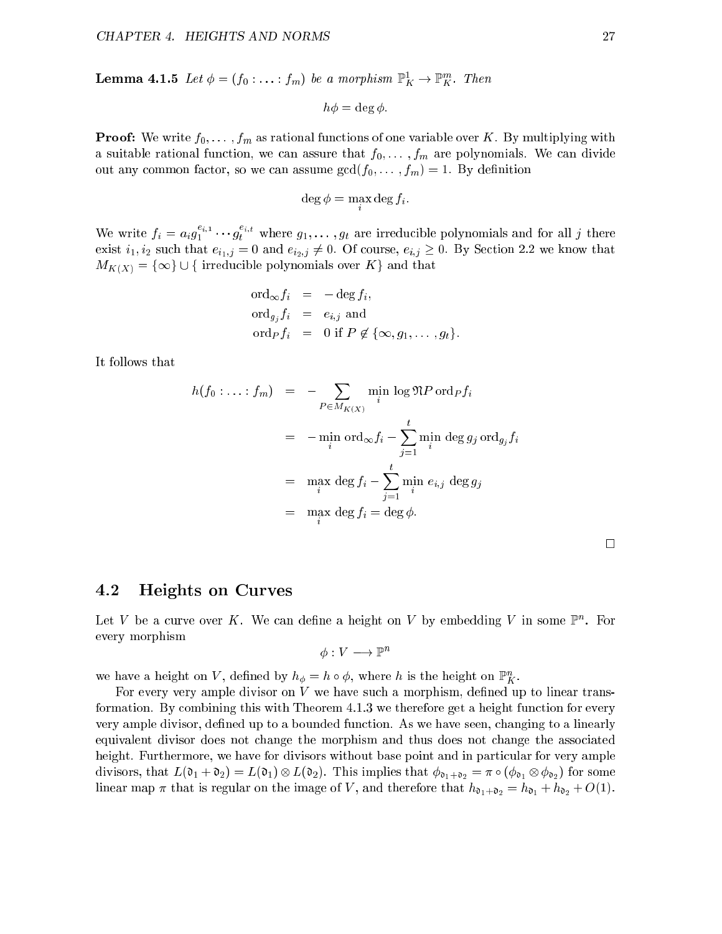**Lemma 4.1.5** Let  $\varphi = (j_0: \ldots : j_m)$  be a morphism  $\mathbb{F}_K \to \mathbb{F}_K$ . Then

$$
h\phi = \deg \phi.
$$

**Proof:** We write  $f_0, \ldots, f_m$  as rational functions of one variable over K. By multiplying with a suitable rational function, we can assure that  $f_0, \ldots, f_m$  are polynomials. We can divide out any common factor, so we can assume  $gcd(f_0, \ldots, f_m) = 1$ . By definition

$$
\deg \phi = \max_i \deg f_i.
$$

We write  $f_i = a_i g_1^{r_i r_i} \cdots g_t^{r_i r_i}$  where  $g_1, \ldots, g_t$  are irreducible polynomials and for all j there exist  $i_1, i_2$  such that  $e_{i_1,j} = 0$  and  $e_{i_2,j} \neq 0$ . Of course,  $e_{i,j} \geq 0$ . By Section 2.2 we know that  $M_{K(X)} = \{\infty\} \cup \{\text{ irreducible polynomials over } K\}$  and that

$$
\begin{array}{rcl}\n\text{ord}_{\infty} f_i & = & -\deg f_i, \\
\text{ord}_{g_j} f_i & = & e_{i,j} \text{ and} \\
\text{ord}_P f_i & = & 0 \text{ if } P \notin \{\infty, g_1, \dots, g_t\}.\n\end{array}
$$

It follows that

$$
h(f_0:...:f_m) = -\sum_{P \in M_{K(X)}} \min_i \log \mathfrak{N} P \operatorname{ord}_P f_i
$$
  
= 
$$
-\min_i \operatorname{ord}_{\infty} f_i - \sum_{j=1}^t \min_i \deg g_j \operatorname{ord}_{g_j} f_i
$$
  
= 
$$
\max_i \deg f_i - \sum_{j=1}^t \min_i e_{i,j} \deg g_j
$$
  
= 
$$
\max_i \deg f_i = \deg \phi.
$$

| <b>Heights on Curves</b><br>$4.2\,$ |
|-------------------------------------|
|-------------------------------------|

Let  $V$  be a curve over  $K$ . We can define a neight on  $V$  by embedding  $V$  in some  $\mathbb F$  . For every morphism

$$
\phi: V \longrightarrow \mathbb{P}^n
$$

we have a height on  $V$ , defined by  $n_{\phi} = n \circ \varphi$ , where h is the height on  $\mathbb{F}_K^{\times}$ .

For every very ample divisor on  $V$  we have such a morphism, defined up to linear transformation. By combining this with Theorem 4.1.3 we therefore get a height function for every very ample divisor, defined up to a bounded function. As we have seen, changing to a linearly equivalent divisor does not change the morphism and thus does not change the associated height. Furthermore, we have for divisors without base point and in particular for very ample divisors, that L(d1 + d2)  $\equiv$  (d1)  $\approx$   $\equiv$  (d2). This implies that d1+d2  $\equiv$  1+d1  $\approx$  1+d2) for some linear map  $\pi$  that is regular on the image of V, and therefore that  $h_{\mathfrak{d}_1+\mathfrak{d}_2} = h_{\mathfrak{d}_1} + h_{\mathfrak{d}_2} + O(1)$ .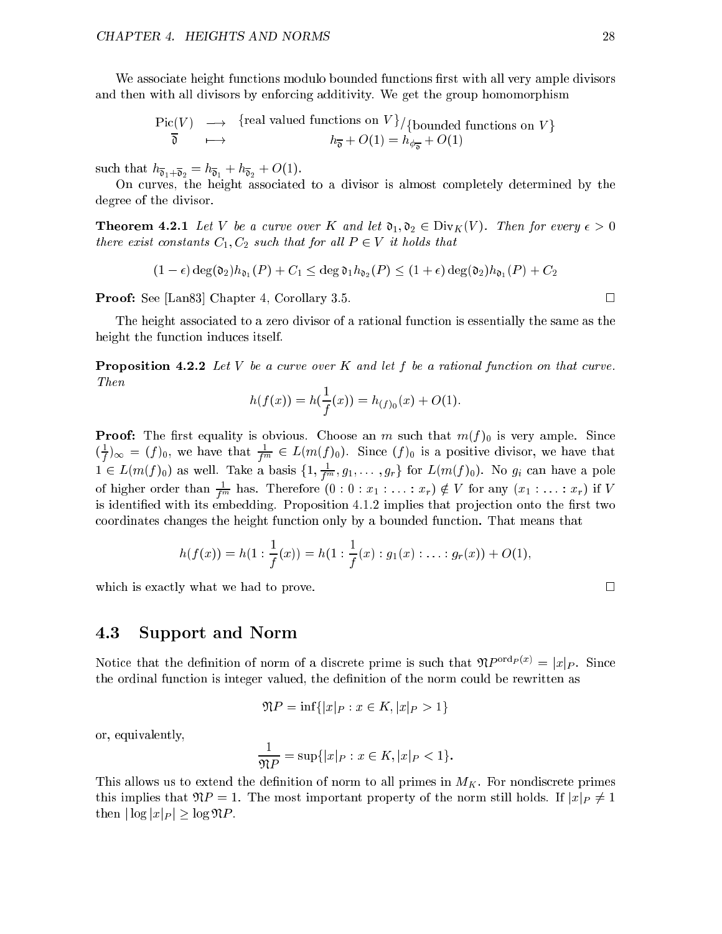We associate height functions modulo bounded functions first with all very ample divisors and then with all divisors by enforcing additivity. We get the group homomorphism

$$
\begin{array}{ccc}\n\text{Pic}(V) & \longrightarrow & \{\text{real valued functions on } V\}/\{\text{bounded functions on } V\} \\
\hline\n\overline{\mathfrak{d}} & \longmapsto & h_{\overline{\mathfrak{d}}} + O(1) = h_{\phi_{\overline{\mathfrak{d}}}} + O(1)\n\end{array}
$$

such that  $h_{\overline{b}_1+\overline{b}_2} = h_{\overline{b}_1} + h_{\overline{b}_2} + O(1)$ .

On curves, the height associated to a divisor is almost completely determined by the degree of the divisor.

**Theorem 4.2.1** Let V be a curve over K and let  $\mathfrak{d}_1, \mathfrak{d}_2 \in \text{Div}_K(V)$ . Then for every  $\epsilon > 0$ there exist constants  $C_1, C_2$  such that for all  $P \in V$  it holds that

$$
(1-\epsilon)\deg(\mathfrak{d}_2)h_{\mathfrak{d}_1}(P)+C_1\leq \deg \mathfrak{d}_1h_{\mathfrak{d}_2}(P)\leq (1+\epsilon)\deg(\mathfrak{d}_2)h_{\mathfrak{d}_1}(P)+C_2
$$

Proof: See [Lan83] Chapter 4, Corollary 3.5.

The height associated to a zero divisor of a rational function is essentially the same as the height the function induces itself.

**Proposition 4.2.2** Let V be a curve over K and let f be a rational function on that curve. Then

$$
h(f(x)) = h(\frac{1}{f}(x)) = h_{(f)_0}(x) + O(1).
$$

**Proof:** The first equality is obvious. Choose an m such that  $m(f)_0$  is very ample. Since  $\sqrt{\tau}$  $\frac{1}{f}$ ) $\infty = (f)_0$ , we have that  $\frac{1}{f^m} \in L(m(f)_0)$ . Since  $(f)_0$  is a positive divisor, we have that  $1 \in L(m(j_0))$  as well. Take a basis  $\{1, \frac{1}{f^m}, g_1, \ldots, g_r\}$  for  $L(m(j_0))$ . No  $g_i$  can have a pole of higher order than  $\frac{1}{f^m}$  has. Therefore  $(0:0: x_1: \ldots: x_r) \notin V$  for any  $(x_1: \ldots: x_r)$  if V is identified with its embedding. Proposition 4.1.2 implies that projection onto the first two coordinates changes the height function only by a bounded function. That means that

$$
h(f(x)) = h(1: \frac{1}{f}(x)) = h(1: \frac{1}{f}(x): g_1(x): \ldots : g_r(x)) + O(1),
$$

which is exactly what we had to prove.  $\Box$ 

#### 4.3 Support and Norm

Notice that the definition of norm of a discrete prime is such that  $\mathfrak{N}P^{\text{ord}_P(x)} = |x|_P$ . Since the ordinal function is integer valued, the definition of the norm could be rewritten as

$$
\mathfrak{N}P = \inf\{|x|_P : x \in K, |x|_P > 1\}
$$

or, equivalently,

$$
\frac{1}{\mathfrak{N}P} = \sup\{|x|_P : x \in K, |x|_P < 1\}.
$$

This allows us to extend the definition of norm to all primes in  $M_K$ . For nondiscrete primes this implies that  $\mathfrak{N}P = 1$ . The most important property of the norm still holds. If  $|x|_P \neq 1$ then  $|\log |x|_P| \geq \log \mathfrak{N}P$ .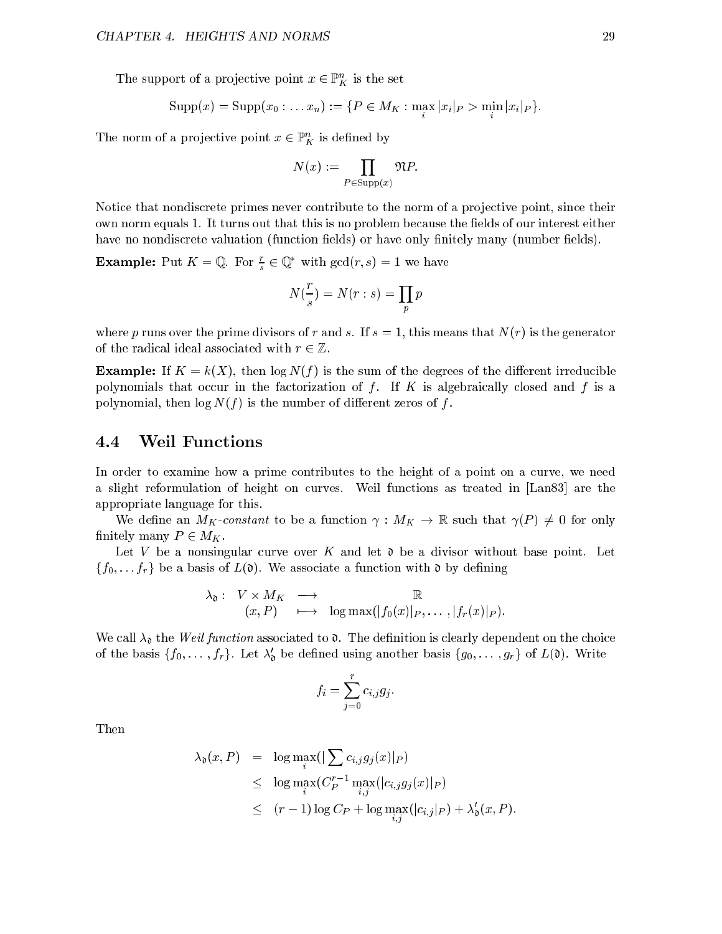The support of a projective point  $x \in \mathbb{F}_K$  is the set

$$
Supp(x) = Supp(x_0 : \ldots x_n) := \{ P \in M_K : \max_i |x_i|_P > \min_i |x_i|_P \}.
$$

The norm of a projective point  $x \in \mathbb{F}_K$  is defined by

$$
N(x) := \prod_{P \in \text{Supp}(x)} \mathfrak{N}P.
$$

Notice that nondiscrete primes never contribute to the norm of a projective point, since their own norm equals 1. It turns out that this is no problem because the fields of our interest either have no nondiscrete valuation (function fields) or have only finitely many (number fields).

**Example:** Put  $K = \mathbb{Q}$ . For  $\frac{1}{s} \in \mathbb{Q}$  with  $\gcd(r, s) = 1$  we have

$$
N(\frac{r}{s}) = N(r:s) = \prod_p p
$$

where p runs over the prime divisors of r and s. If  $s = 1$ , this means that  $N(r)$  is the generator of the radical ideal associated with  $r \in \mathbb{Z}$ .

**Example:** If  $K = k(X)$ , then  $\log N(f)$  is the sum of the degrees of the different irreducible polynomials that occur in the factorization of  $f$ . If  $K$  is algebraically closed and  $f$  is a polynomial, then  $\log N(f)$  is the number of different zeros of f.

### 4.4 Weil Functions

In order to examine how a prime contributes to the height of a point on a curve, we need a slight reformulation of height on curves. Weil functions as treated in [Lan83] are the appropriate language for this.

We define an  $M_K$ -constant to be a function  $\gamma : M_K \to \mathbb{R}$  such that  $\gamma(P) \neq 0$  for only finitely many  $P \in M_K$ .

Let V be a nonsingular curve over K and let  $\mathfrak d$  be a divisor without base point. Let  $\{f_0, \ldots, f_r\}$  be a basis of  $L(\mathfrak{d})$ . We associate a function with  $\mathfrak{d}$  by defining

$$
\lambda_{\mathfrak{d}}: V \times M_K \longrightarrow \mathbb{R}
$$
  
 $(x, P) \longmapsto \log \max(|f_0(x)|_P, \dots, |f_r(x)|_P).$ 

We call  $\lambda_0$  the Weil function associated to  $\mathfrak{d}$ . The definition is clearly dependent on the choice of the basis  $\{f_0, \ldots, f_r\}$ . Let  $\lambda_{\mathfrak{d}}$  be defined using another basis  $\{g_0, \ldots, g_r\}$  of  $L(\mathfrak{v})$ . Write

$$
f_i = \sum_{j=0}^r c_{i,j} g_j.
$$

Then

$$
\lambda_{\mathfrak{d}}(x, P) = \log \max_{i}(|\sum_{i} c_{i,j} g_j(x)|_P)
$$
  
\n
$$
\leq \log \max_{i} (C_P^{r-1} \max_{i,j} (|c_{i,j} g_j(x)|_P)
$$
  
\n
$$
\leq (r-1) \log C_P + \log \max_{i,j} (|c_{i,j}|_P) + \lambda_{\mathfrak{d}}'(x, P).
$$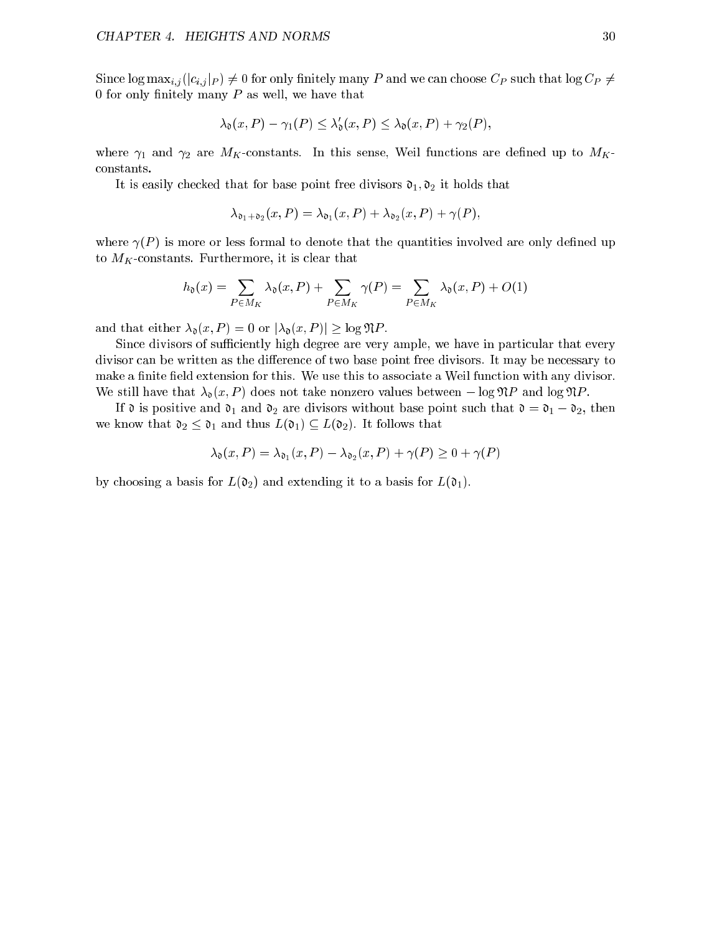Since  $\log \max_{i,j} (|c_{i,j}|_P) \neq 0$  for only finitely many P and we can choose  $C_P$  such that  $\log C_P \neq 0$ 0 for only finitely many  $P$  as well, we have that

$$
\lambda_{\mathfrak{d}}(x,P) - \gamma_1(P) \leq \lambda_{\mathfrak{d}}'(x,P) \leq \lambda_{\mathfrak{d}}(x,P) + \gamma_2(P),
$$

where  $\gamma_1$  and  $\gamma_2$  are  $M_K$ -constants. In this sense, Weil functions are defined up to  $M_K$ constants.

It is easily checked that for base point free divisors  $\mathfrak{d}_1, \mathfrak{d}_2$  it holds that

$$
\lambda_{\mathfrak{d}_1 + \mathfrak{d}_2}(x, P) = \lambda_{\mathfrak{d}_1}(x, P) + \lambda_{\mathfrak{d}_2}(x, P) + \gamma(P),
$$

where  $\gamma(P)$  is more or less formal to denote that the quantities involved are only defined up to  $M_K$ -constants. Furthermore, it is clear that

$$
h_{\mathfrak{d}}(x) = \sum_{P \in M_K} \lambda_{\mathfrak{d}}(x, P) + \sum_{P \in M_K} \gamma(P) = \sum_{P \in M_K} \lambda_{\mathfrak{d}}(x, P) + O(1)
$$

and that either  $\lambda_{\mathfrak{d}}(x, P) = 0$  or  $|\lambda_{\mathfrak{d}}(x, P)| \geq \log \mathfrak{N}P$ .

Since divisors of sufficiently high degree are very ample, we have in particular that every divisor can be written as the difference of two base point free divisors. It may be necessary to make a finite field extension for this. We use this to associate a Weil function with any divisor. We still have that  $\lambda_0(x, P)$  does not take nonzero values between  $-\log \mathfrak{N}P$  and log  $\mathfrak{N}P$ .

If  $\mathfrak d$  is positive and  $\mathfrak d_1$  and  $\mathfrak d_2$  are divisors without base point such that  $\mathfrak d = \mathfrak d_1 - \mathfrak d_2$ , then we know that  $\mathfrak{d}_2 \leq \mathfrak{d}_1$  and thus  $L(\mathfrak{d}_1) \subseteq L(\mathfrak{d}_2)$ . It follows that

$$
\lambda_{\mathfrak{d}}(x,P) = \lambda_{\mathfrak{d}_1}(x,P) - \lambda_{\mathfrak{d}_2}(x,P) + \gamma(P) \ge 0 + \gamma(P)
$$

by choosing a basis for  $L(\mathfrak{d}_2)$  and extending it to a basis for  $L(\mathfrak{d}_1)$ .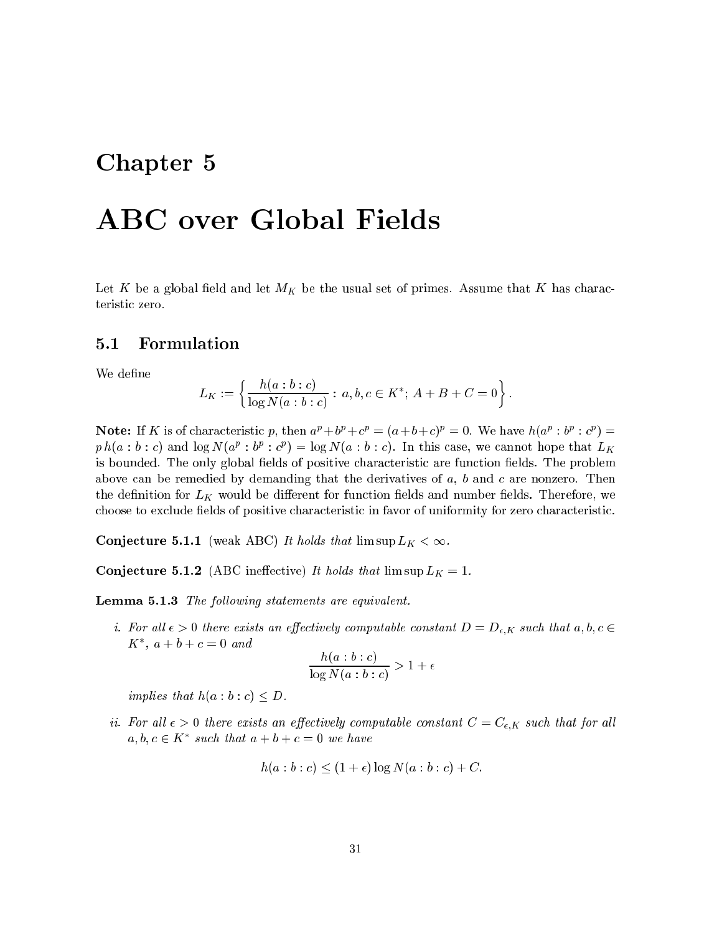# Chapter 5

# ABC over Global Fields

Let K be a global field and let  $M_K$  be the usual set of primes. Assume that K has characteristic zero.

## 5.1 Formulation

We define

$$
L_K := \left\{ \frac{h(a:b:c)}{\log N(a:b:c)} : a,b,c \in K^*; A+B+C=0 \right\}.
$$

**Note:** If A is of characteristic p, then  $a^r + b^r + c^r = (a + b + c)^r = 0$ . We have  $h(a^r : b^r : c^r) =$  $p \, n(a : o : c)$  and  $\log N(a^e : o^e : c^e) = \log N(a : o : c)$ . In this case, we cannot hope that  $L_K$ is bounded. The only global fields of positive characteristic are function fields. The problem above can be remedied by demanding that the derivatives of  $a, b$  and  $c$  are nonzero. Then the definition for  $L_K$  would be different for function fields and number fields. Therefore, we choose to exclude fields of positive characteristic in favor of uniformity for zero characteristic.

**Conjecture 5.1.1** (weak ABC) It holds that  $\limsup L_K < \infty$ .

**Conjecture 5.1.2** (ABC ineffective) It holds that  $\limsup L_K = 1$ .

**Lemma 5.1.3** The following statements are equivalent.

i. For all  $\epsilon > 0$  there exists an effectively computable constant  $D = D_{\epsilon,K}$  such that  $a,b,c \in$  $\Lambda$  ,  $a + b + c = 0$  and

$$
\frac{h(a:b:c)}{\log N(a:b:c)} > 1 + \epsilon
$$

implies that  $h(a:b:c) \leq D$ .

ii. For all  $\epsilon > 0$  there exists an effectively computable constant  $C = C_{\epsilon,K}$  such that for all  $a, b, c \in \mathbb{R}$  such that  $a + b + c = 0$  we have

$$
h(a:b:c) \le (1+\epsilon)\log N(a:b:c) + C.
$$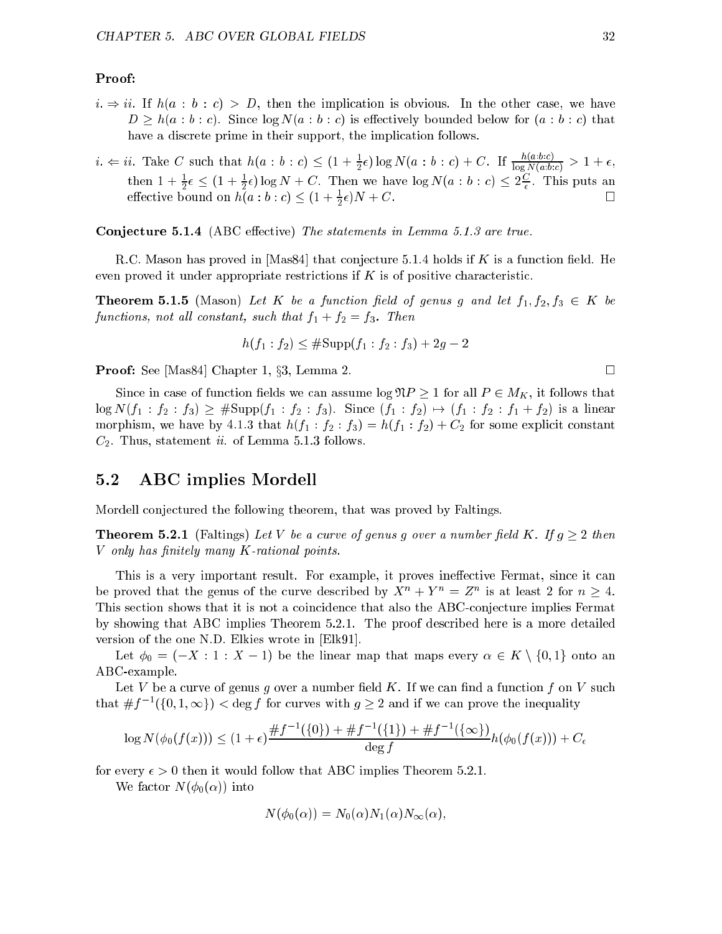### Proof:

- $i. \Rightarrow ii.$  If  $h(a : b : c) > D$ , then the implication is obvious. In the other case, we have  $D \geq h(a : b : c)$ . Since  $\log N(a : b : c)$  is effectively bounded below for  $(a : b : c)$  that have a discrete prime in their support, the implication follows.
- $i. \Leftarrow i.$  Take C such that  $h(a : b : c) \leq (1 + \frac{1}{2}\epsilon) \log N(a : b : c) + C.$  If  $\frac{1}{\log N(a:b:c)} > 1 + \epsilon,$ then  $1 + \frac{1}{2}\epsilon \leq (1 + \frac{1}{2}\epsilon) \log N + C$ . Then we have  $\log N(a : b : c) \leq 2\frac{1}{\epsilon}$ . This puts an effective bound on  $h(a : b : c) \leq (1 + \frac{1}{2}\epsilon)N + C$ .

Conjecture 5.1.4 (ABC effective) The statements in Lemma 5.1.3 are true.

R.C. Mason has proved in  $[Mas84]$  that conjecture 5.1.4 holds if K is a function field. He even proved it under appropriate restrictions if  $K$  is of positive characteristic.

**Theorem 5.1.5** (Mason) Let K be a function field of genus g and let  $f_1, f_2, f_3 \in K$  be functions, not all constant, such that  $f_1 + f_2 = f_3$ . Then

$$
h(f_1 : f_2) \leq \# \text{Supp}(f_1 : f_2 : f_3) + 2g - 2
$$

**Proof:** See [Mas84] Chapter 1, §3, Lemma 2.

Since in case of function fields we can assume  $\log \mathfrak{N} P \ge 1$  for all  $P \in M_K$ , it follows that  $\log N(f_1 : f_2 : f_3) \geq \# \text{Supp}(f_1 : f_2 : f_3)$ . Since  $(f_1 : f_2) \mapsto (f_1 : f_2 : f_1 + f_2)$  is a linear morphism, we have by 4.1.3 that  $h(f_1 : f_2 : f_3) = h(f_1 : f_2) + C_2$  for some explicit constant  $C_2$ . Thus, statement *ii.* of Lemma 5.1.3 follows.

# 5.2 ABC implies Mordell

Mordell conjectured the following theorem, that was proved by Faltings.

**Theorem 5.2.1** (Faltings) Let V be a curve of genus g over a number field K. If  $g \geq 2$  then  $V$  only has finitely many  $K$ -rational points.

This is a very important result. For example, it proves ineffective Fermat, since it can be proved that the genus of the curve described by  $A^+ + I^- = Z^-$  is at least 2 for  $n \geq 4$ . This section shows that it is not a coincidence that also the ABC-conjecture implies Fermat by showing that ABC implies Theorem 5.2.1. The proof described here is a more detailed version of the one N.D. Elkies wrote in [Elk91].

Let  $\phi_0 = (-X : 1 : X - 1)$  be the linear map that maps every  $\alpha \in K \setminus \{0, 1\}$  onto an ABC-example.

Let V be a curve of genus g over a number field K. If we can find a function  $f$  on V such that  $\# f$   $\rightarrow$  ({0, 1,  $\infty$ })  $\leq$  deg f for curves with  $g \geq 2$  and if we can prove the inequality

$$
\log N(\phi_0(f(x))) \le (1+\epsilon) \frac{\# f^{-1}(\{0\}) + \# f^{-1}(\{1\}) + \# f^{-1}(\{\infty\})}{\deg f} h(\phi_0(f(x))) + C_{\epsilon}
$$

for every  $\epsilon > 0$  then it would follow that ABC implies Theorem 5.2.1.

We factor  $N(\phi_0(\alpha))$  into

$$
N(\phi_0(\alpha)) = N_0(\alpha)N_1(\alpha)N_\infty(\alpha),
$$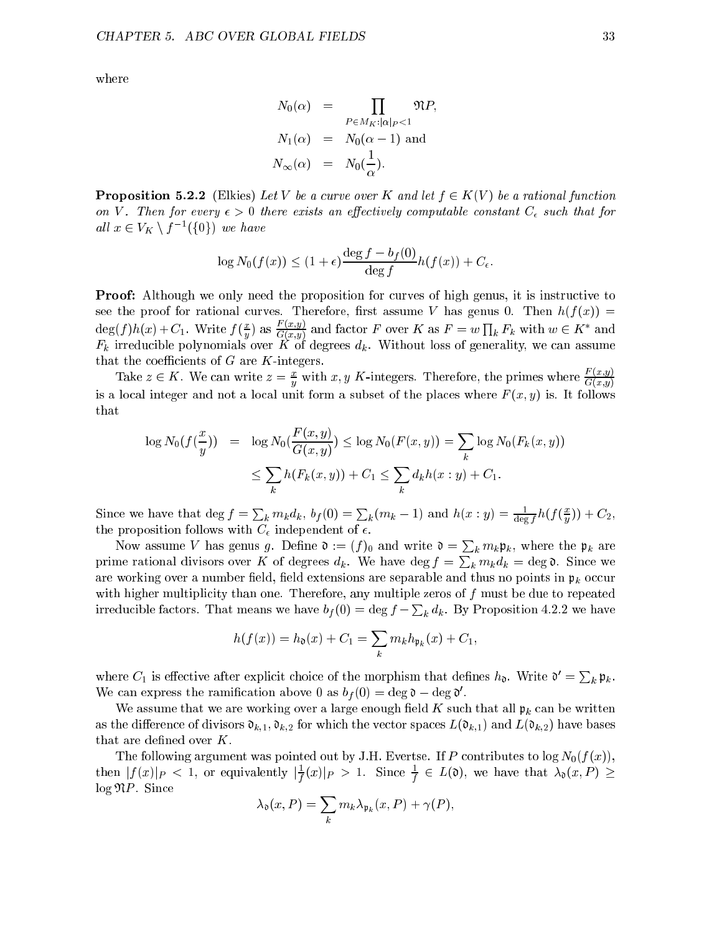where

$$
N_0(\alpha) = \prod_{P \in M_K: |\alpha|_P < 1} \mathfrak{N}P,
$$
  
\n
$$
N_1(\alpha) = N_0(\alpha - 1) \text{ and }
$$
  
\n
$$
N_\infty(\alpha) = N_0(\frac{1}{\alpha}).
$$

**Proposition 5.2.2** (Elkies) Let V be a curve over K and let  $f \in K(V)$  be a rational function on V. Then for every  $\epsilon > 0$  there exists an effectively computable constant  $C_{\epsilon}$  such that for all  $x \in V_K \setminus J$  ({0}) we have

$$
\log N_0(f(x)) \le (1+\epsilon)\frac{\deg f - b_f(0)}{\deg f}h(f(x)) + C_{\epsilon}.
$$

Proof: Although we only need the proposition for curves of high genus, it is instructive to see the proof for rational curves. Therefore, first assume V has genus 0. Then  $h(f(x)) =$  $\deg(J) n(x) + C_1$ . Write  $J(\frac{\pi}{n})$  $\frac{x}{G(x,y)}$  and factor F over K as  $F = w \prod_k F_k$  with  $w \in K^*$  and Fk irreducible polynomials over <sup>K</sup> of degrees dk. Without loss of generality, we can assume that the coefficients of  $G$  are  $K$ -integers.

Take  $z \in K$ . We can write  $z = \frac{w}{y}$  with x, y K-integers. Therefore, the primes where  $\frac{1}{G(x,y)}$ is a local integer and not a local unit form a subset of the places where  $F(x, y)$  is. It follows that

$$
\log N_0(f(\frac{x}{y})) = \log N_0(\frac{F(x,y)}{G(x,y)}) \le \log N_0(F(x,y)) = \sum_{k} \log N_0(F_k(x,y))
$$
  

$$
\le \sum_{k} h(F_k(x,y)) + C_1 \le \sum_{k} d_k h(x:y) + C_1.
$$

Since we have that  $\deg f = \sum_k m_k d_k$ ,  $b_f(0) = \sum_k (m_k - 1)$  and  $h(x : y) = \frac{1}{\deg f} h(f(\frac{x}{y}))$  $y \rightarrow$   $z$ , the proposition follows with  $C_{\epsilon}$  independent of  $\epsilon$ .

Now assume V has genus g. Define  $\mathfrak{d} := (f)_0$  and write  $\mathfrak{d} = \sum_k m_k \mathfrak{p}_k$ , where the  $\mathfrak{p}_k$  are prime rational divisors over K of degrees  $d_k$ . We have  $\deg f = \sum_k m_k d_k = \deg \mathfrak{d}$ . Since we are working over a number field, field extensions are separable and thus no points in  $\mathfrak{p}_k$  occur with higher multiplicity than one. Therefore, any multiple zeros of  $f$  must be due to repeated irreducible factors. That means we have  $b_f(0) = \deg f - \sum_k d_k$ . By Proposition 4.2.2 we have

$$
h(f(x)) = h_{\mathfrak{d}}(x) + C_1 = \sum_{k} m_k h_{\mathfrak{p}_k}(x) + C_1,
$$

where  $C_1$  is effective after explicit choice of the morphism that defines  $h_{\mathfrak{d}}$ . Write  $\mathfrak{d}' = \sum_k \mathfrak{p}_k$ . We can express the ramification above 0 as  $\theta_f(0) = \deg \theta - \deg \theta$ .

We assume that we are working over a large enough field K such that all  $\mathfrak{p}_k$  can be written as the difference of divisors  $\mathfrak{d}_{k,1}$ ,  $\mathfrak{d}_{k,2}$  for which the vector spaces  $L(\mathfrak{d}_{k,1})$  and  $L(\mathfrak{d}_{k,2})$  have bases that are defined over  $K$ .

The following argument was pointed out by J.H. Evertse. If P contributes to  $\log N_0(f(x))$ , then  $|J(x)|_P < 1$ , or equivalently  $|\overline{\tau}(x)|_P > 1$ . Since  $\overline{\tau} \in L(0)$ , we have that  $\lambda_0(x, P) \ge$ f  $log \mathfrak{N}P$ . Since

$$
\lambda_{\mathfrak{d}}(x,P) = \sum_{k} m_{k} \lambda_{\mathfrak{p}_{k}}(x,P) + \gamma(P),
$$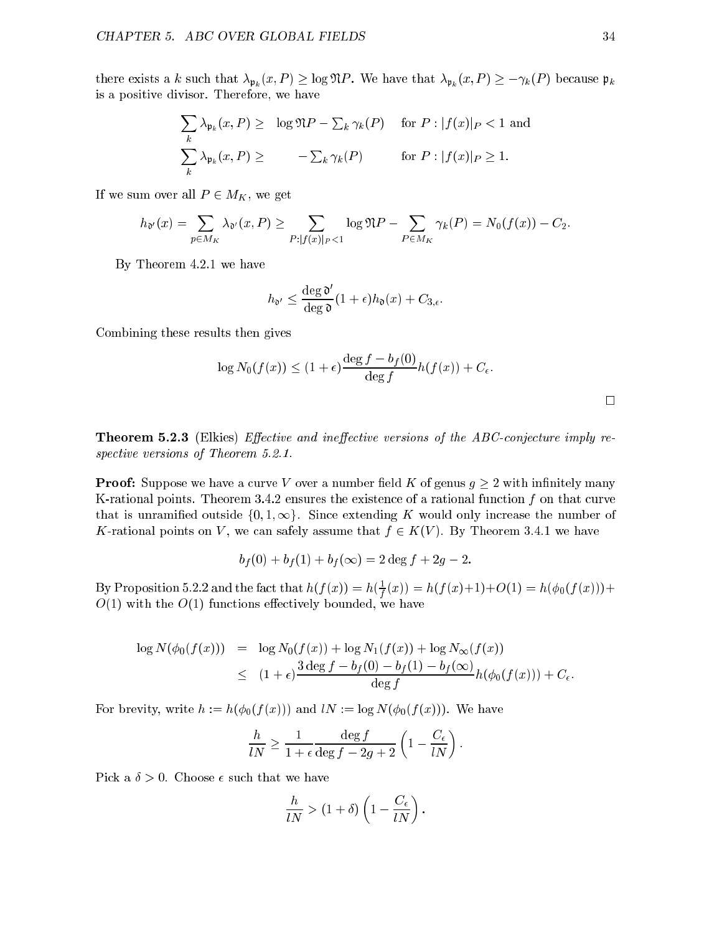there exists a k such that  $\lambda_{\mathfrak{p}_k} (x, P) \geq \log \mathfrak{N}P$ . We have that  $\lambda_{\mathfrak{p}_k} (x, P) \geq -\gamma_k(P)$  because  $\mathfrak{p}_k$ is a positive divisor. Therefore, we have

$$
\sum_{k} \lambda_{\mathfrak{p}_k}(x, P) \ge \log \mathfrak{N}P - \sum_{k} \gamma_k(P) \quad \text{for } P : |f(x)|_P < 1 \text{ and}
$$

$$
\sum_{k} \lambda_{\mathfrak{p}_k}(x, P) \ge -\sum_{k} \gamma_k(P) \quad \text{for } P : |f(x)|_P \ge 1.
$$

If we sum over all  $P \in M_K$ , we get

$$
h_{\mathfrak{d}'}(x) = \sum_{p \in M_K} \lambda_{\mathfrak{d}'}(x,P) \ge \sum_{P: |f(x)|_P < 1} \log \mathfrak{N}P - \sum_{P \in M_K} \gamma_k(P) = N_0(f(x)) - C_2.
$$

By Theorem 4.2.1 we have

$$
h_{\mathfrak{d}'} \leq \frac{\deg \mathfrak{d}'}{\deg \mathfrak{d}} (1+\epsilon) h_{\mathfrak{d}}(x) + C_{3,\epsilon}.
$$

Combining these results then gives

$$
\log N_0(f(x)) \le (1+\epsilon)\frac{\deg f - b_f(0)}{\deg f}h(f(x)) + C_{\epsilon}.
$$

**Theorem 5.2.3** (Elkies) Effective and ineffective versions of the ABC-conjecture imply respective versions of Theorem 5.2.1.

**Proof:** Suppose we have a curve V over a number field K of genus  $g \geq 2$  with infinitely many K-rational points. Theorem 3.4.2 ensures the existence of a rational function  $f$  on that curve that is unramified outside  $\{0,1,\infty\}$ . Since extending K would only increase the number of K-rational points on V, we can safely assume that  $f \in K(V)$ . By Theorem 3.4.1 we have

$$
b_f(0) + b_f(1) + b_f(\infty) = 2 \deg f + 2g - 2.
$$

By Proposition 5.2.2 and the fact that  $h(T(x)) = h(\frac{1}{T})$  $f(x-y) = f(x-y)+f(y) - f(x)$  $O(1)$  with the  $O(1)$  functions effectively bounded, we have

$$
\log N(\phi_0(f(x))) = \log N_0(f(x)) + \log N_1(f(x)) + \log N_{\infty}(f(x))
$$
  
 
$$
\leq (1 + \epsilon) \frac{3 \deg f - b_f(0) - b_f(1) - b_f(\infty)}{\deg f} h(\phi_0(f(x))) + C_{\epsilon}.
$$

For brevity, write  $h := h(\phi_0(f(x)))$  and  $lN := \log N(\phi_0(f(x)))$ . We have

$$
\frac{h}{lN} \ge \frac{1}{1+\epsilon} \frac{\deg f}{\deg f - 2g + 2} \left(1 - \frac{C_{\epsilon}}{lN}\right).
$$

Pick a  $\delta > 0$ . Choose  $\epsilon$  such that we have

$$
\frac{h}{lN} > (1+\delta)\left(1 - \frac{C_{\epsilon}}{lN}\right).
$$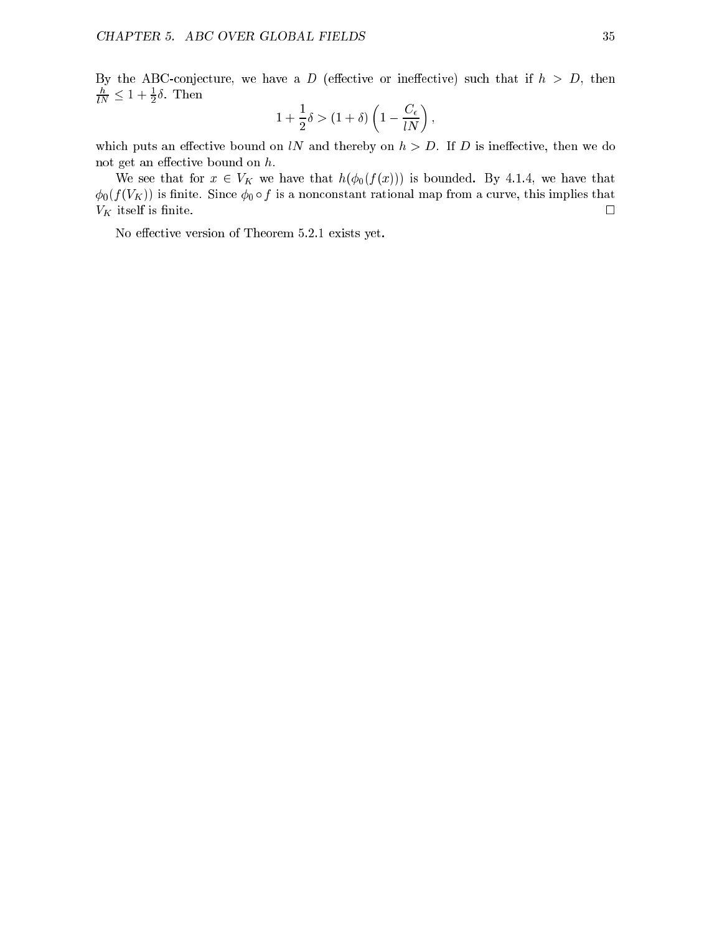By the ABC-conjecture, we have a D (effective or ineffective) such that if  $h > D$ , then  $\overline{lN} \geq 1 + \frac{1}{2}$ o. Inen

$$
1+\frac{1}{2}\delta > (1+\delta)\left(1-\frac{C_\epsilon}{lN}\right),
$$

which puts an effective bound on lN and thereby on  $h > D$ . If D is ineffective, then we do not get an effective bound on  $h$ .

We see that for  $x \in V_K$  we have that  $h(\phi_0(f(x)))$  is bounded. By 4.1.4, we have that  $\phi_0(f(V_K))$  is finite. Since  $\phi_0 \circ f$  is a nonconstant rational map from a curve, this implies that  $V_K$  itself is finite.

No effective version of Theorem 5.2.1 exists yet.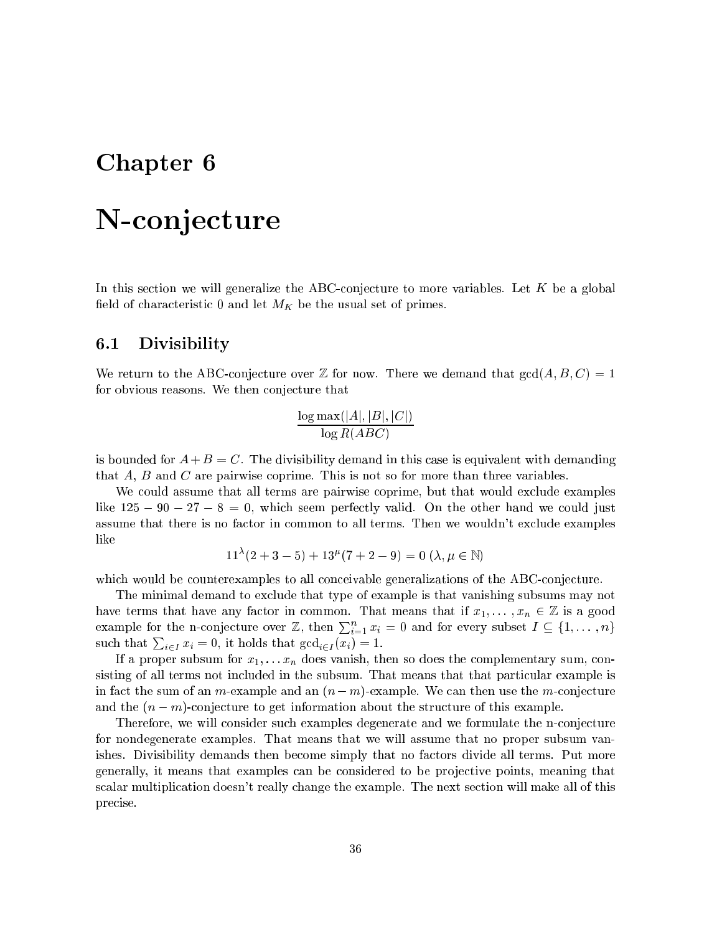# Chapter 6

# N-conjecture

In this section we will generalize the ABC-conjecture to more variables. Let  $K$  be a global field of characteristic 0 and let  $M_K$  be the usual set of primes.

# 6.1 Divisibility

We return to the ABC-conjecture over  $\mathbb Z$  for now. There we demand that  $gcd(A, B, C) = 1$ for obvious reasons. We then conjecture that

$$
\frac{\log \max(|A|,|B|,|C|)}{\log R(ABC)}
$$

is bounded for  $A + B = C$ . The divisibility demand in this case is equivalent with demanding that A, B and C are pairwise coprime. This is not so for more than three variables.

We could assume that all terms are pairwise coprime, but that would exclude examples like  $125 - 90 - 27 - 8 = 0$ , which seem perfectly valid. On the other hand we could just assume that there is no factor in common to all terms. Then we wouldn't exclude examples like

$$
11^{\lambda}(2+3-5) + 13^{\mu}(7+2-9) = 0 \ (\lambda, \mu \in \mathbb{N})
$$

which would be counterexamples to all conceivable generalizations of the ABC-conjecture.

The minimal demand to exclude that type of example is that vanishing subsums may not have terms that have any factor in common. That means that if  $x_1, \ldots, x_n \in \mathbb{Z}$  is a good example for the n-conjecture over Z, then  $\sum_{i=1}^{n} x_i = 0$  and for every subset  $I \subseteq \{1, \ldots, n\}$ such that  $\sum_{i \in I} x_i = 0$ , it holds that  $\gcd_{i \in I} (x_i) = 1$ .

If a proper subsum for  $x_1, \ldots, x_n$  does vanish, then so does the complementary sum, consisting of all terms not included in the subsum. That means that that particular example is in fact the sum of an m-example and an  $(n-m)$ -example. We can then use the m-conjecture and the  $(n - m)$ -conjecture to get information about the structure of this example.

Therefore, we will consider such examples degenerate and we formulate the n-conjecture for nondegenerate examples. That means that we will assume that no proper subsum vanishes. Divisibility demands then become simply that no factors divide all terms. Put more generally, it means that examples can be considered to be projective points, meaning that scalar multiplication doesn't really change the example. The next section will make all of this precise.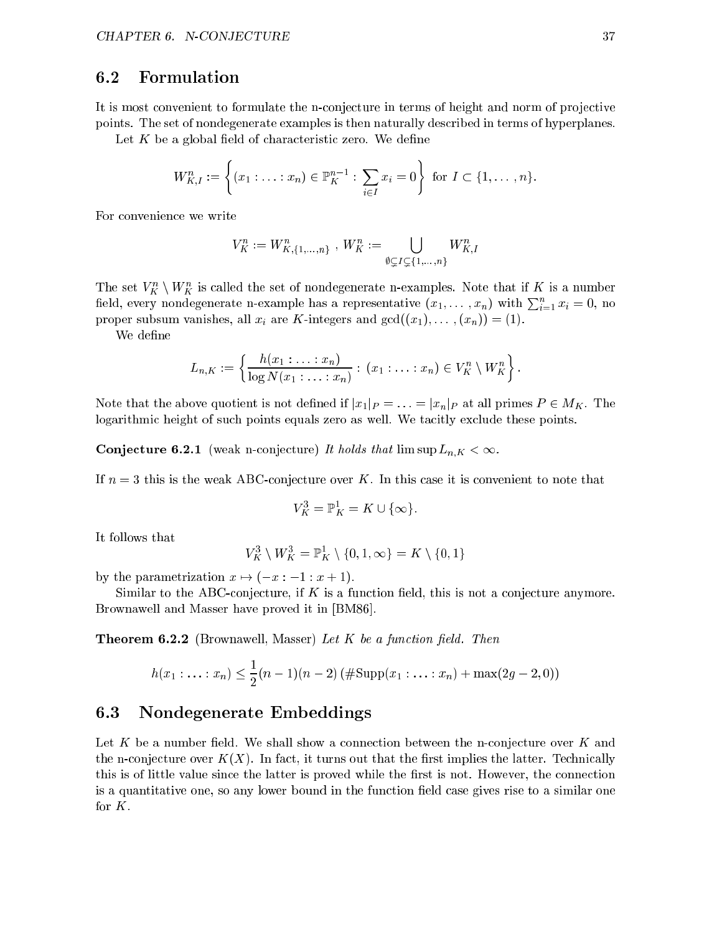### 6.2 Formulation

It is most convenient to formulate the n-conjecture in terms of height and norm of projective points. The set of nondegenerate examples is then naturally described in terms of hyperplanes.

Let  $K$  be a global field of characteristic zero. We define

$$
W_{K,I}^n := \left\{ (x_1 : \ldots : x_n) \in \mathbb{P}_{K}^{n-1} : \sum_{i \in I} x_i = 0 \right\} \text{ for } I \subset \{1, \ldots, n\}.
$$

For convenience we write

$$
V_K^n := W_{K,\{1,\ldots,n\}}^n \text{ , } W_K^n := \bigcup_{\emptyset \subsetneq I \subsetneq \{1,\ldots,n\}} W_{K,I}^n
$$

The set  $V_K^{\perp} \setminus W_K^{\perp}$  is called the set of nondegenerate n-examples. Note that if K is a number field, every nondegenerate n-example has a representative  $(x_1, \ldots, x_n)$  with  $\sum_{i=1}^n x_i = 0$ , no proper subsum vanishes, all  $x_i$  are K-integers and  $gcd((x_1), \ldots, (x_n)) = (1)$ .

We define

$$
L_{n,K} := \left\{ \frac{h(x_1:\ldots:x_n)}{\log N(x_1:\ldots:x_n)} : (x_1:\ldots:x_n) \in V_K^n \setminus W_K^n \right\}.
$$

Note that the above quotient is not defined if  $|x_1|_P = \ldots = |x_n|_P$  at all primes  $P \in M_K$ . The logarithmic height of such points equals zero as well. We tacitly exclude these points.

**Conjecture 6.2.1** (weak n-conjecture) It holds that  $\limsup L_{n,K} < \infty$ .

If  $n = 3$  this is the weak ABC-conjecture over K. In this case it is convenient to note that

$$
V_K^3 = \mathbb{P}_K^1 = K \cup \{\infty\}.
$$

It follows that

$$
V_K^3 \setminus W_K^3 = \mathbb{P}^1_K \setminus \{0, 1, \infty\} = K \setminus \{0, 1\}
$$

by the parametrization  $x \mapsto (-x : -1 : x + 1)$ .

Similar to the ABC-conjecture, if  $K$  is a function field, this is not a conjecture anymore. Brownawell and Masser have proved it in [BM86].

**Theorem 6.2.2** (Brownawell, Masser) Let  $K$  be a function field. Then

$$
h(x_1: \ldots: x_n) \leq \frac{1}{2}(n-1)(n-2) \left(\#\text{Supp}(x_1: \ldots: x_n) + \max(2g-2,0)\right)
$$

# 6.3 Nondegenerate Embeddings

Let K be a number field. We shall show a connection between the n-conjecture over K and the n-conjecture over  $K(X)$ . In fact, it turns out that the first implies the latter. Technically this is of little value since the latter is proved while the first is not. However, the connection is a quantitative one, so any lower bound in the function field case gives rise to a similar one for K.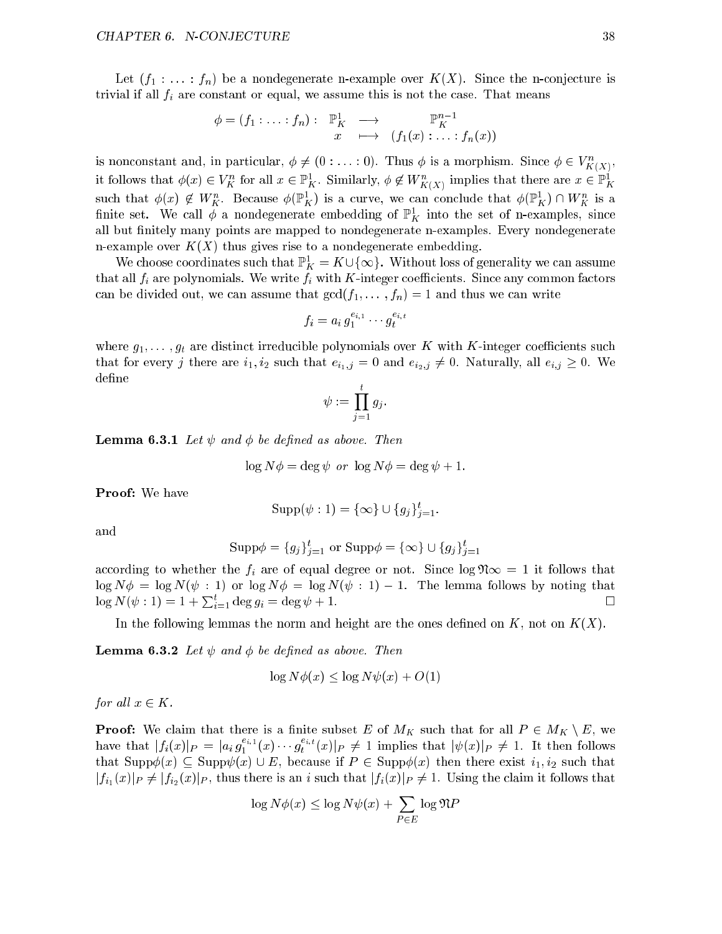Let  $(f_1 : \ldots : f_n)$  be a nondegenerate n-example over  $K(X)$ . Since the n-conjecture is trivial if all  $f_i$  are constant or equal, we assume this is not the case. That means

$$
\phi = (f_1 : \ldots : f_n) : \mathbb{P}^1_K \longrightarrow \mathbb{P}^{n-1}_K
$$
  

$$
x \longmapsto (f_1(x) : \ldots : f_n(x))
$$

is nonconstant and, in particular,  $\varphi \neq (0: \ldots: 0)$ . Thus  $\varphi$  is a morphism. Since  $\varphi \in V_{\nu'(\mathbf{v})},$  $\sim$ it follows that  $\varphi(x) \in V_K^{\times}$  for all  $x \in \mathbb{F}_K^{\times}$ . Similarly,  $\varphi \notin W_{K(X)}^{\times}$  implies that there are  $x \in \mathbb{F}_K^{\times}$ such that  $\varphi(x) \notin W_K$ . Because  $\varphi(\mathbb{F}_K^r)$  is a curve, we can conclude that  $\varphi(\mathbb{F}_K^r) \cap W_K^r$  is a influe set. We call  $\varphi$  a nondegenerate embedding of  $\mathbb{F}_K^{\times}$  into the set of n-examples, since all but finitely many points are mapped to nondegenerate n-examples. Every nondegenerate n-example over  $K(X)$  thus gives rise to a nondegenerate embedding.

We choose coordinates such that  $\mathbb{F}_K = \mathbf{A} \cup \{\infty\}$ . Without loss of generality we can assume that all  $f_i$  are polynomials. We write  $f_i$  with K-integer coefficients. Since any common factors can be divided out, we can assume that  $gcd(f_1, \ldots, f_n) = 1$  and thus we can write

$$
f_i = a_i g_1^{e_{i,1}} \cdots g_t^{e_{i,t}}
$$

where  $g_1, \ldots, g_t$  are distinct irreducible polynomials over K with K-integer coefficients such that for every j there are  $i_1, i_2$  such that  $e_{i_1,j} = 0$  and  $e_{i_2,j} \neq 0$ . Naturally, all  $e_{i,j} \geq 0$ . We define

$$
\psi:=\prod_{j=1}^t g_j.
$$

**Lemma 6.3.1** Let  $\psi$  and  $\phi$  be defined as above. Then

$$
\log N\phi = \deg \psi \text{ or } \log N\phi = \deg \psi + 1.
$$

Proof: We have

$$
Supp(\psi : 1) = \{\infty\} \cup \{g_j\}_{j=1}^t.
$$

and

$$
\text{Supp}\phi = \{g_j\}_{j=1}^t \text{ or } \text{Supp}\phi = \{\infty\} \cup \{g_j\}_{j=1}^t
$$

according to whether the  $f_i$  are of equal degree or not. Since  $\log \mathfrak{N} \infty = 1$  it follows that  $\log N\phi = \log N(\psi : 1)$  or  $\log N\phi = \log N(\psi : 1) - 1$ . The lemma follows by noting that  $\log N(\psi : 1) = 1 + \sum_{i=1}^t \deg g_i = \deg \psi + 1.$  $\Box$ 

In the following lemmas the norm and height are the ones defined on  $K$ , not on  $K(X)$ .

**Lemma 6.3.2** Let  $\psi$  and  $\phi$  be defined as above. Then

$$
\log N\phi(x) \le \log N\psi(x) + O(1)
$$

for all  $x \in K$ .

**Proof:** We claim that there is a finite subset E of  $M_K$  such that for all  $P \in M_K \setminus E$ , we have that  $|f_i(x)|_P = |a_i g_1^{r_i}(x) \cdots g_t^{r_i}(x)|_P \neq 1$  implies that  $|\psi(x)|_P \neq 1$ . It then follows that  $\text{Supp}\phi(x) \subseteq \text{Supp}\psi(x) \cup E$ , because if  $P \in \text{Supp}\phi(x)$  then there exist  $i_1, i_2$  such that  $|f_{i_1}(x)|_P \neq |f_{i_2}(x)|_P$ , thus there is an i such that  $|f_i(x)|_P \neq 1$ . Using the claim it follows that

$$
\log N\phi(x) \le \log N\psi(x) + \sum_{P \in E} \log \mathfrak{N}P
$$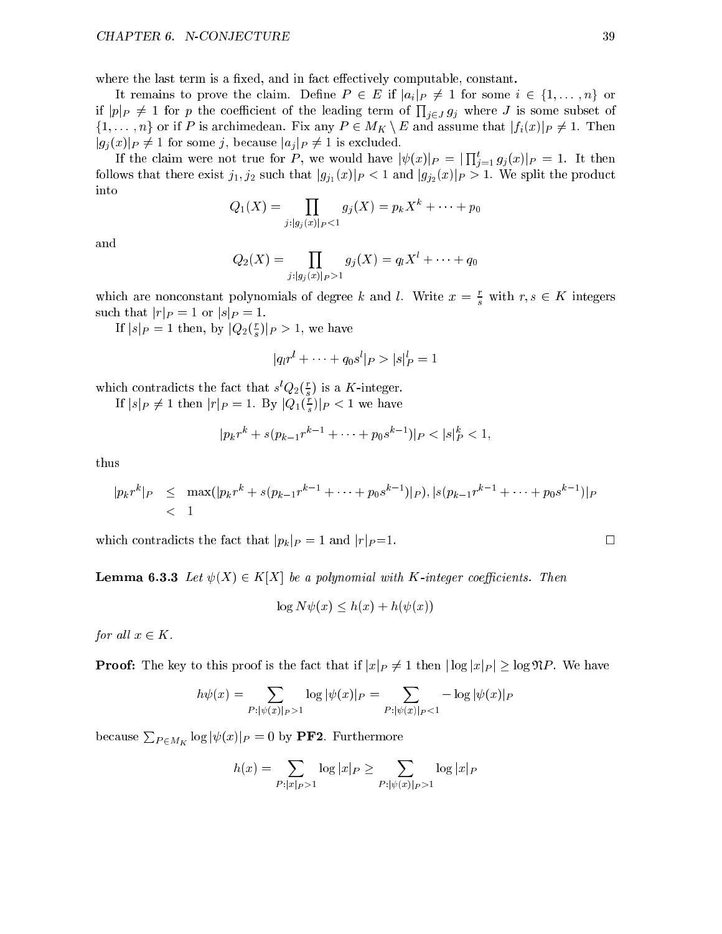where the last term is a fixed, and in fact effectively computable, constant.

It remains to prove the claim. Define  $P \in E$  if  $|a_i|_P \neq 1$  for some  $i \in \{1, \ldots, n\}$  or if  $|p|_P \neq 1$  for p the coefficient of the leading term of  $\prod_{i \in J} g_i$  where J is some subset of  $\{1,\ldots,n\}$  or if P is archimedean. Fix any  $P \in M_K \setminus E$  and assume that  $|f_i(x)|_P \neq 1$ . Then  $|g_j(x)|_P \neq 1$  for some j, because  $|a_j|_P \neq 1$  is excluded.

If the claim were not true for P, we would have  $|\psi(x)|_P = \prod_{i=1}^t g_i(x)|_P = 1$ . It then follows that there exist  $j_1, j_2$  such that  $|g_{j_1}(x)|_P < 1$  and  $|g_{j_2}(x)|_P > 1$ . We split the product into

$$
Q_1(X) = \prod_{j:|g_j(x)|_P<1} g_j(X) = p_k X^k + \cdots + p_0
$$

and

$$
Q_2(X) = \prod_{j: |g_j(x)|_P > 1} g_j(X) = q_l X^l + \cdots + q_0
$$

which are nonconstant polynomials of degree k and l. Write  $x = \frac{1}{s}$  with  $r, s \in \mathbb{R}$  integers such that  $|r|_P = 1$  or  $|s|_P = 1$ .

If  $|s|_P = 1$  then, by  $|Q_2(\frac{1}{e})|_P > 1$ , we have

$$
|q_{l}r^{l} + \cdots + q_{0}s^{l}|_{P} > |s|_{P}^{l} = 1
$$

which contradicts the fact that  $s(Q_2(\frac{1}{\epsilon}))$  is a K-integer.

If  $|s|_P \neq 1$  then  $|r|_P = 1$ . By  $|Q_1(\frac{1}{s})|_P < 1$  we have

$$
|p_k r^k + s(p_{k-1} r^{k-1} + \dots + p_0 s^{k-1})|_P < |s|_P^k < 1,
$$

thus

$$
|p_k r^k|_P \leq \max(|p_k r^k + s(p_{k-1} r^{k-1} + \dots + p_0 s^{k-1})|_P), |s(p_{k-1} r^{k-1} + \dots + p_0 s^{k-1})|_P < 1
$$

which contradicts the fact that  $|p_k|_P = 1$  and  $|r|_P = 1$ .

**Lemma 6.3.3** Let  $\psi(X) \in K[X]$  be a polynomial with K-integer coefficients. Then

$$
\log N\psi(x) \le h(x) + h(\psi(x))
$$

for all  $x \in K$ .

**Proof:** The key to this proof is the fact that if  $|x|_P \neq 1$  then  $|\log |x|_P| \geq \log \mathfrak{N}P$ . We have

$$
h\psi(x) = \sum_{P: |\psi(x)|_P > 1} \log |\psi(x)|_P = \sum_{P: |\psi(x)|_P < 1} - \log |\psi(x)|_P
$$

because  $\sum_{P \in M_K} \log |\psi(x)|_P = 0$  by PF2. Furthermore

$$
h(x) = \sum_{P : |x|_P > 1} \log |x|_P \ge \sum_{P : |\psi(x)|_P > 1} \log |x|_P
$$

$$
\Box
$$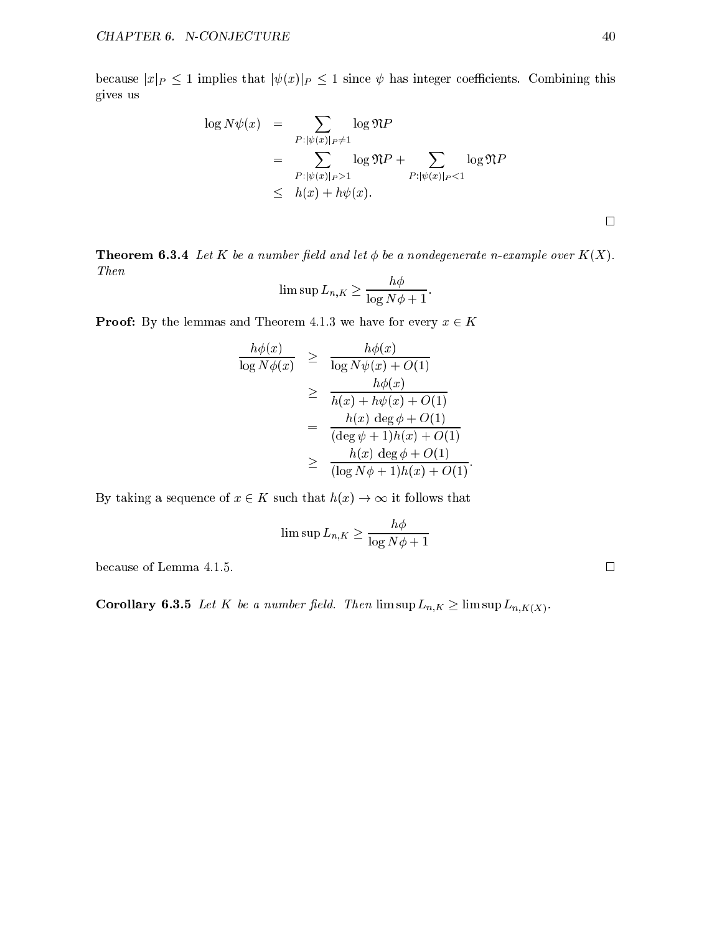because  $|x|_P \le 1$  implies that  $|\psi(x)|_P \le 1$  since  $\psi$  has integer coefficients. Combining this gives us

$$
\log N\psi(x) = \sum_{P: |\psi(x)|_P \neq 1} \log \mathfrak{N}P
$$
  
= 
$$
\sum_{P: |\psi(x)|_P > 1} \log \mathfrak{N}P + \sum_{P: |\psi(x)|_P < 1} \log \mathfrak{N}P
$$
  

$$
\leq h(x) + h\psi(x).
$$

**Theorem 6.3.4** Let K be a number field and let  $\phi$  be a nondegenerate n-example over  $K(X)$ .  $Then \;$ 

$$
\limsup L_{n,K} \ge \frac{h\phi}{\log N\phi + 1}.
$$

**Proof:** By the lemmas and Theorem 4.1.3 we have for every  $x \in K$ 

$$
\frac{h\phi(x)}{\log N\phi(x)} \geq \frac{h\phi(x)}{\log N\psi(x) + O(1)}
$$
\n
$$
\geq \frac{h\phi(x)}{h(x) + h\psi(x) + O(1)}
$$
\n
$$
= \frac{h(x) \deg \phi + O(1)}{(\deg \psi + 1)h(x) + O(1)}
$$
\n
$$
\geq \frac{h(x) \deg \phi + O(1)}{(\log N\phi + 1)h(x) + O(1)}.
$$

By taking a sequence of  $x \in K$  such that  $h(x) \to \infty$  it follows that

$$
\limsup L_{n,K} \ge \frac{h\phi}{\log N\phi + 1}
$$

because of Lemma 4.1.5.  $\Box$ 

**Corollary 6.3.5** Let K be a number field. Then  $\limsup L_{n,K} \geq \limsup L_{n,K(X)}$ .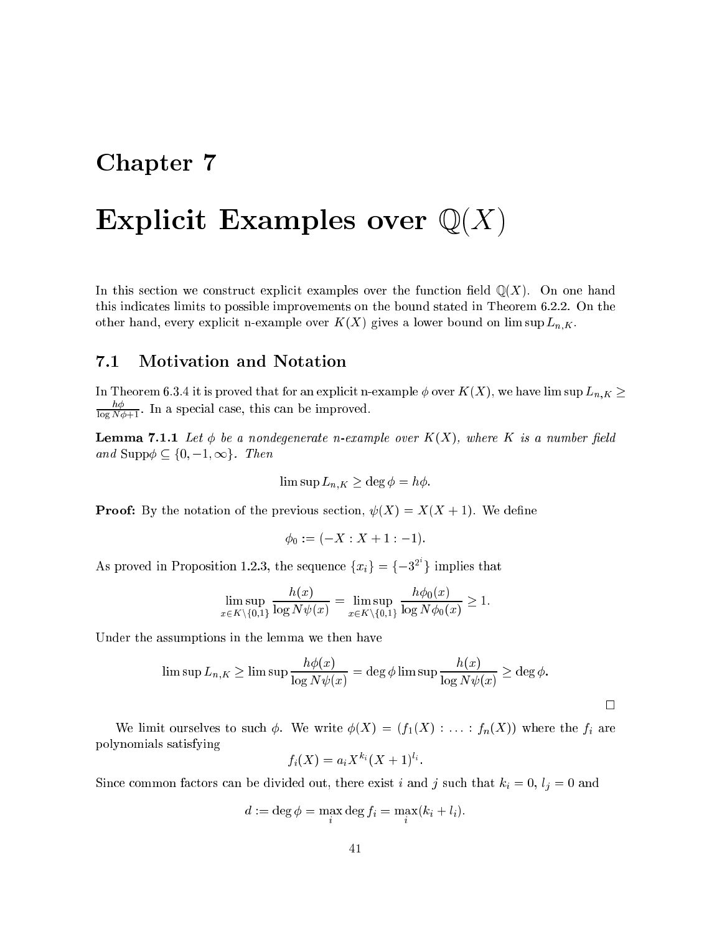# Chapter 7

# Explicit Examples over  $\mathbb{Q}(X)$

In this section we construct explicit examples over the function field  $\mathbb{Q}(X)$ . On one hand this indicates limits to possible improvements on the bound stated in Theorem 6.2.2. On the other hand, every explicit n-example over  $K(X)$  gives a lower bound on lim sup  $L_{n,K}$ .

# 7.1 Motivation and Notation

In Theorem 6.3.4 it is proved that for an explicit n-example  $\phi$  over  $K(X)$ , we have lim sup  $L_{n,K} \geq$  $\frac{1}{\log N}\overline{\phi+1}$ . In a special case, this can be improved.

**Lemma 7.1.1** Let  $\phi$  be a nondegenerate n-example over  $K(X)$ , where K is a number field and Supp $\phi \subseteq \{0, -1, \infty\}$ . Then

$$
\limsup L_{n,K} \ge \deg \phi = h\phi.
$$

**Proof:** By the notation of the previous section,  $\psi(X) = X(X + 1)$ . We define

$$
\phi_0 := (-X : X + 1 : -1).
$$

As proved in Proposition 1.2.3, the sequence  $\{x_i\} = \{-3^2\}$  implies that

$$
\limsup_{x \in K \setminus \{0,1\}} \frac{h(x)}{\log N\psi(x)} = \limsup_{x \in K \setminus \{0,1\}} \frac{h\phi_0(x)}{\log N\phi_0(x)} \ge 1.
$$

Under the assumptions in the lemma we then have

$$
\limsup L_{n,K} \ge \limsup \frac{h\phi(x)}{\log N\psi(x)} = \deg \phi \limsup \frac{h(x)}{\log N\psi(x)} \ge \deg \phi.
$$

 $\Box$ 

We limit ourselves to such  $\phi$ . We write  $\phi(X) = (f_1(X) : \ldots : f_n(X))$  where the  $f_i$  are polynomials satisfying

$$
f_i(X) = a_i X^{k_i} (X+1)^{l_i}.
$$

Since common factors can be divided out, there exist i and j such that  $k_i = 0$ ,  $l_j = 0$  and

$$
d := \deg \phi = \max_{i} \deg f_i = \max_{i} (k_i + l_i).
$$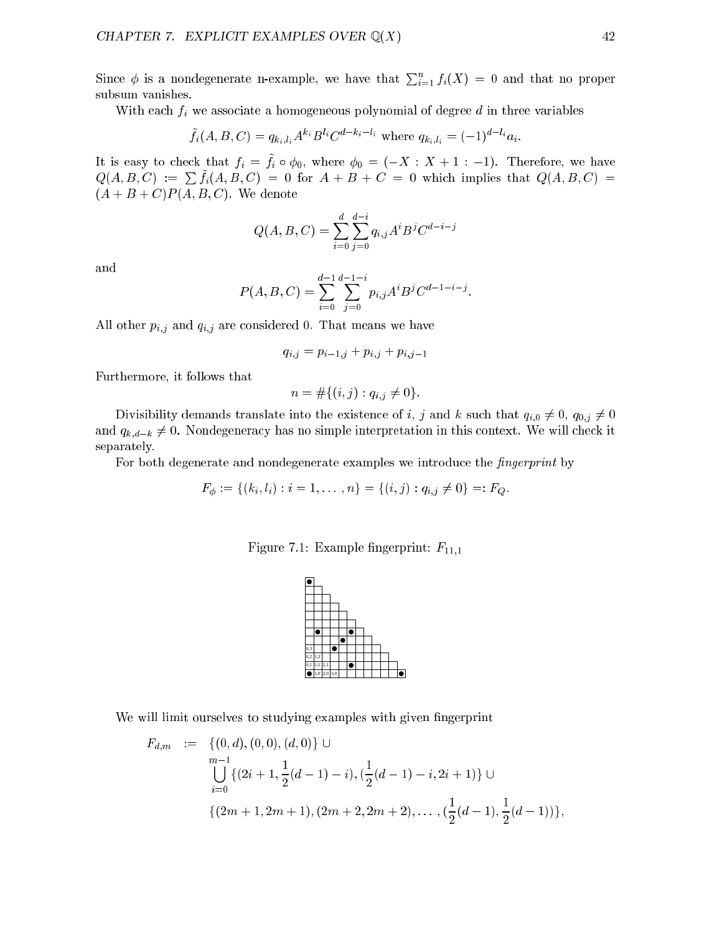Since  $\phi$  is a nondegenerate n-example, we have that  $\sum_{i=1}^{n} f_i(X) = 0$  and that no proper subsum vanishes.

With each  $f_i$  we associate a homogeneous polynomial of degree  $d$  in three variables

$$
\tilde{f}_i(A, B, C) = q_{k_i, l_i} A^{k_i} B^{l_i} C^{d-k_i-l_i}
$$
 where  $q_{k_i, l_i} = (-1)^{d-l_i} a_i$ .

It is easy to check that  $f_i = f_i \circ \varphi_0$ , where  $\varphi_0 = (-\Lambda \cdot \Lambda + 1 \cdot -1)$ . Therefore, we have  $Q(A, B, C) := \sum f_i(A, B, C) = 0$  for  $A + B + C = 0$  which implies that  $Q(A, B, C) =$  $(A + B + C)P(A, B, C)$ . We denote

$$
Q(A, B, C) = \sum_{i=0}^{d} \sum_{j=0}^{d-i} q_{i,j} A^{i} B^{j} C^{d-i-j}
$$

and

$$
P(A, B, C) = \sum_{i=0}^{d-1} \sum_{j=0}^{d-1-i} p_{i,j} A^i B^j C^{d-1-i-j}.
$$

All other  $p_{i,j}$  and  $q_{i,j}$  are considered 0. That means we have

$$
q_{i,j} = p_{i-1,j} + p_{i,j} + p_{i,j-1}
$$

Furthermore, it follows that

$$
n = #\{(i, j) : q_{i, j} \neq 0\}.
$$

Divisibility demands translate into the existence of i, j and k such that  $q_{i,0} \neq 0$ ,  $q_{0,j} \neq 0$ and  $q_{k,d-k} \neq 0$ . Nondegeneracy has no simple interpretation in this context. We will check it separately.

For both degenerate and nondegenerate examples we introduce the *fingerprint* by

$$
F_{\phi} := \{(k_i, l_i) : i = 1, \ldots, n\} = \{(i, j) : q_{i,j} \neq 0\} =: F_Q.
$$

Figure 7.1: Example fingerprint:  $F_{11,1}$ 



We will limit ourselves to studying examples with given fingerprint

$$
F_{d,m} := \{ (0, d), (0, 0), (d, 0) \} \cup
$$
  
\n
$$
\bigcup_{i=0}^{m-1} \{ (2i + 1, \frac{1}{2}(d - 1) - i), (\frac{1}{2}(d - 1) - i, 2i + 1) \} \cup
$$
  
\n
$$
\{ (2m + 1, 2m + 1), (2m + 2, 2m + 2), \dots, (\frac{1}{2}(d - 1), \frac{1}{2}(d - 1)) \},
$$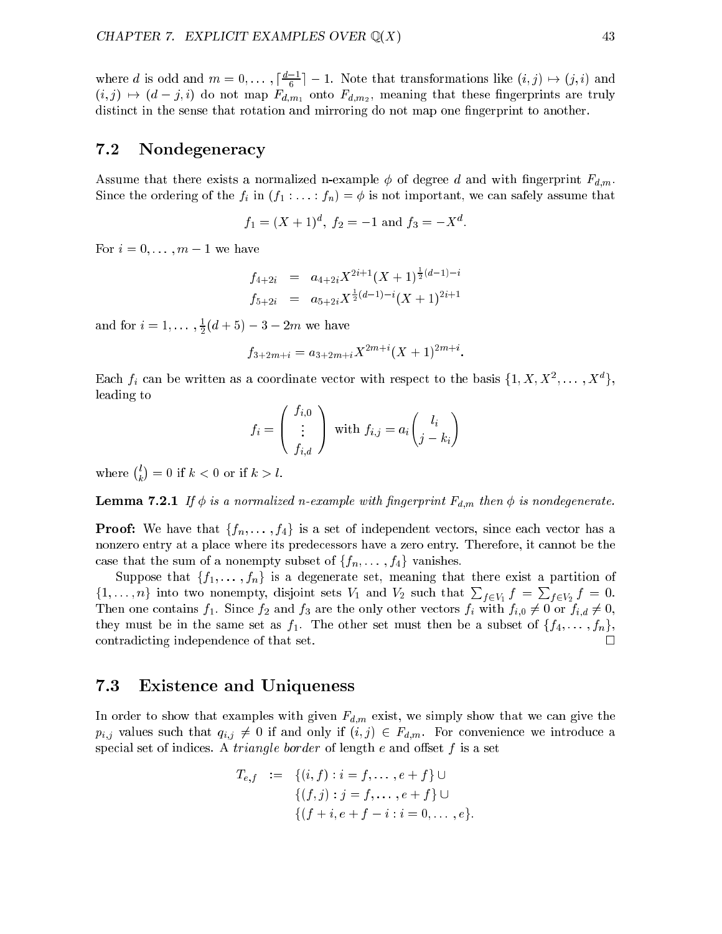where a is odd and  $m = 0, \ldots, \lceil \frac{n}{c} \rceil - 1$ . Note that transformations like  $(i, j) \mapsto (j, i)$  and (i; j) 7! (d j; i) do not map Fd;m1 onto Fd;m2 , meaning that these ngerprints are truly distinct in the sense that rotation and mirroring do not map one fingerprint to another.

## 7.2 Nondegeneracy

Assume that there exists a normalized n-example  $\phi$  of degree d and with fingerprint  $F_{d,m}$ . Since the ordering of the  $f_i$  in  $(f_1 : \ldots : f_n) = \phi$  is not important, we can safely assume that

$$
f_1 = (X+1)^d, \ f_2 = -1 \text{ and } f_3 = -X^d.
$$

For  $i = 0, \ldots, m - 1$  we have

$$
f_{4+2i} = a_{4+2i} X^{2i+1} (X+1)^{\frac{1}{2}(d-1)-i}
$$
  
\n
$$
f_{5+2i} = a_{5+2i} X^{\frac{1}{2}(d-1)-i} (X+1)^{2i+1}
$$

and for  $i = 1, \ldots, \frac{1}{2}(a + 3) - 3 - 2m$  we have

$$
f_{3+2m+i} = a_{3+2m+i} X^{2m+i} (X+1)^{2m+i}.
$$

Each  $f_i$  can be written as a coordinate vector with respect to the basis  $\{1, A, A^-, \ldots, A^+\}$ leading to

 $\mathbf{I}$ 

 $\overline{\phantom{a}}$ 

$$
f_i = \left(\begin{array}{c} f_{i,0} \\ \vdots \\ f_{i,d} \end{array}\right) \text{ with } f_{i,j} = a_i \left(\begin{array}{c} l_i \\ j-k_i \end{array}\right)
$$

where  $\binom{l}{l}$  $=$  0  $-$  10  $-$  10  $-$  10  $-$  10  $-$  10  $-$  10  $-$  10  $-$  10  $-$  10  $-$  10  $-$  10  $-$  10  $-$  10  $-$  10  $-$  11  $-$  11  $-$  11  $-$  11  $-$  11  $-$  11  $-$  11  $-$  11  $-$  11  $-$  11  $-$  11  $-$  11  $-$  11  $-$  11  $-$  11  $-$  11  $-$  1

**Lemma 7.2.1** If  $\phi$  is a normalized n-example with fingerprint  $F_{d,m}$  then  $\phi$  is nondegenerate.

**Proof:** We have that  $\{f_n, \ldots, f_4\}$  is a set of independent vectors, since each vector has a nonzero entry at a place where its predecessors have a zero entry. Therefore, it cannot be the case that the sum of a nonempty subset of  $\{f_n, \ldots, f_4\}$  vanishes.

Suppose that  $\{f_1, \ldots, f_n\}$  is a degenerate set, meaning that there exist a partition of  $\{1,\ldots,n\}$  into two nonempty, disjoint sets  $V_1$  and  $V_2$  such that  $\sum_{f\in V_1} f = \sum_{f\in V_2} f = 0$ . Then one contains  $f_1$ . Since  $f_2$  and  $f_3$  are the only other vectors  $f_i$  with  $f_{i,0} \neq 0$  or  $f_{i,d} \neq 0$ , they must be in the same set as  $f_1$ . The other set must then be a subset of  $\{f_4, \ldots, f_n\}$ , contradicting independence of that set.

#### $7.3$ Existence and Uniqueness

In order to show that examples with given  $F_{d,m}$  exist, we simply show that we can give the  $p_{i,j}$  values such that  $q_{i,j} \neq 0$  if and only if  $(i, j) \in F_{d,m}$ . For convenience we introduce a special set of indices. A *triangle border* of length  $e$  and offset  $f$  is a set

$$
T_{e,f} := \{ (i, f) : i = f, \dots, e + f \} \cup
$$
  

$$
\{ (f, j) : j = f, \dots, e + f \} \cup
$$
  

$$
\{ (f + i, e + f - i : i = 0, \dots, e \}.
$$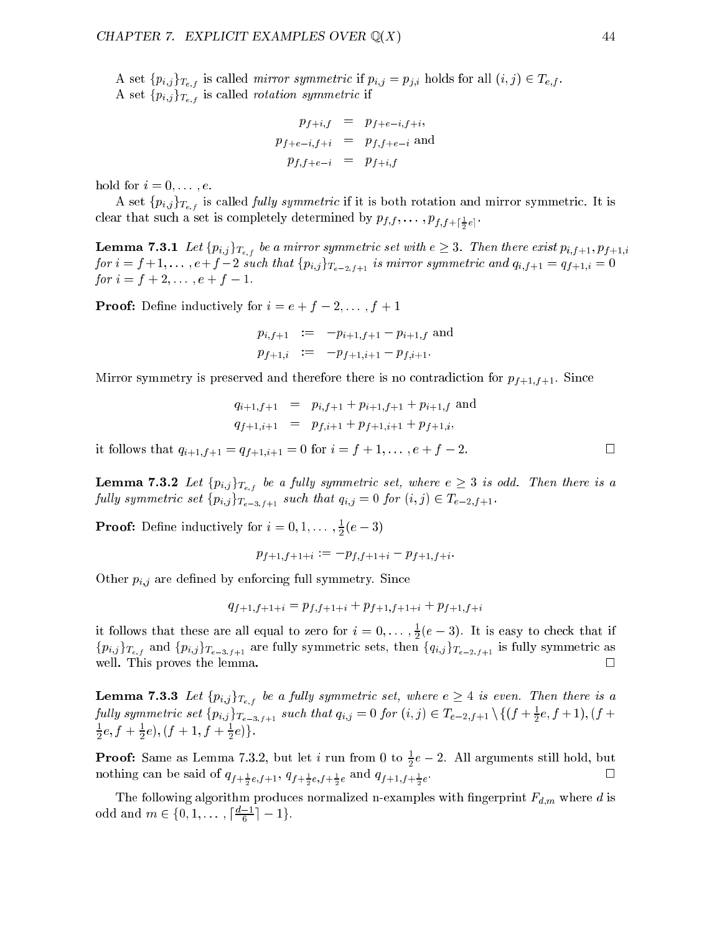A set  $\{p_{i,j}\}_{T_{e,f}}$  is called *mirror symmetric* if  $p_{i,j} = p_{j,i}$  holds for all  $(i, j) \in T_{e,f}$ . A set  $\{p_{i,j}\}_{T_{e,f}}$  is called *rotation symmetric* if

$$
p_{f+i,f} = p_{f+e-i,f+i},
$$
  
\n
$$
p_{f+e-i,f+i} = p_{f,f+e-i}
$$
 and  
\n
$$
p_{f,f+e-i} = p_{f+i,f}
$$

hold for  $i = 0, \ldots, e$ .

A set  $\{p_{i,j}\}_{T_{e,f}}$  is called *fully symmetric* if it is both rotation and mirror symmetric. It is clear that such a set is completely determined by  $\mathbf{r}$   $\mathbf{r}$ ;  $\mathbf{r}$   $\mathbf{r}$ ;  $\mathbf{r}$   $\mathbf{r}$ ;  $\mathbf{r}$   $\mathbf{r}$ ;  $\mathbf{r}$ 

**Lemma 7.3.1** Let  $\{p_{i,j}\}_{T_{e,f}}$  be a mirror symmetric set with  $e \geq 3$ . Then there exist  $p_{i,f+1}, p_{f+1,i}$ for  $i = f + 1, \ldots, e + f - 2$  such that  $\{p_{i,j}\}_{T_{e-2,f+1}}$  is mirror symmetric and  $q_{i,f+1} = q_{f+1,i} = 0$ for  $i = f + 2, \ldots, e + f - 1$ .

**Proof:** Define inductively for  $i = e + f - 2, \ldots, f + 1$ 

$$
p_{i,f+1} := -p_{i+1,f+1} - p_{i+1,f} \text{ and}
$$
  

$$
p_{f+1,i} := -p_{f+1,i+1} - p_{f,i+1}.
$$

Mirror symmetry is preserved and therefore there is no contradiction for  $p_{f+1,f+1}$ . Since

$$
q_{i+1,f+1} = p_{i,f+1} + p_{i+1,f+1} + p_{i+1,f} \text{ and}
$$
  
\n
$$
q_{f+1,i+1} = p_{f,i+1} + p_{f+1,i+1} + p_{f+1,i},
$$

it follows that  $q_{i+1,f+1} = q_{f+1,i+1} = 0$  for  $i = f+1, \ldots, e+f-2$ .

**Lemma 7.3.2** Let  $\{p_{i,j}\}_{T_{e,f}}$  be a fully symmetric set, where  $e \geq 3$  is odd. Then there is a fully symmetric set  $\{p_{i,j}\}_{T_{e-3,f+1}}$  such that  $q_{i,j} = 0$  for  $(i,j) \in T_{e-2,f+1}$ .

**Proof:** Define inductively for  $i = 0, 1, \ldots, \frac{1}{2}(\ell - 3)$ 

$$
p_{f+1,f+1+i}:=-p_{f,f+1+i}-p_{f+1,f+i}.
$$

Other  $p_{i,j}$  are defined by enforcing full symmetry. Since

$$
q_{f+1,f+1+i} = p_{f,f+1+i} + p_{f+1,f+1+i} + p_{f+1,f+i}
$$

It follows that these are all equal to zero for  $i = 0, \ldots, \frac{1}{2}(e - 3)$ . It is easy to check that if  $\{p_{i,j}\}_{T_{e-1}}$  and  $\{p_{i,j}\}_{T_{e-3,f+1}}$  are fully symmetric sets, then  $\{q_{i,j}\}_{T_{e-2,f+1}}$  is fully symmetric as well. This proves the lemma.  $\Box$ 

**Lemma 7.3.3** Let  $\{p_{i,j}\}_{T_{e,f}}$  be a fully symmetric set, where  $e \geq 4$  is even. Then there is a fully symmetric set  $\{p_{i,j}\}_{T_{e-3,f+1}}$  such that  $q_{i,j} = 0$  for  $(i,j) \in I_{e-2,f+1} \setminus \{(J + \frac{1}{2}e, J + 1), (J + 1)\}$  $\pi e$ ,  $I + \pi e$  ), (  $I + I$ ,  $I + \pi e$  ) }.

**Proof:** Same as Lemma 7.3.2, but let i run from 0 to  $\frac{1}{6}e - 2$ . All arguments still hold, but e and  $i f + \frac{1}{2}e, f + 1$ ,  $j f + \frac{1}{2}e, f + \frac{1}{2}e$  and  $j f + 1, f + \frac{1}{2}e$ 

The following algorithm produces normalized n-examples with fingerprint  $F_{d,m}$  where d is odd and  $m \in \{0, 1, \ldots, \lceil \frac{n-1}{2} \rceil - 1\}.$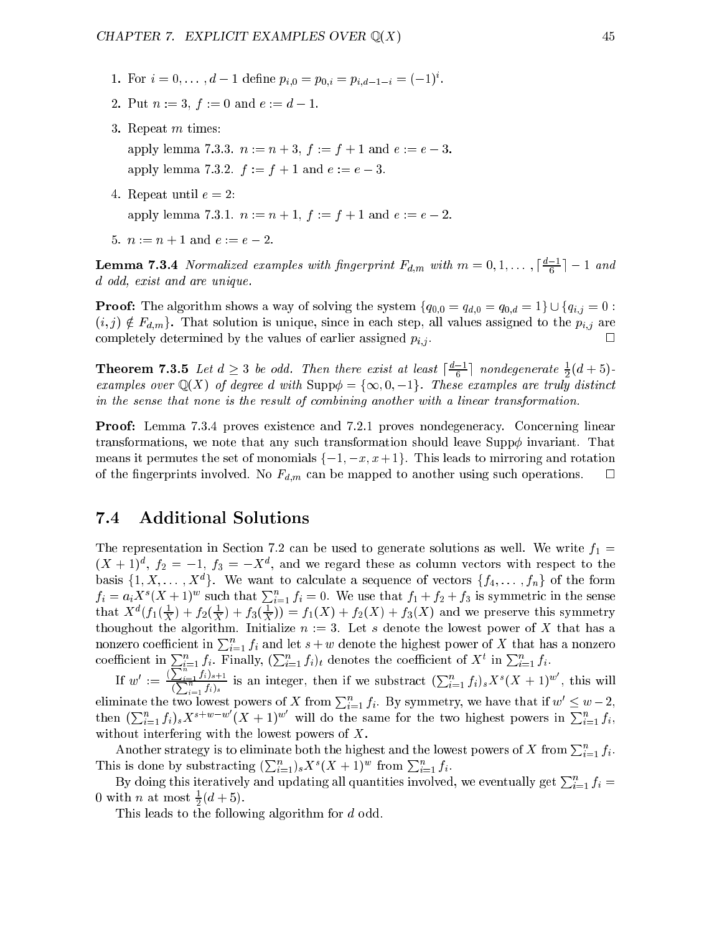- 1. For  $i = 0, \ldots, d-1$  define  $p_{i,0} = p_{0,i} = p_{i,d-1-i} = (-1)$ .
- 2. Put  $n := 3$ ,  $f := 0$  and  $e := d 1$ .
- 3. Repeat m times: apply lemma 7.3.3.  $n := n + 3$ ,  $f := f + 1$  and  $e := e - 3$ . apply lemma 7.3.2.  $f := f + 1$  and  $e := e - 3$ .
- 4. Repeat until  $e = 2$ : apply lemma 7.3.1.  $n := n + 1$ ,  $f := f + 1$  and  $e := e - 2$ .
- 5.  $n := n + 1$  and  $e := e 2$ .

**Lemma 1.5.4** Normalized examples with fingerprint  $r_{d,m}$  with  $m = 0, 1, \ldots, \lceil \frac{n}{6} \rceil - 1$  and d odd, exist and are unique.

**Proof:** The algorithm shows a way of solving the system  $\{q_{0,0} = q_{d,0} = q_{0,d} = 1\} \cup \{q_{i,j} = 0$ :  $(i, j) \notin F_{d,m}$ . That solution is unique, since in each step, all values assigned to the  $p_{i,j}$  are completely determined by the values of earlier assigned  $p_{i,j}$ . П

**Theorem 1.3.5** Let  $a > 3$  be odd. Then there exist at least  $\frac{a}{b} = \frac{1}{c}$  nondegenerate  $\frac{1}{2}(a + 5)$ examples over Q(X) of degree d with Supp = f1; 0; 1g. These examples are truly distinct in the sense that none is the result of combining another with a linear transformation.

Proof: Lemma 7.3.4 proves existence and 7.2.1 proves nondegeneracy. Concerning linear transformations, we note that any such transformation should leave Supp $\phi$  invariant. That means it permutes the set of monomials  $\{-1, -x, x+1\}$ . This leads to mirroring and rotation of the fingerprints involved. No  $F_{d,m}$  can be mapped to another using such operations.  $\Box$ 

# 7.4 Additional Solutions

The representation in Section 7.2 can be used to generate solutions as well. We write  $f_1 =$  $(X + 1)^2$ ,  $f_2 = -1$ ,  $f_3 = -X^2$ , and we regard these as column vectors with respect to the basis  $\{1, \Lambda, \ldots, \Lambda^+\}$ . We want to calculate a sequence of vectors  $\{f_4, \ldots, f_n\}$  of the form  $f_i = a_i X^s (X+1)^w$  such that  $\sum_{i=1}^n f_i = 0$ . We use that  $f_1 + f_2 + f_3$  is symmetric in the sense that  $\Lambda^{\pm}(J_1(\frac{1}{X})+J_2(\frac{1}{X})+J_3(\frac{1}{X}))=J_1(\Lambda)+J_2(\Lambda)+J_3(\Lambda)$  and we preserve this symmetry thoughout the algorithm. Initialize  $n := 3$ . Let s denote the lowest power of X that has a nonzero coefficient in  $\sum_{i=1}^n f_i$  and let  $s + w$  denote the highest power of X that has a nonzero coefficient in  $\sum_{i=1}^n f_i$ . Finally,  $(\sum_{i=1}^n f_i)_t$  denotes the coefficient of  $X^t$  in  $\sum_{i=1}^n f_i$ .

If  $w' := \frac{(\sum_{i=1}^n f_i)_{s+1}}{(\sum_{i=1}^n f_i)_s}$ is an integer, then if we substract  $(\sum_{i=1}^n f_i)_s X^s (X + 1)^w$ , this will eliminate the two lowest powers of X from  $\sum_{i=1}^n f_i$ . By symmetry, we have that if  $w' \leq w-2$ , then  $(\sum_{i=1}^n f_i)_s X^{s+w-w}(X+1)^w$  will do the same for the two highest powers in  $\sum_{i=1}^n f_i$ , without interfering with the lowest powers of X.

Another strategy is to eliminate both the highest and the lowest powers of X from  $\sum_{i=1}^{n} f_i$ . This is done by substracting  $(\sum_{i=1}^n)_sX^s(X+1)^w$  from  $\sum_{i=1}^nf_i$ .

By doing this iteratively and updating all quantities involved, we eventually get  $\sum_{i=1}^n f_i =$  $\sigma$  with  $n$  at most  $\pi(a + \delta)$ .

This leads to the following algorithm for different control of  $\mathbf{f}(\mathbf{A})$  and different control of odd.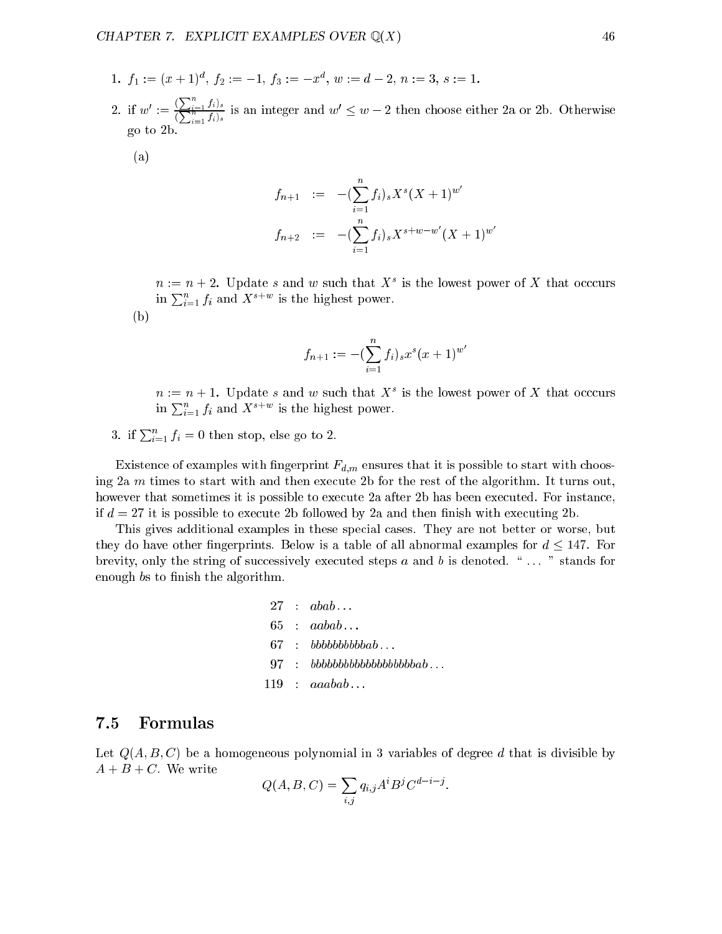- 1.  $f_1 := (x + 1)$ ,  $f_2 := -1$ ,  $f_3 := -x$ ,  $w := a 2$ ,  $n := 3$ ,  $s := 1$ .
- 2. if  $w' := \frac{(\sum_{i=1}^n f_i)_s}{(\sum_{i=1}^n f_i)_s}$ is an integer and  $w_1 \leq w_2 \leq w$  then choose either 2a or 2b. Otherwise go to 2b.  $\sim$  2  $\sim$  2  $\sim$  200  $\,$

(a)

$$
f_{n+1} := -(\sum_{i=1}^{n} f_i)_s X^s (X+1)^{w'}
$$
  

$$
f_{n+2} := -(\sum_{i=1}^{n} f_i)_s X^{s+w-w'} (X+1)^{w'}
$$

 $n := n + 2$ . Update s and w such that  $X^+$  is the lowest power of  $X$  that occcurs in  $\sum_{i=1}^{n} f_i$  and  $X^{s+w}$  is the highest power.

(b)

$$
f_{n+1} := -\left(\sum_{i=1}^{n} f_i\right)_s x^s (x+1)^{w'}
$$

 $n := n + 1$ . Update s and w such that  $X^+$  is the lowest power of  $X$  that occcurs in  $\sum_{i=1}^{n} f_i$  and  $X^{s+w}$  is the highest power.

3. if  $\sum_{i=1}^{n} f_i = 0$  then stop, else go to 2.

Existence of examples with fingerprint  $F_{d,m}$  ensures that it is possible to start with choosing  $2a \, m$  times to start with and then execute  $2b$  for the rest of the algorithm. It turns out, however that sometimes it is possible to execute 2a after 2b has been executed. For instance, if  $d = 27$  it is possible to execute 2b followed by 2a and then finish with executing 2b.

This gives additional examples in these special cases. They are not better or worse, but they do have other fingerprints. Below is a table of all abnormal examples for  $d \leq 147$ . For brevity, only the string of successively executed steps  $a$  and  $b$  is denoted.  $\cdot \cdot \cdot$   $\cdot \cdot$  stands for enough bs to finish the algorithm.

$$
\begin{array}{lcl} 27 & : & abab \ldots \\ 65 & : & aabab \ldots \\ 67 & : & bbbbbbbbbbbab \ldots \\ 97 & : & bbbbbbbbbbbbbbbbbbbbbbbab \ldots \\ 119 & : & aaabab \ldots \end{array}
$$

#### 7.5 7.5 Formulas

Let  $Q(A, B, C)$  be a homogeneous polynomial in 3 variables of degree d that is divisible by  $A + B + C$ . We write

$$
Q(A, B, C) = \sum_{i,j} q_{i,j} A^i B^j C^{d-i-j}.
$$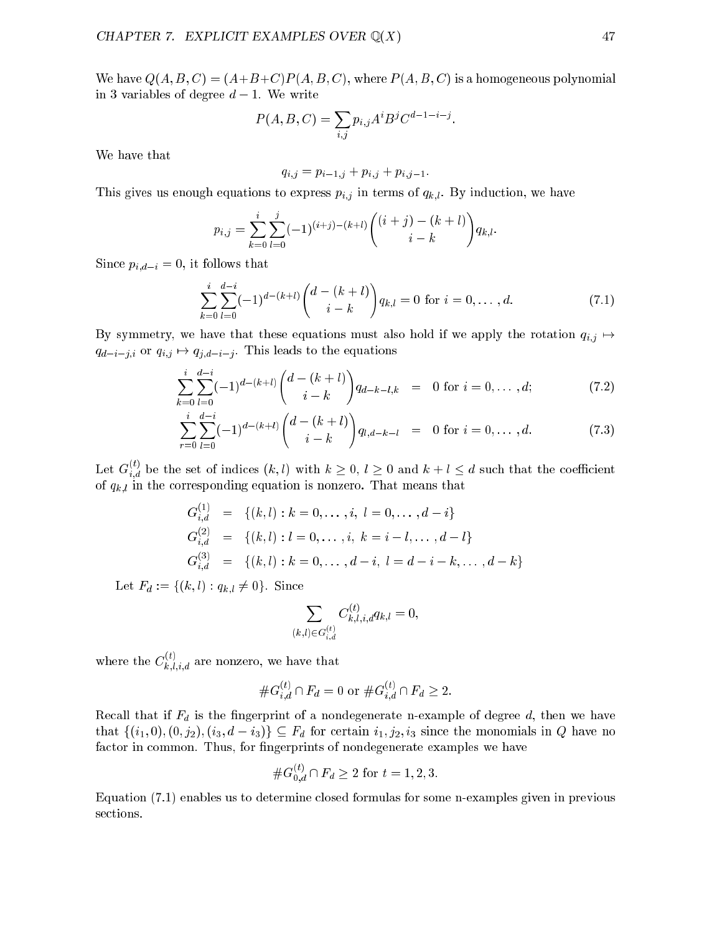We have  $Q(A, B, C) = (A+B+C)P(A, B, C)$ , where  $P(A, B, C)$  is a homogeneous polynomial in 3 variables of degree  $d-1$ . We write

$$
P(A, B, C) = \sum_{i,j} p_{i,j} A^i B^j C^{d-1-i-j}.
$$

We have that

$$
q_{i,j} = p_{i-1,j} + p_{i,j} + p_{i,j-1}.
$$

This gives us enough equations to express  $p_{i,j}$  in terms of  $q_{k,l}$ . By induction, we have

$$
p_{i,j} = \sum_{k=0}^{i} \sum_{l=0}^{j} (-1)^{(i+j)-(k+l)} \binom{(i+j)-(k+l)}{i-k} q_{k,l}.
$$

Since  $p_{i,d-i} = 0$ , it follows that

$$
\sum_{k=0}^{i} \sum_{l=0}^{d-i} (-1)^{d-(k+l)} \binom{d-(k+l)}{i-k} q_{k,l} = 0 \text{ for } i = 0, \dots, d.
$$
 (7.1)

By symmetry, we have that these equations must also hold if we apply the rotation  $q_{i,j} \mapsto$  $q_{d-i-j,i}$  or  $q_{i,j} \mapsto q_{j,d-i-j}$ . This leads to the equations

$$
\sum_{k=0}^{i} \sum_{l=0}^{d-i} (-1)^{d-(k+l)} \binom{d-(k+l)}{i-k} q_{d-k-l,k} = 0 \text{ for } i = 0, ..., d; \tag{7.2}
$$

$$
\sum_{r=0}^{i} \sum_{l=0}^{d-i} (-1)^{d-(k+l)} \binom{d-(k+l)}{i-k} q_{l,d-k-l} = 0 \text{ for } i = 0, \dots, d.
$$
 (7.3)

Let  $G_{i,d}^s$  be the set of indices  $(k, l)$  with  $k \geq 0, l \geq 0$  and  $k + l \leq d$  such that the coefficient of  $q_{k,l}$  in the corresponding equation is nonzero. That means that

$$
G_{i,d}^{(1)} = \{(k,l) : k = 0, \dots, i, l = 0, \dots, d - i\}
$$
  
\n
$$
G_{i,d}^{(2)} = \{(k,l) : l = 0, \dots, i, k = i - l, \dots, d - l\}
$$
  
\n
$$
G_{i,d}^{(3)} = \{(k,l) : k = 0, \dots, d - i, l = d - i - k, \dots, d - k\}
$$

Let  $F_d := \{(k, l) : q_{k,l} \neq 0\}$ . Since

$$
\sum_{(k,l)\in G_{i,d}^{(t)}} C_{k,l,i,d}^{(t)}q_{k,l}=0,
$$

where the  $C_{k,l,i,d}^{<\gamma}$  are nonzero, we have that

$$
\#G_{i,d}^{(t)} \cap F_d = 0 \text{ or } \#G_{i,d}^{(t)} \cap F_d \ge 2.
$$

Recall that if  $F_d$  is the fingerprint of a nondegenerate n-example of degree  $d$ , then we have that  $\{(i_1, 0), (0, j_2), (i_3, d - i_3)\}\subseteq F_d$  for certain  $i_1, j_2, i_3$  since the monomials in Q have no factor in common. Thus, for fingerprints of nondegenerate examples we have

$$
\#G_{0,d}^{(t)} \cap F_d \ge 2 \text{ for } t = 1, 2, 3.
$$

Equation (7.1) enables us to determine closed formulas for some n-examples given in previous sections.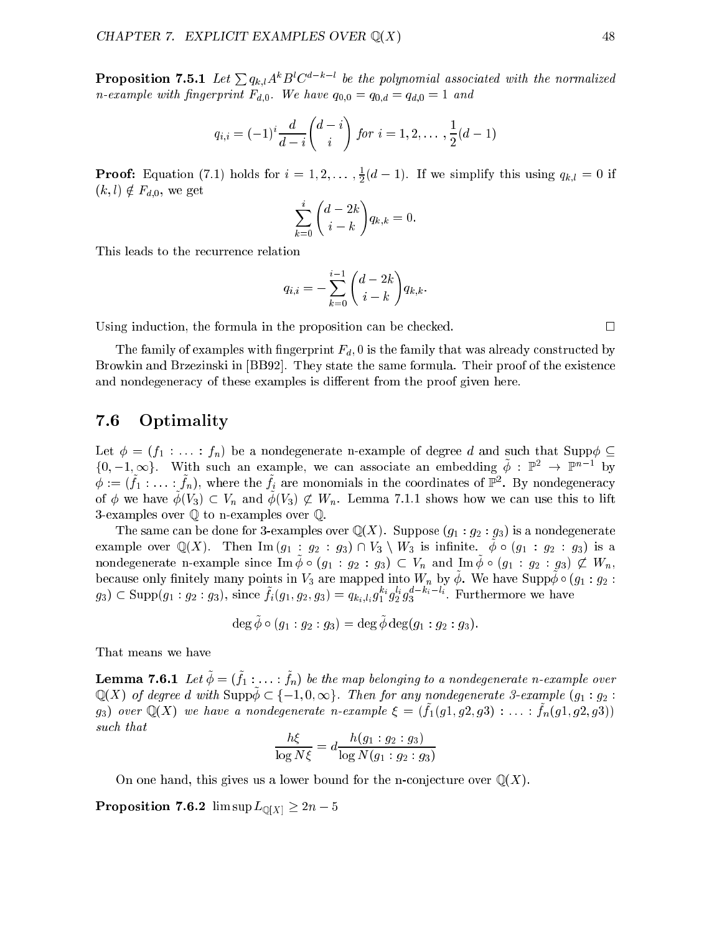**Proposition 7.5.1** Let  $\sum q_{k,l} A^k B^l C^{a-k-l}$  be the polynomial associated with the normalized *n*-example with fingerprint  $F_{d,0}$ . We have  $q_{0,0} = q_{0,d} = q_{d,0} = 1$  and

$$
q_{i,i} = (-1)^i \frac{d}{d-i} {d-i \choose i} \text{ for } i = 1, 2, \ldots, \frac{1}{2}(d-1)
$$

**Proof:** Equation (7.1) holds for  $i = 1, 2, \ldots, \frac{1}{2}(d-1)$ . If we simplify this using  $q_{k,l} = 0$  if  $(k, l) \notin F_{d,0}$ , we get

$$
\sum_{k=0}^{i} \binom{d-2k}{i-k} q_{k,k} = 0.
$$

This leads to the recurrence relation

$$
q_{i,i} = -\sum_{k=0}^{i-1} \binom{d-2k}{i-k} q_{k,k}.
$$

Using induction, the formula in the proposition can be checked.  $\Box$ 

The family of examples with fingerprint  $F_d$ , 0 is the family that was already constructed by Browkin and Brzezinski in [BB92]. They state the same formula. Their proof of the existence and nondegeneracy of these examples is different from the proof given here.

# 7.6 Optimality

Let  $\phi = (f_1 : \ldots : f_n)$  be a nondegenerate n-example of degree d and such that Suppo $\phi \subseteq$  $\{0, -1, \infty\}$ . With such an example, we can associate an embedding  $\varphi$  :  $\mathbb{P}^+ \to \mathbb{P}^+$  by  $\varphi := (f_1: \ldots: f_n)$ , where the  $f_i$  are monomials in the coordinates of  $\mathbb{P}^*$ . By nondegeneracy of  $\varphi$  we have  $\varphi(y_3) \subset r_n$  and  $\varphi(y_3) \not\subset r_n$ . Lemma 7.1.1 shows how we can use this to filt 3-examples over <sup>Q</sup> to n-examples over Q.

The same can be done for 3-examples over  $\mathbb{Q}(X)$ . Suppose  $(g_1 : g_2 : g_3)$  is a nondegenerate example over  $\mathcal{Q}(X)$ . Then  $\text{Im}(y_1 + y_2 + y_3) + iy_3 + iy_3$  is infinite.  $\varphi \circ (y_1 + y_2 + y_3)$  is a nondegenerate n-example since  $\lim_{\varphi} \varphi \circ (g_1 + g_2 + g_3) \subset r_n$  and  $\lim_{\varphi} \varphi \circ (g_1 + g_2 + g_3) \nsubseteq r_n$ because only militely many points in  $v_3$  are mapped mto  $w_n$  by  $\varphi$ . We have  $\sup p\varphi \circ (g_1 + g_2)$ .  $g_3$ )  $\subset$  Supp( $g_1 : g_2 : g_3$ ), since  $f_i(g_1, g_2, g_3) = q_{k_i, l_i} g_1^* g_2^* g_3$  . Furthermore we have

$$
\deg \phi \circ (g_1 : g_2 : g_3) = \deg \phi \deg(g_1 : g_2 : g_3).
$$

That means we have

**Demma 1.0.1** Let  $\varphi = (f_1, \ldots, f_n)$  be the map belonging to a nonacgenerate n-example over  $\mathbb{Q}(X)$  of degree d with Supp $\tilde{\phi} \subset \{-1,0,\infty\}$ . Then for any nondegenerate 3-example  $(g_1 : g_2 :$  $g_3$ ) over  $\mathcal{Q}(X)$  we have a homacycherate h-example  $\zeta = (f_1(g_1, g_2, g_3) \dots, f_n(g_1, g_2, g_3))$ such that

$$
\frac{h\xi}{\log N\xi} = d \frac{h(g_1 : g_2 : g_3)}{\log N(g_1 : g_2 : g_3)}
$$

On one hand, this gives us a lower bound for the n-conjecture over  $\mathbb{Q}(X)$ .

**Proposition 7.6.2** lim  $\sup L_{\mathbb{Q}[X]} \geq 2n - 5$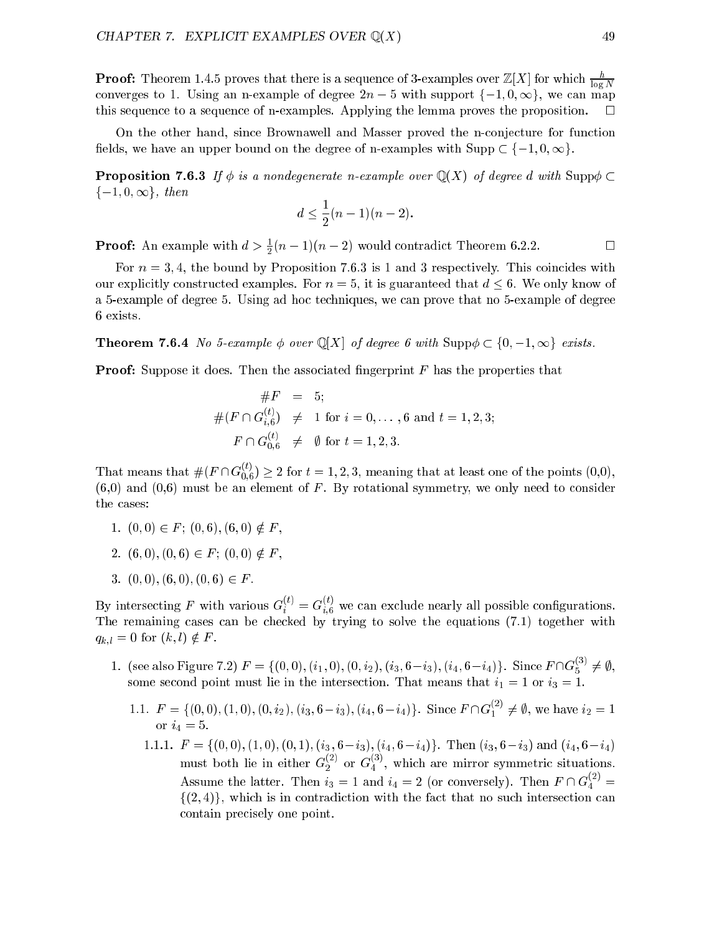**Proof:** Theorem 1.4.5 proves that there is a sequence of 3-examples over  $\mathbb{Z}[X]$  for which  $\frac{h}{\log N}$  $$ converges to 1. Using an n-example of degree 2n with support figure 2n with support figure 2n in the can map o this sequence to a sequence of n-examples. Applying the lemma proves the proposition.  $\Box$ 

On the other hand, since Brownawell and Masser proved the n-conjecture for function fields, we have an upper bound on the degree of n-examples with  $\text{Supp} \subset \{-1, 0, \infty\}$ .

**Proposition 7.6.3** If  $\phi$  is a nondegenerate n-example over  $\mathbb{Q}(X)$  of degree d with Supp $\phi \subset$  $\{-1, 0, \infty\},\ then$ 

$$
d \le \frac{1}{2}(n-1)(n-2).
$$

**Proof:** An example with  $a > \frac{1}{2}(n-1)(n-2)$  would contradict Theorem 0.2.2.

For  $n = 3, 4$ , the bound by Proposition 7.6.3 is 1 and 3 respectively. This coincides with our explicitly constructed examples. For  $n = 5$ , it is guaranteed that  $d \leq 6$ . We only know of a 5-example of degree 5. Using ad hoc techniques, we can prove that no 5-example of degree 6 exists.

**Theorem 7.6.4** No 5-example  $\phi$  over  $\mathbb{Q}[X]$  of degree 6 with  $\text{Supp}\phi \subset \{0, -1, \infty\}$  exists.

**Proof:** Suppose it does. Then the associated fingerprint  $F$  has the properties that

$$
#F = 5;
$$
  
\n
$$
\#(F \cap G_{i,6}^{(t)}) \neq 1 \text{ for } i = 0, ..., 6 \text{ and } t = 1, 2, 3;
$$
  
\n
$$
F \cap G_{0,6}^{(t)} \neq \emptyset \text{ for } t = 1, 2, 3.
$$

That means that  $\#(F \cap G_{0,6}') \geq 2$  for  $t = 1,2,3$ , meaning that at least one of the points  $(0,0),$  $(6,0)$  and  $(0,6)$  must be an element of F. By rotational symmetry, we only need to consider the cases:

- 1.  $(0,0) \in F$ ;  $(0,6)$ ,  $(6,0) \notin F$ ,
- 2.  $(6, 0), (0, 6) \in F$ ;  $(0, 0) \notin F$ ,
- 3.  $(0, 0), (6, 0), (0, 6) \in F$ .

By intersecting F with various  $G_i^{\gamma\gamma} = G_{i,6}^{\gamma\gamma}$  we can exclude nearly all possible configurations. The remaining cases can be checked by trying to solve the equations (7.1) together with  $q_{k,l} = 0$  for  $(k, l) \notin F$ .

- 1. (see also Figure 7.2)  $F = \{(0,0), (i_1,0), (0,i_2), (i_3,6-i_3), (i_4,6-i_4)\}\.$  Since  $F \cap G_5^{\cdot\cdot\cdot} \neq \emptyset$ , some second point must lie in the intersection. That means that  $i_1 = 1$  or  $i_3 = 1$ .
	- 1.1.  $F = \{(0,0), (1,0), (0, i_2), (i_3, 6-i_3), (i_4, 6-i_4)\}\.$  Since  $F \cap G_1^{\times} \neq \emptyset$ , we have  $i_2 = 1$ or  $i_4 = 5$ .
		- 1.1.1.  $F = \{(0,0), (1,0), (0,1), (i_3, 6-i_3), (i_4, 6-i_4)\}.$  Then  $(i_3, 6-i_3)$  and  $(i_4, 6-i_4)$ must both lie in either  $G_2^\vee$  or  $G_4^\vee$ , which are mirror symmetric situations. Assume the latter. Then  $i_3 = 1$  and  $i_4 = 2$  (or conversely). Then  $F \cap G_4^\vee =$  $\{(2,4)\}\$ , which is in contradiction with the fact that no such intersection can contain precisely one point.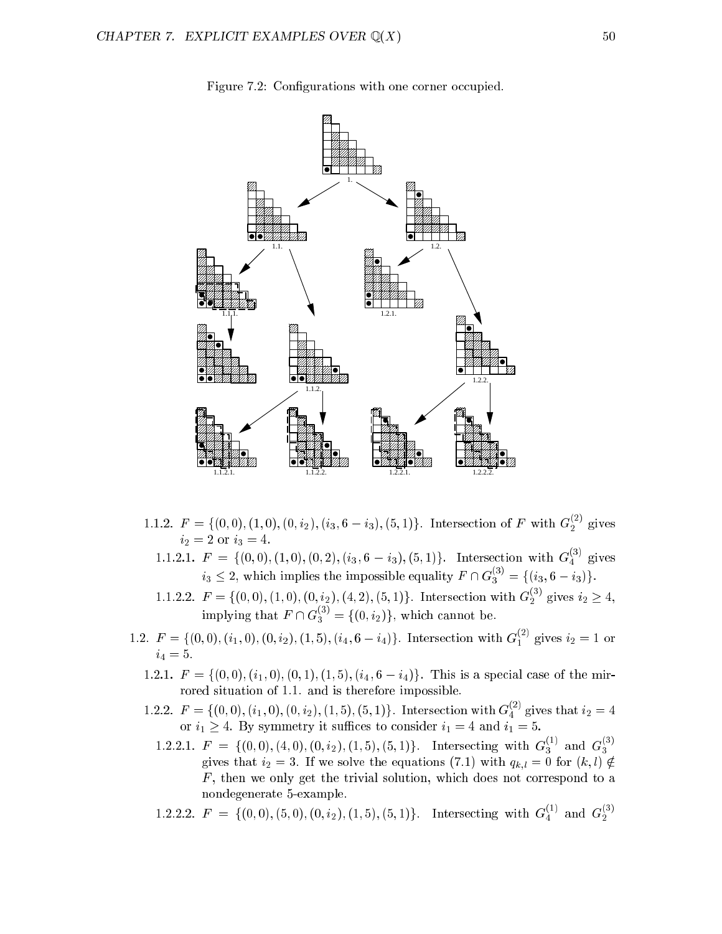

Figure 7.2: Configurations with one corner occupied.

- 1.1.2.  $F = \{(0,0), (1,0), (0, i_2), (i_3, 6 i_3), (5, 1)\}\$ . Intersection of F with  $G_2^{\gamma}$  gives  $i_2 = 2$  or  $i_3 = 4$ .
	- 1.1.2.1.  $F = \{(0,0), (1,0), (0,2), (i_3, 6 i_3), (5,1)\}\.$  Intersection with  $G_4^{\gamma}$  gives  $i_3 \leq 2$ , which implies the impossible equality  $F \cap G_3^{\vee} = \{(i_3, 6-i_3)\}.$
	- 1.1.2.2.  $F = \{(0,0), (1,0), (0, i_2), (4, 2), (5, 1)\}$ . Intersection with  $G_2^{\setminus}$  gives  $i_2 \geq 4$ , implying that  $F \cap G_3^{<\prime} = \{(0, i_2)\}\,$ , which cannot be.
- 1.2.  $F = \{(0,0), (i_1,0), (0,i_2), (1,5), (i_4,6-i_4)\}\.$  Intersection with  $G_1^{(1)}$  gives  $i_2 = 1$  or  $i_4 = 5.$ 
	- 1.2.1.  $F = \{(0,0), (i_1,0), (0,1), (1,5), (i_4,6-i_4)\}.$  This is a special case of the mirrored situation of 1.1. and is therefore impossible.
	- 1.2.2.  $F = \{(0,0), (i_1,0), (0,i_2), (1,5), (5,1)\}\.$  Intersection with  $G_4^{\gamma}$  gives that  $i_2 = 4$ or i1  $\mu$  at  $\mu$  , by second in such that it such that if  $\mu$  is such that in  $\mu$  and in  $\mu$ 
		- 1.2.2.1.  $F = \{(0,0), (4,0), (0, i_2), (1, 5), (5, 1)\}\$ . Intersecting with  $G_3^{\circ}$  and  $G_3^{\circ}$ gives that  $i_2 = 3$ . If we solve the equations (7.1) with  $q_{k,l} = 0$  for  $(k, l) \notin$  $F$ , then we only get the trivial solution, which does not correspond to a nondegenerate 5-example.
		- 1.2.2.2.  $F = \{(0,0), (5,0), (0,i_2), (1,5), (5,1)\}.$  Intersecting with  $G_4^{\lambda}$  and  $G_2^{\lambda}$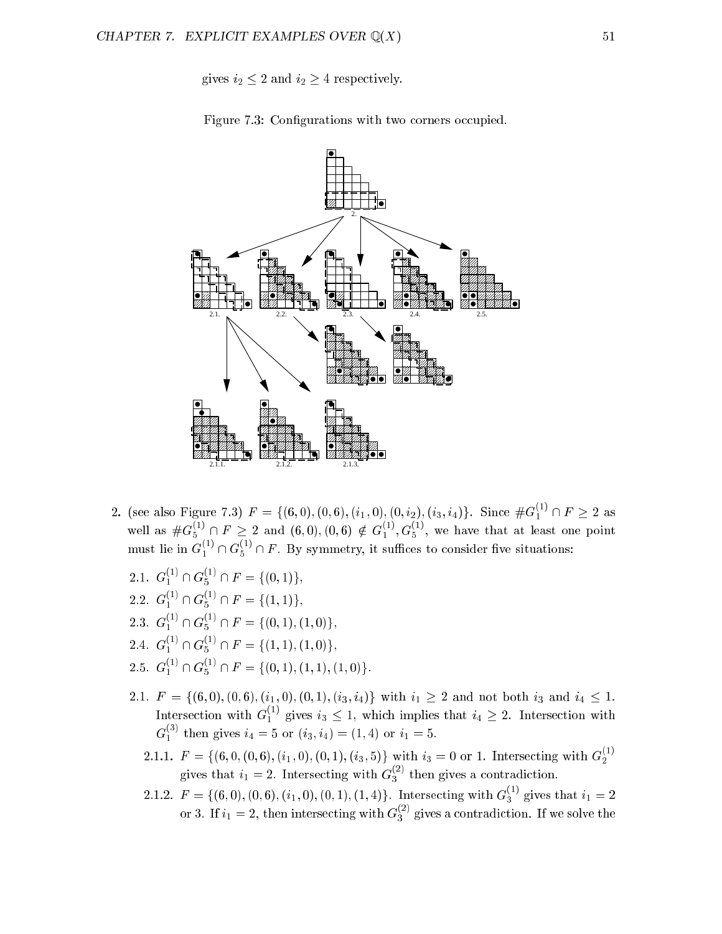gives  $i_2 \leq 2$  and  $i_2 \geq 4$  respectively.





- 2. (see also Figure 7.3)  $F = \{(6,0), (0,6), (i_1,0), (0,i_2), (i_3,i_4)\}$ . Since  $\#G_1^{\times} \cap F \geq 2$  as well as  $\#G_5^{\times}$  (if  $F \geq 2$  and  $(6,0), (0,6) \notin G_1^{\times}, G_5^{\times}$ , we have that at least one point must lie in  $G_1^{<sup>5</sup>} \cap G_5^{<sup>5</sup>} \cap F$ . By symmetry, it suffices to consider five situations:
	- 2.1.  $G_1^{\times} \cap G_5^{\times} \cap F = \{(0, 1)\},\$
	- 2.2.  $G_1^{\times} \cap G_5^{\times} \cap F = \{(1, 1)\},\$
	- 2.3.  $G_1^{\times} \cap G_5^{\times} \cap F = \{(0, 1), (1, 0)\},\$
	- 2.4.  $G_1^{\times} \cap G_5^{\times} \cap F = \{(1, 1), (1, 0)\},\$
	- 2.5.  $G_1^{\times} \cap G_5^{\times} \cap F = \{(0, 1), (1, 1), (1, 0)\}.$
	- 2.1.  $F = \{(6, 0), (0, 6), (i_1, 0), (0, 1), (i_3, i_4)\}\$  with  $i_1 \geq 2$  and not both  $i_3$  and  $i_4 \leq 1$ . Intersection with  $G_1^{\gamma}$  gives  $i_3 \leq 1$ , which implies that  $i_4 \geq 2$ . Intersection with  $G_1^{\cdots}$  then gives  $i_4 = 5$  or  $(i_3, i_4) = (1, 4)$  or  $i_1 = 5$ .
		- 2.1.1.  $F = \{(6, 0, (0, 6), (i_1, 0), (0, 1), (i_3, 5)\}\$  with  $i_3 = 0$  or 1. Intersecting with  $G_2^{\setminus i}$ gives that  $i_1 = 2$ . Intersecting with  $G_3^{\gamma}$  then gives a contradiction.
		- 2.1.2.  $F = \{(6,0), (0,6), (i_1,0), (0,1), (1,4)\}$ . Intersecting with  $G_3^{\times}$  gives that  $i_1 = 2$ or 3. If  $i_1 = 2$ , then intersecting with  $G_3^{\times}$  gives a contradiction. If we solve the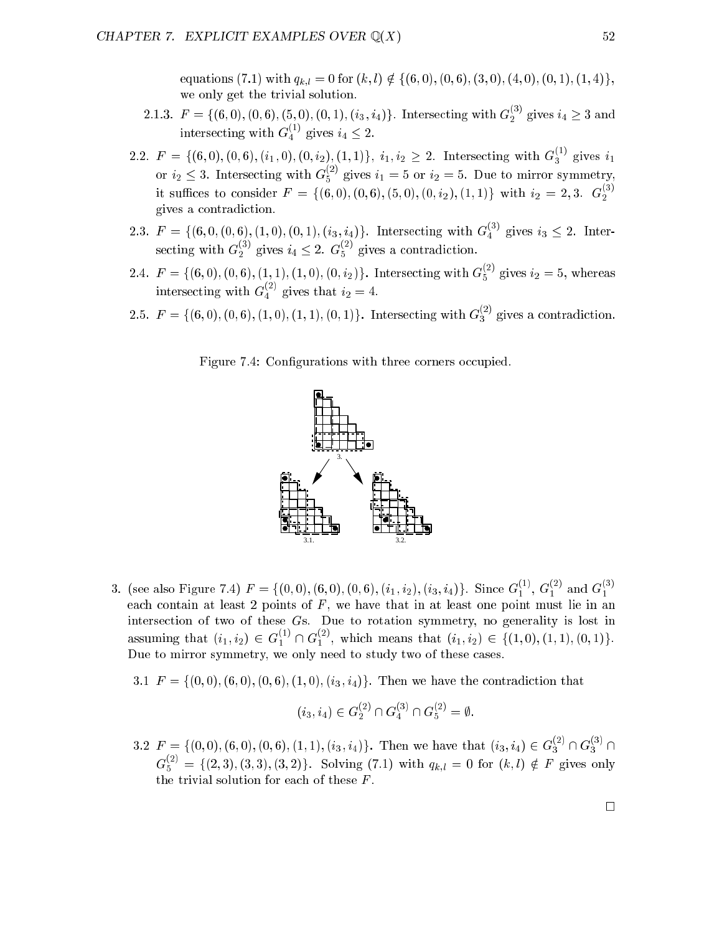equations (7.1) with  $q_{k,l} = 0$  for  $(k, l) \notin \{(6, 0), (0, 6), (3, 0), (4, 0), (0, 1), (1, 4)\},$ we only get the trivial solution.

- 2.1.3.  $F = \{(6,0), (0,6), (5,0), (0,1), (i_3, i_4)\}$ . Intersecting with  $G_2^{\times}$  gives  $i_4 \geq 3$  and intersecting with  $G_4^{\gamma}$  gives  $i_4 \leq 2$ .
- 2.2.  $F = \{(6,0), (0,6), (i_1,0), (0,i_2), (1,1)\},\; i_1, i_2 \geq 2.$  Intersecting with  $G_3^{\gamma}$  gives  $i_1$ or  $i_2 \leq 3$ . Intersecting with  $G_5^{\times}$  gives  $i_1 = 5$  or  $i_2 = 5$ . Due to mirror symmetry, it suffices to consider  $F = \{(6,0), (0,6), (5,0), (0,2), (1,1)\}\$  with  $i_2 = 2,3$ .  $G_2^3$ . gives a contradiction.
- 2.3.  $F = \{(6, 0, (0, 6), (1, 0), (0, 1), (i_3, i_4)\}\.$  Intersecting with  $G_4^{\{3\}}$  gives  $i_3 \leq 2$ . Intersecting with  $G_2^>$   $\prime$  gives  $i_4 \leq 2$ .  $G_5^>$   $\prime$  gives a contradiction.
- 2.4.  $F = \{(6,0), (0,6), (1,1), (1,0), (0,2)\}$ . Intersecting with  $G_5^{<sup>2</sup>}$  gives  $i_2 = 5$ , whereas intersecting with  $G_4^{\prime -}$  gives that  $i_2 = 4$ .
- 2.5.  $F = \{(6, 0), (0, 6), (1, 0), (1, 1), (0, 1)\}$ . Intersecting with  $G_3^{\times}$  gives a contradiction.

Figure 7.4: Configurations with three corners occupied.



- 3. (see also Figure 7.4)  $F = \{(0,0), (6,0), (0,6), (i_1, i_2), (i_3, i_4)\}$ . Since  $G_1^{(1)}, G_1^{(1)}$  and  $G_1^{(1)}$ each contain at least 2 points of F , we have that in at least one point must lie in an intersection of two of these Gs. Due to rotation symmetry, no generality is lost in assuming that  $(i_1, i_2) \in G_1^{<sup>2</sup>} \cap G_1^{<sup>2</sup>}$ , which means that  $(i_1, i_2) \in \{(1, 0), (1, 1), (0, 1)\}.$ Due to mirror symmetry, we only need to study two of these cases.
	- 3.1  $F = \{(0,0), (6,0), (0,6), (1,0), (i_3, i_4)\}.$  Then we have the contradiction that

$$
(i_3, i_4) \in G_2^{(2)} \cap G_4^{(3)} \cap G_5^{(2)} = \emptyset.
$$

3.2  $F = \{(0,0), (6,0), (0,6), (1,1), (i_3, i_4)\}\.$  Then we have that  $(i_3, i_4) \in G_3^{\times} \cap G_3^{\times} \cap$  $G_5^s \text{ } = \{ (2,3), (3,3), (3,2) \}.$  Solving (7.1) with  $q_{k,l} = 0$  for  $(k,l) \notin F$  gives only the trivial solution for each of these  $F$ .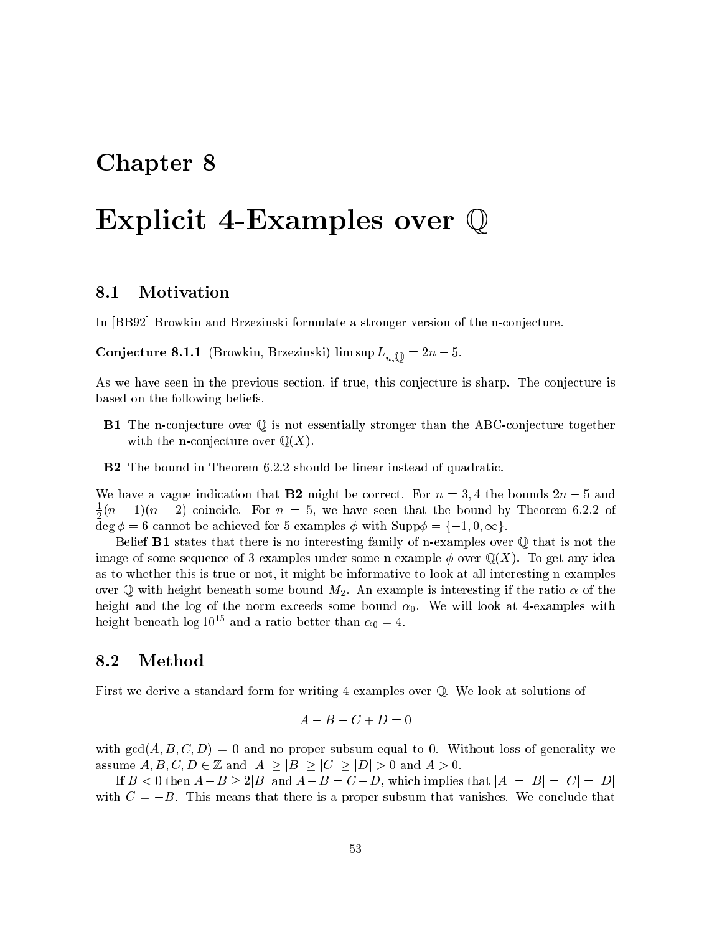# Chapter 8

# Explicit 4-Examples over <sup>Q</sup>

## 8.1 Motivation

In [BB92] Browkin and Brzezinski formulate a stronger version of the n-conjecture.

 $\bullet$  . The supersymmetric supersymmetric  $\mathbf{r}$  in  $\mathbf{r}$  in  $\mathbf{r}$ 

As we have seen in the previous section, if true, this conjecture is sharp. The conjecture is based on the following beliefs.

- B1 The n-conjecture over <sup>Q</sup> is not essentially stronger than the ABC-conjecture together with the n-conjecture over  $\mathbb{Q}(X)$ .
- B2 The bound in Theorem 6.2.2 should be linear instead of quadratic.

We have a vague indication that **B2** might be correct. For  $n = 3, 4$  the bounds  $2n - 5$  and  $\frac{1}{2}(n-1)(n-2)$  coincide. For  $n=5$ , we have seen that the bound by Theorem 6.2.2 of deg = 6 cannot be achieved for 5-examples with Supp = f1; 0;1g.

Belief **B1** states that there is no interesting family of n-examples over  $\mathbb Q$  that is not the image of some sequence of 3-examples under some n-example  $\phi$  over  $\mathbb{Q}(X)$ . To get any idea as to whether this is true or not, it might be informative to look at all interesting n-examples over Q with height beneath some bound  $M_2$ . An example is interesting if the ratio  $\alpha$  of the height and the log of the norm exceeds some bound  $\alpha_0$ . We will look at 4-examples with height beneath log  $10^{15}$  and a ratio better than  $\alpha_0 = 4$ .

## 8.2 Method

First we derive a standard form for writing 4-examples over Q. We look at solutions of

$$
A - B - C + D = 0
$$

with  $gcd(A, B, C, D) = 0$  and no proper subsum equal to 0. Without loss of generality we assume  $A, B, C, D \in \mathbb{Z}$  and  $|A| \geq |B| \geq |C| \geq |D| > 0$  and  $A > 0$ .

If  $B < 0$  then  $A-B \geq 2|B|$  and  $A-B=C-D$ , which implies that  $|A|=|B|=|C|=|D|$ with  $C = -B$ . This means that there is a proper subsum that vanishes. We conclude that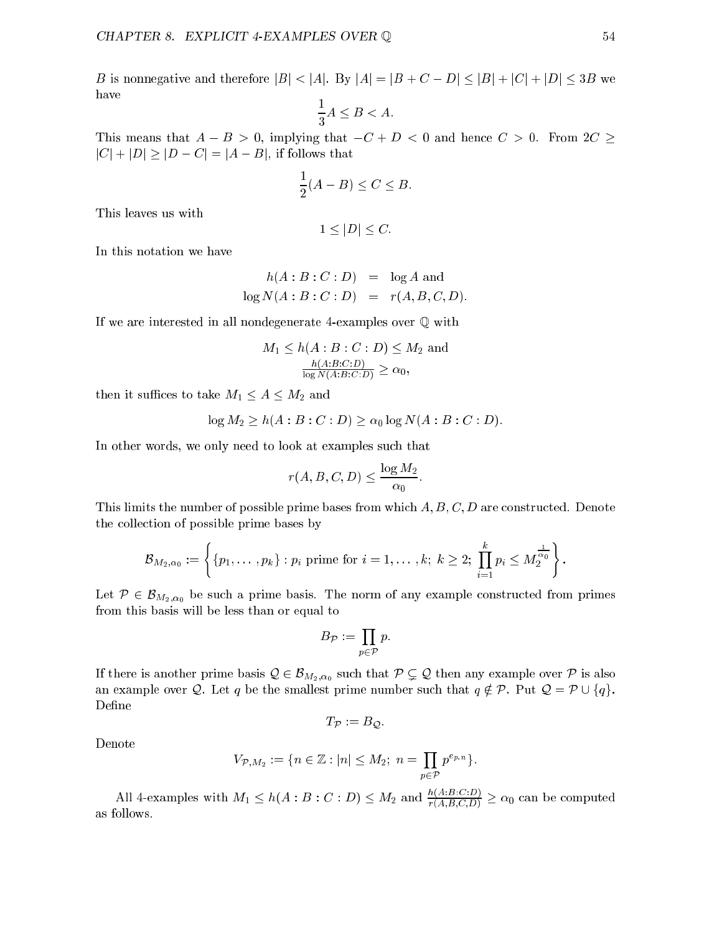B is nonnegative and therefore  $|B| < |A|$ . By  $|A| = |B + C - D| \leq |B| + |C| + |D| \leq 3B$  we have

$$
\frac{1}{3}A \le B < A.
$$

This means that  $A - B > 0$ , implying that  $-C + D < 0$  and hence  $C > 0$ . From  $2C \ge$  $|C| + |D| \ge |D - C| = |A - B|$ , if follows that

$$
\frac{1}{2}(A-B)\leq C\leq B.
$$

This leaves us with

$$
1 \leq |D| \leq C.
$$

In this notation we have

$$
h(A:B:C:D) = \log A \text{ and}
$$
  

$$
\log N(A:B:C:D) = r(A,B,C,D).
$$

If we are interested in all nondegenerate 4-examples over <sup>Q</sup> with

$$
M_1 \le h(A:B:C:D) \le M_2 \text{ and}
$$

$$
\frac{h(A:B:C:D)}{\log N(A:B:C:D)} \ge \alpha_0,
$$

then it suffices to take  $M_1 \leq A \leq M_2$  and

$$
\log M_2 \ge h(A:B:C:D) \ge \alpha_0 \log N(A:B:C:D).
$$

In other words, we only need to look at examples such that

$$
r(A, B, C, D) \le \frac{\log M_2}{\alpha_0}
$$

This limits the number of possible prime bases from which  $A, B, C, D$  are constructed. Denote the collection of possible prime bases by

$$
\mathcal{B}_{M_2,\alpha_0}:=\left\{\{p_1,\ldots,p_k\}: p_i\text{ prime for }i=1,\ldots,k;\;k\geq 2;\; \prod_{i=1}^kp_i\leq M_2^{\frac{1}{\alpha_0}}\right\}.
$$

Let  $P \in \mathcal{B}_{M_2,\alpha_0}$  be such a prime basis. The norm of any example constructed from primes from this basis will be less than or equal to

$$
B_{\mathcal{P}} := \prod_{p \in \mathcal{P}} p.
$$

If there is another prime basis  $Q \in \mathcal{B}_{M_2,\alpha_0}$  such that  $P \subsetneq Q$  then any example over P is also an example over Q. Let q be the smallest prime number such that  $q \notin \mathcal{P}$ . Put  $\mathcal{Q} = \mathcal{P} \cup \{q\}$ . Define

$$
T_{\mathcal{P}} := B_{\mathcal{Q}}.
$$

Denote

$$
V_{\mathcal{P},M_2} := \{ n \in \mathbb{Z} : |n| \leq M_2 ; n = \prod_{p \in \mathcal{P}} p^{e_{p,n}} \}.
$$

All 4-examples with  $M_1 \leq h(A : B : C : D) \leq M_2$  and  $\frac{\partial}{\partial (A:B:C,D)} \geq \alpha_0$  can be computed as follows.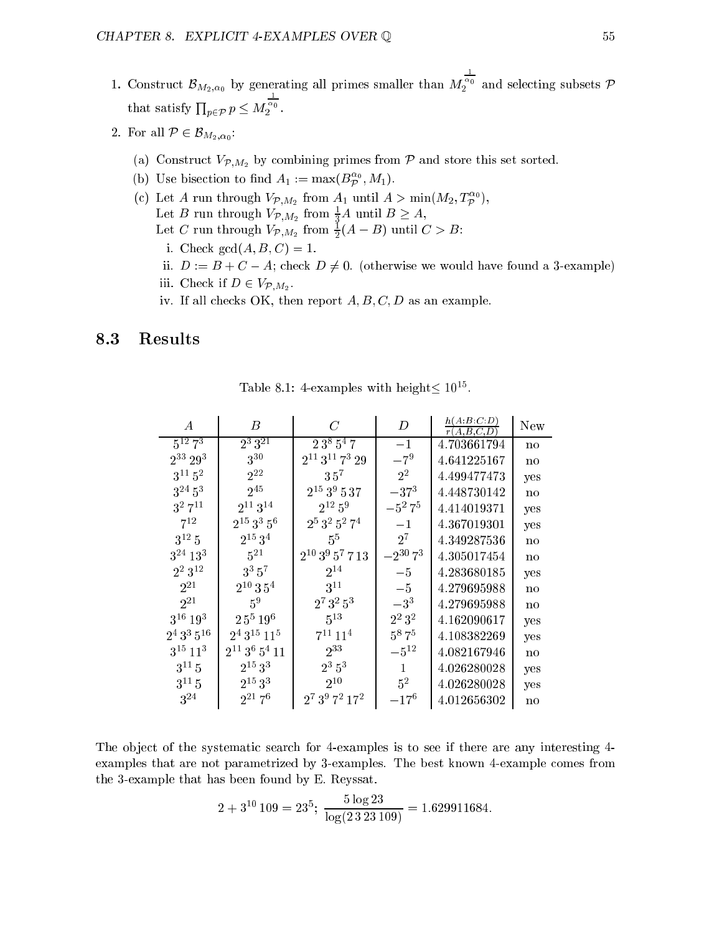- $\mathbf{I}$ . Construct BM2;0 by generating all primes small primes small primes small primes small primes smaller than  $\mathbf{I}$  $\sqrt{\frac{\alpha_0}{2}}$  and selecting subsets  $\mathcal P$ that satisfy  $\prod_{p \in \mathcal{P}} p \leq M$  $\frac{\alpha_0}{2}$ .
- $=$ :  $=$   $=$   $=$   $\in$   $\in$   $m_{2}$ ,  $\alpha_{0}$ 
	- (a) Construct  $V_{\mathcal{P},M_2}$  by combining primes from  $\mathcal P$  and store this set sorted.
	- (b) Use bisection to find  $A_1 := \max(B_{\mathcal{P}}^{\circ}, M_1)$ .
	- (c) Let A run through  $V_{\mathcal{P},M_2}$  from  $A_1$  until  $A > \min(M_2, T_{\mathcal{P}}^{\mathcal{P}})$ , Let B run through  $V\mathcal{P}, M_2$  from  $\frac{1}{3}A$  until  $B \geq A$ , Let C run through  $V_{\mathcal{P},M_2}$  from  $\frac{1}{2}(A - B)$  until  $C > B$ :
		- i. Check  $gcd(A, B, C) = 1$ .
		- ii.  $D := B + C A$ ; check  $D \neq 0$ . (otherwise we would have found a 3-example)
		- $\blacksquare$ . Check if  $\blacksquare$ . Check if  $\blacksquare$
		- iv. If all checks OK, then report  $A, B, C, D$  as an example.

# 8.3 Results

| A                        | B                    | $\mathcal C$                     | D               | h(A:B:C:D)<br>r(A,B,C,D) | New                    |
|--------------------------|----------------------|----------------------------------|-----------------|--------------------------|------------------------|
| $5^{12}$ $7^3$           | $2^3 3^{21}$         | 23 <sup>8</sup> 5 <sup>4</sup> 7 | $-1$            | 4.703661794              | no                     |
| $2^{33} 29^3$            | $3^{30}$             | $2^{11}3^{11}7^329$              | $-7^{9}$        | 4.641225167              | no                     |
| $3^{11} 5^2$             | $2^{22}$             | 35 <sup>7</sup>                  | $2^2$           | 4.499477473              | yes                    |
| $3^{24} 5^3$             | $2^{45}$             | $2^{15}3^9537$                   | $-37^{3}$       | 4.448730142              | no                     |
| $3^2 7^{11}$             | $2^{11}3^{14}$       | $2^{12} 5^9$                     | $-5^2 7^5$      | 4.414019371              | yes                    |
| $7^{12}$                 | $2^{15}3^35^6$       | $2^5$ $3^2$ $5^2$ $7^4$          | $-1$            | 4.367019301              | yes                    |
| $3^{12}5$                | $2^{15}3^4$          | $5^5$                            | $2^7$           | 4.349287536              | no                     |
| $3^{24}$ $13^3$          | $5^{21}$             | $2^{10}$ $3^9$ $5^7$ $7$ $13$    | $-2^{30}$ $7^3$ | 4.305017454              | no                     |
| $2^2 3^{12}$             | $3^3\,5^7$           | $2^{14}$                         | $-5$            | 4.283680185              | yes                    |
| $2^{21}$                 | $2^{10}\,3\,5^4$     | $3^{11}$                         | $-5$            | 4.279695988              | no                     |
| $2^{21}$                 | $5^9$                | $2^7\,3^2\,5^3$                  | $-3^3$          | 4.279695988              | no                     |
| $3^{16} 19^3$            | $2\,5^5\,19^6$       | $5^{13}$                         | $2^2 3^2$       | 4.162090617              | yes                    |
| $2^4\,3^3\,5^{16}$       | $2^4\,3^{15}$ $11^5$ | $7^{11}$ $11^4$                  | $5^8 7^5$       | 4.108382269              | yes                    |
| $3^{15}$ 11 <sup>3</sup> | $2^{11}3^6\,5^4\,11$ | $2^{33}$                         | $-5^{12}$       | 4.082167946              | no                     |
| $3^{11}5$                | $2^{15}3^3$          | $2^3 5^3$                        | 1               | 4.026280028              | yes                    |
| $3^{11}5$                | $2^{15}3^3$          | $2^{10}$                         | $5^2$           | 4.026280028              | yes                    |
| $3^{24}$                 | $2^{21}7^6$          | $2^7 3^9 7^2 17^2$               | $-17^{6}$       | 4.012656302              | $\mathbf{n}\mathbf{o}$ |

 $\mu$  able 8.1: 4-examples with height 10.

The object of the systematic search for 4-examples is to see if there are any interesting 4examples that are not parametrized by 3-examples. The best known 4-example comes from the 3-example that has been found by E. Reyssat.

$$
2 + 3^{10} 109 = 23^5
$$
;  $\frac{5 \log 23}{\log(2323109)} = 1.629911684$ .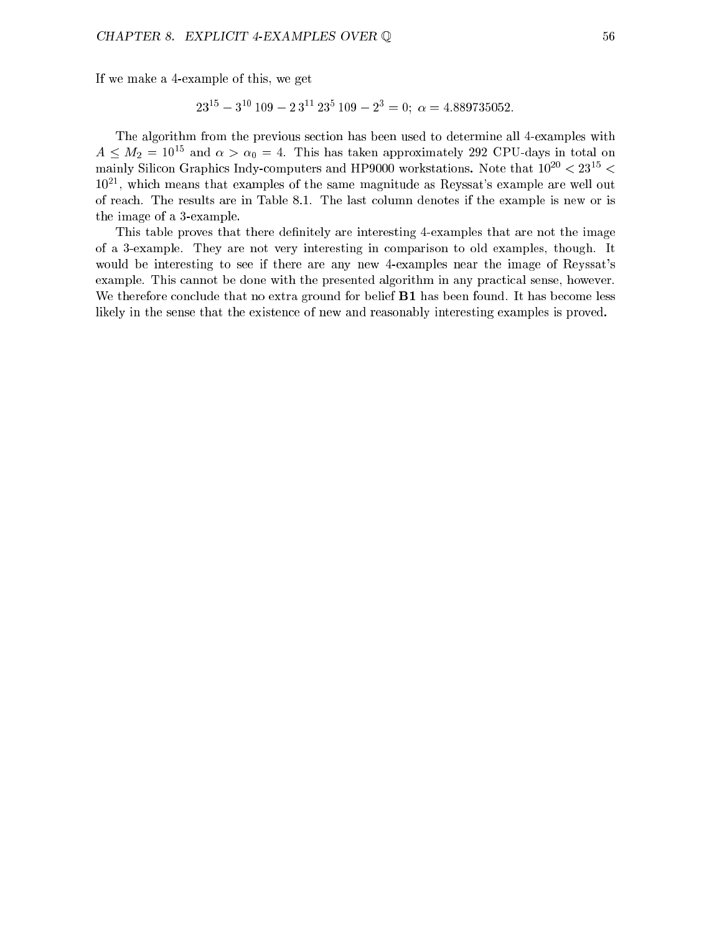If we make a 4-example of this, we get

$$
23^{15} - 3^{10} 109 - 23^{11} 23^5 109 - 2^3 = 0; \ \alpha = 4.889735052.
$$

The algorithm from the previous section has been used to determine all 4-examples with  $A \leq M_2 = 10^{-3}$  and  $\alpha > \alpha_0 = 4$ . This has taken approximately 292 CPU-days in total on mainly Silicon Graphics Indy-computers and HP9000 workstations. Note that  $10^{-1} < 23^{-1} <$  $10^{21}$ , which means that examples of the same magnitude as Reyssat's example are well out of reach. The results are in Table 8.1. The last column denotes if the example is new or is the image of a 3-example.

This table proves that there definitely are interesting 4-examples that are not the image of a 3-example. They are not very interesting in comparison to old examples, though. It would be interesting to see if there are any new 4-examples near the image of Reyssat's example. This cannot be done with the presented algorithm in any practical sense, however. We therefore conclude that no extra ground for belief **B1** has been found. It has become less likely in the sense that the existence of new and reasonably interesting examples is proved.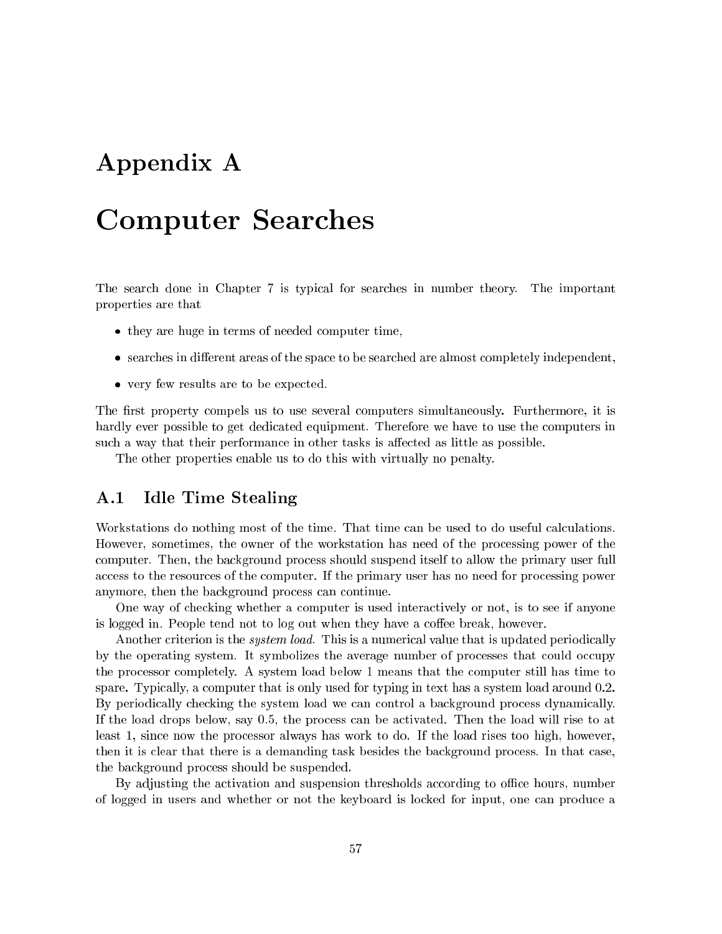# Appendix A

# Computer Searches

The search done in Chapter 7 is typical for searches in number theory. The important properties are that

- they are huge in terms of needed computer time,
- $\bullet$  searches in different areas of the space to be searched are almost completely independent,
- very few results are to be expected.

The first property compels us to use several computers simultaneously. Furthermore, it is hardly ever possible to get dedicated equipment. Therefore we have to use the computers in such a way that their performance in other tasks is affected as little as possible.

The other properties enable us to do this with virtually no penalty.

## A.1 Idle Time Stealing

Workstations do nothing most of the time. That time can be used to do useful calculations. However, sometimes, the owner of the workstation has need of the processing power of the computer. Then, the background process should suspend itself to allow the primary user full access to the resources of the computer. If the primary user has no need for processing power anymore, then the background process can continue.

One way of checking whether a computer is used interactively or not, is to see if anyone is logged in. People tend not to log out when they have a coffee break, however.

Another criterion is the *system load*. This is a numerical value that is updated periodically by the operating system. It symbolizes the average number of processes that could occupy the processor completely. A system load below 1 means that the computer still has time to spare. Typically, a computer that is only used for typing in text has a system load around 0.2. By periodically checking the system load we can control a background process dynamically. If the load drops below, say 0.5, the process can be activated. Then the load will rise to at least 1, since now the processor always has work to do. If the load rises too high, however, then it is clear that there is a demanding task besides the background process. In that case, the background process should be suspended.

By adjusting the activation and suspension thresholds according to office hours, number of logged in users and whether or not the keyboard is locked for input, one can produce a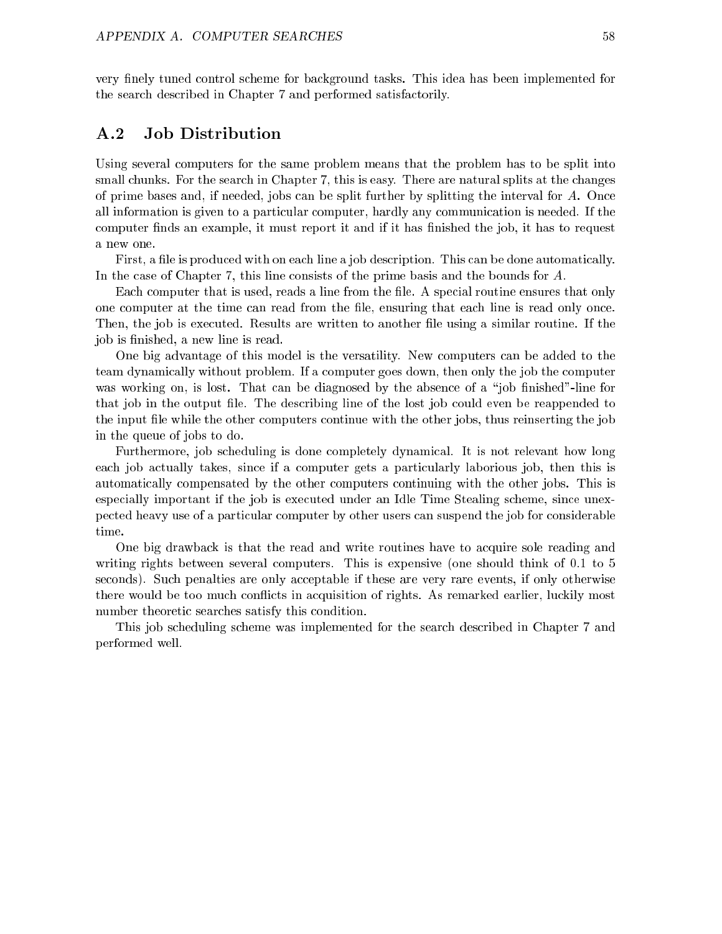very finely tuned control scheme for background tasks. This idea has been implemented for the search described in Chapter 7 and performed satisfactorily.

#### $\rm A.2$ Job Distribution

Using several computers for the same problem means that the problem has to be split into small chunks. For the search in Chapter 7, this is easy. There are natural splits at the changes of prime bases and, if needed, jobs can be split further by splitting the interval for  $A$ . Once all information is given to a particular computer, hardly any communication is needed. If the computer finds an example, it must report it and if it has finished the job, it has to request

First, a file is produced with on each line a job description. This can be done automatically. In the case of Chapter 7, this line consists of the prime basis and the bounds for A.

Each computer that is used, reads a line from the file. A special routine ensures that only one computer at the time can read from the file, ensuring that each line is read only once. Then, the job is executed. Results are written to another file using a similar routine. If the job is finished, a new line is read.

One big advantage of this model is the versatility. New computers can be added to the team dynamically without problem. If a computer goes down, then only the job the computer was working on, is lost. That can be diagnosed by the absence of a "job finished"-line for that job in the output file. The describing line of the lost job could even be reappended to the input file while the other computers continue with the other jobs, thus reinserting the job in the queue of jobs to do.

Furthermore, job scheduling is done completely dynamical. It is not relevant how long each job actually takes, since if a computer gets a particularly laborious job, then this is automatically compensated by the other computers continuing with the other jobs. This is especially important if the job is executed under an Idle Time Stealing scheme, since unexpected heavy use of a particular computer by other users can suspend the job for considerable time.

One big drawback is that the read and write routines have to acquire sole reading and writing rights between several computers. This is expensive (one should think of 0.1 to 5 seconds). Such penalties are only acceptable if these are very rare events, if only otherwise there would be too much conflicts in acquisition of rights. As remarked earlier, luckily most number theoretic searches satisfy this condition.

This job scheduling scheme was implemented for the search described in Chapter 7 and performed well.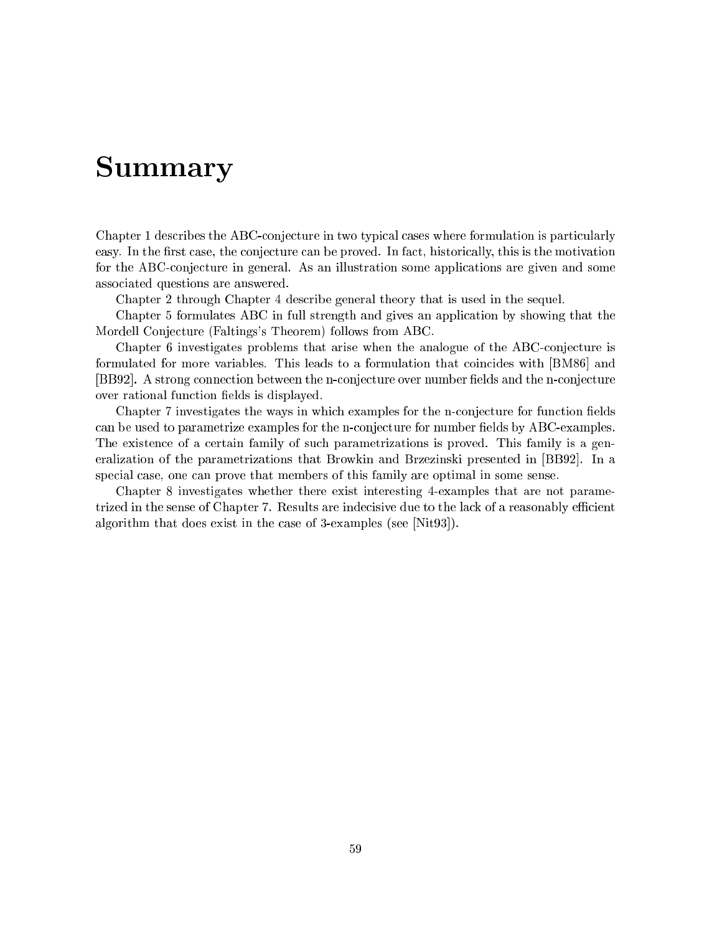# Summary

Chapter 1 describes the ABC-conjecture in two typical cases where formulation is particularly easy. In the first case, the conjecture can be proved. In fact, historically, this is the motivation for the ABC-conjecture in general. As an illustration some applications are given and some associated questions are answered.

Chapter 2 through Chapter 4 describe general theory that is used in the sequel.

Chapter 5 formulates ABC in full strength and gives an application by showing that the Mordell Conjecture (Faltings's Theorem) follows from ABC.

Chapter 6 investigates problems that arise when the analogue of the ABC-conjecture is formulated for more variables. This leads to a formulation that coincides with [BM86] and [BB92]. A strong connection between the n-conjecture over number fields and the n-conjecture over rational function fields is displayed.

Chapter 7 investigates the ways in which examples for the n-conjecture for function fields can be used to parametrize examples for the n-conjecture for number fields by ABC-examples. The existence of a certain family of such parametrizations is proved. This family is a generalization of the parametrizations that Browkin and Brzezinski presented in [BB92]. In a special case, one can prove that members of this family are optimal in some sense.

Chapter 8 investigates whether there exist interesting 4-examples that are not parametrized in the sense of Chapter 7. Results are indecisive due to the lack of a reasonably efficient algorithm that does exist in the case of 3-examples (see [Nit93]).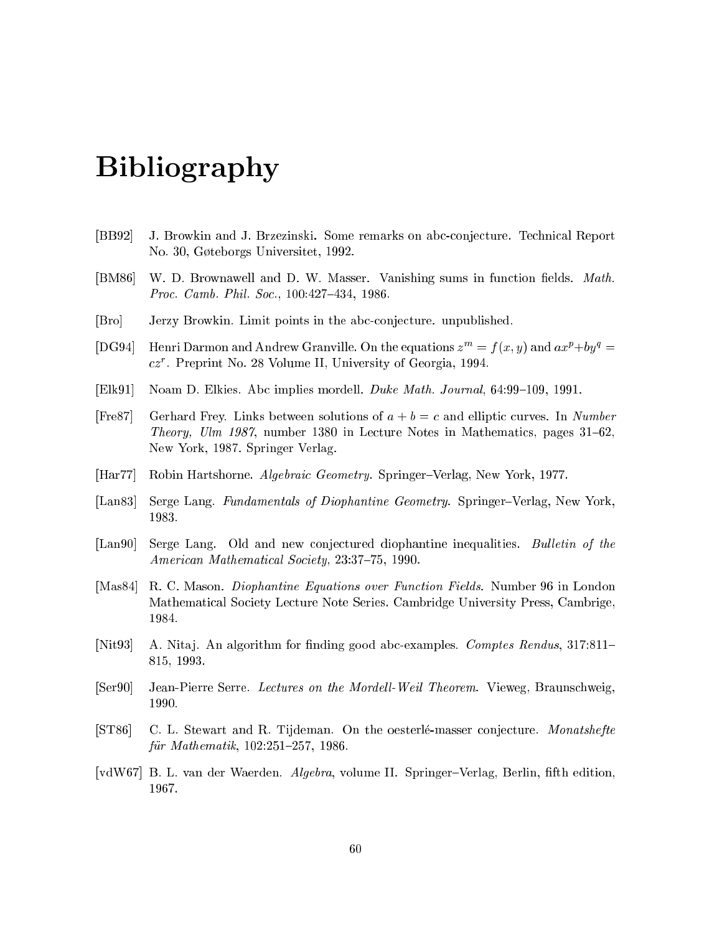# Bibliography

- [BB92] J. Browkin and J. Brzezinski. Some remarks on abc-conjecture. Technical Report No. 30, Gøteborgs Universitet, 1992.
- [BM86] W. D. Brownawell and D. W. Masser. Vanishing sums in function fields. Math. Proc. Camb. Phil. Soc., 100:427-434, 1986.
- [Bro] Jerzy Browkin. Limit points in the abc-conjecture. unpublished.
- [DG94] Henri Darmon and Andrew Granville. On the equations  $z^m = f(x, y)$  and  $ax^p + by^q =$  $cz$  . Preprint No. 28 Volume II, University of Georgia, 1994.
- [Elk91] Noam D. Elkies. Abc implies mordell. Duke Math. Journal, 64:99-109, 1991.
- [Fre87] Gerhard Frey. Links between solutions of  $a + b = c$  and elliptic curves. In Number Theory, Ulm 1987, number 1380 in Lecture Notes in Mathematics, pages  $31–62$ , New York, 1987. Springer Verlag.
- [Har77] Robin Hartshorne. *Algebraic Geometry*. Springer–Verlag, New York, 1977.
- [Lan83] Serge Lang. Fundamentals of Diophantine Geometry. Springer–Verlag, New York, 1983.
- [Lan90] Serge Lang. Old and new conjectured diophantine inequalities. Bulletin of the American Mathematical Society, 23:37-75, 1990.
- [Mas84] R. C. Mason. Diophantine Equations over Function Fields. Number 96 in London Mathematical Society Lecture Note Series. Cambridge University Press, Cambrige, 1984.
- [Nit 03] A. Nitaj. An algorithm for finding good abc-examples. Comptes Rendus,  $317:811-$ 815, 1993.
- [Ser90] Jean-Pierre Serre. Lectures on the Mordell-Weil Theorem. Vieweg, Braunschweig, 1990.
- [ST86] C. L. Stewart and R. Tijdeman. On the oesterle-masser conjecture. Monatshefte für Mathematik,  $102:251{-}257$ , 1986.
- [vdW67] B. L. van der Waerden. Algebra, volume II. Springer-Verlag, Berlin, fifth edition,